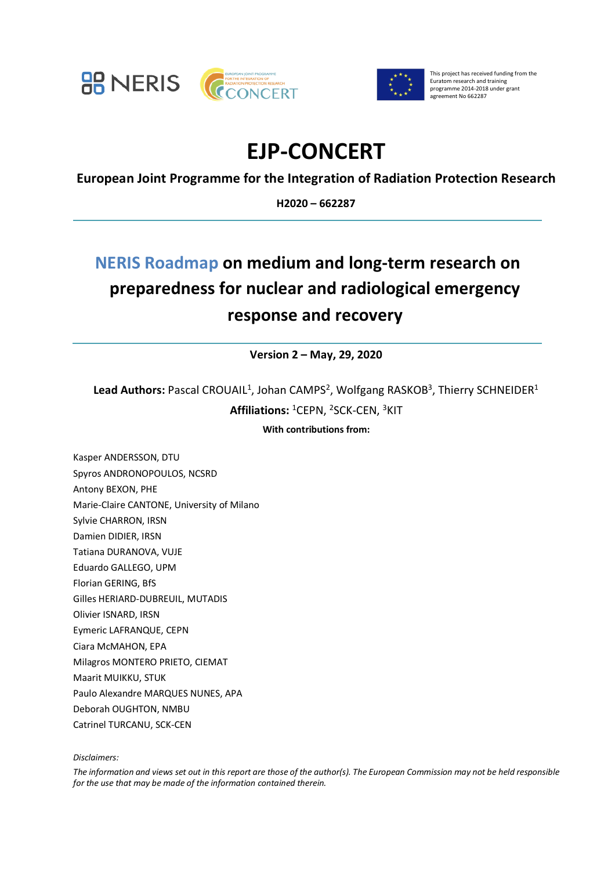



This project has received funding from the Euratom research and training programme 2014-2018 under grant agreement No 662287

## **EJP-CONCERT**

**European Joint Programme for the Integration of Radiation Protection Research**

**H2020 – 662287**

## **NERIS Roadmap on medium and long-term research on preparedness for nuclear and radiological emergency response and recovery**

**Version 2 – May, 29, 2020**

Lead Authors: Pascal CROUAIL<sup>1</sup>, Johan CAMPS<sup>2</sup>, Wolfgang RASKOB<sup>3</sup>, Thierry SCHNEIDER<sup>1</sup>

**Affiliations:** <sup>1</sup> CEPN, 2 SCK-CEN, 3 KIT

**With contributions from:**

Kasper ANDERSSON, DTU Spyros ANDRONOPOULOS, NCSRD Antony BEXON, PHE Marie-Claire CANTONE, University of Milano Sylvie CHARRON, IRSN Damien DIDIER, IRSN Tatiana DURANOVA, VUJE Eduardo GALLEGO, UPM Florian GERING, BfS Gilles HERIARD-DUBREUIL, MUTADIS Olivier ISNARD, IRSN Eymeric LAFRANQUE, CEPN Ciara McMAHON, EPA Milagros MONTERO PRIETO, CIEMAT Maarit MUIKKU, STUK Paulo Alexandre MARQUES NUNES, APA Deborah OUGHTON, NMBU Catrinel TURCANU, SCK-CEN

*Disclaimers:*

*The information and views set out in this report are those of the author(s). The European Commission may not be held responsible for the use that may be made of the information contained therein.*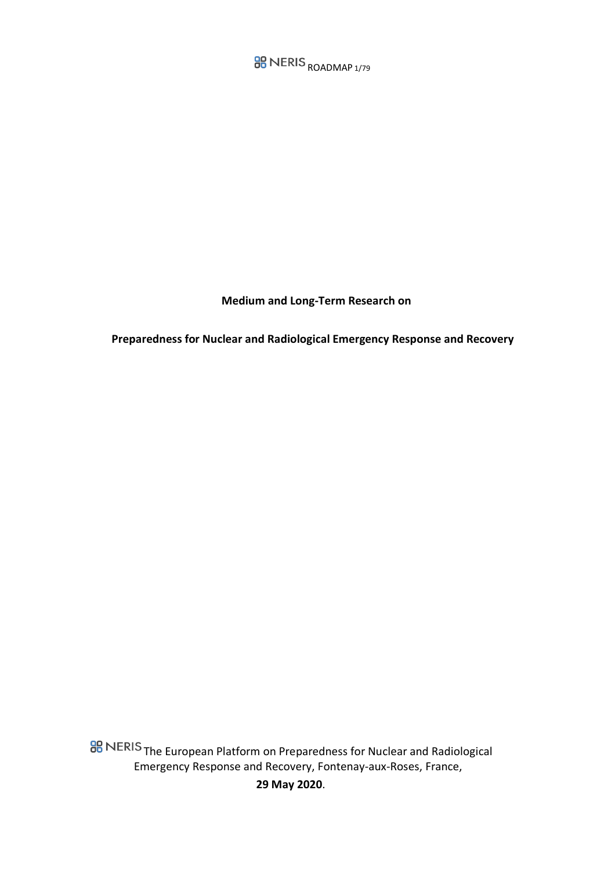**BB** NERIS ROADMAP 1/79

**Medium and Long-Term Research on**

**Preparedness for Nuclear and Radiological Emergency Response and Recovery**

**BB** NERIS The European Platform on Preparedness for Nuclear and Radiological Emergency Response and Recovery, Fontenay-aux-Roses, France, **29 May 2020**.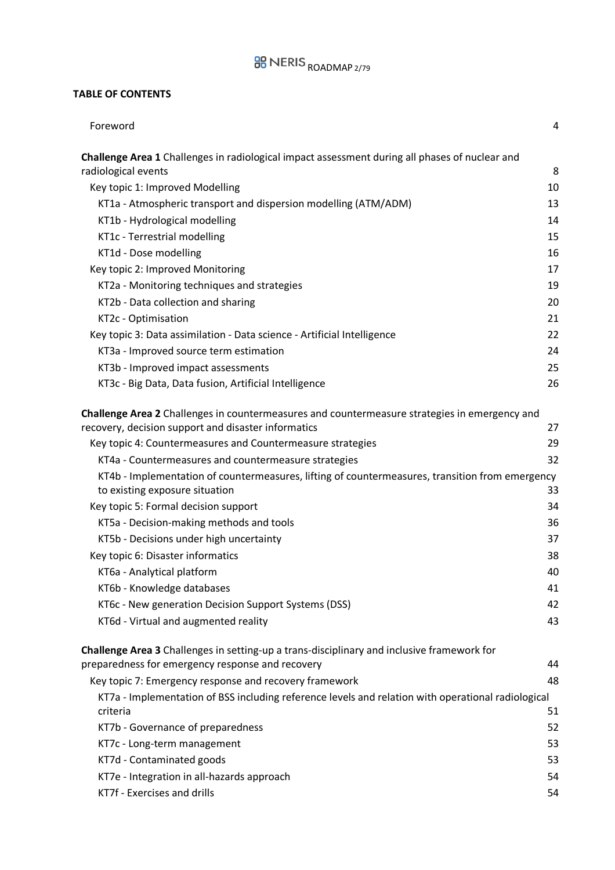# **BB** NERIS <sub>ROADMAP 2/79</sub>

#### **TABLE OF CONTENTS**

| Foreword                                                                                                                          | 4  |
|-----------------------------------------------------------------------------------------------------------------------------------|----|
| <b>Challenge Area 1</b> Challenges in radiological impact assessment during all phases of nuclear and                             |    |
| radiological events                                                                                                               | 8  |
| Key topic 1: Improved Modelling                                                                                                   | 10 |
| KT1a - Atmospheric transport and dispersion modelling (ATM/ADM)                                                                   | 13 |
| KT1b - Hydrological modelling                                                                                                     | 14 |
| KT1c - Terrestrial modelling                                                                                                      | 15 |
| KT1d - Dose modelling                                                                                                             | 16 |
| Key topic 2: Improved Monitoring                                                                                                  | 17 |
| KT2a - Monitoring techniques and strategies                                                                                       | 19 |
| KT2b - Data collection and sharing                                                                                                | 20 |
| KT2c - Optimisation                                                                                                               | 21 |
| Key topic 3: Data assimilation - Data science - Artificial Intelligence                                                           | 22 |
| KT3a - Improved source term estimation                                                                                            | 24 |
| KT3b - Improved impact assessments                                                                                                | 25 |
| KT3c - Big Data, Data fusion, Artificial Intelligence                                                                             | 26 |
| Challenge Area 2 Challenges in countermeasures and countermeasure strategies in emergency and                                     |    |
| recovery, decision support and disaster informatics                                                                               | 27 |
| Key topic 4: Countermeasures and Countermeasure strategies                                                                        | 29 |
| KT4a - Countermeasures and countermeasure strategies                                                                              | 32 |
| KT4b - Implementation of countermeasures, lifting of countermeasures, transition from emergency<br>to existing exposure situation | 33 |
| Key topic 5: Formal decision support                                                                                              | 34 |
| KT5a - Decision-making methods and tools                                                                                          | 36 |
| KT5b - Decisions under high uncertainty                                                                                           | 37 |
| Key topic 6: Disaster informatics                                                                                                 | 38 |
| KT6a - Analytical platform                                                                                                        | 40 |
| KT6b - Knowledge databases                                                                                                        | 41 |
| KT6c - New generation Decision Support Systems (DSS)                                                                              | 42 |
| KT6d - Virtual and augmented reality                                                                                              | 43 |
| Challenge Area 3 Challenges in setting-up a trans-disciplinary and inclusive framework for                                        |    |
| preparedness for emergency response and recovery                                                                                  | 44 |
| Key topic 7: Emergency response and recovery framework                                                                            | 48 |
| KT7a - Implementation of BSS including reference levels and relation with operational radiological<br>criteria                    | 51 |
| KT7b - Governance of preparedness                                                                                                 | 52 |
| KT7c - Long-term management                                                                                                       | 53 |
| KT7d - Contaminated goods                                                                                                         | 53 |
| KT7e - Integration in all-hazards approach                                                                                        | 54 |
| KT7f - Exercises and drills                                                                                                       | 54 |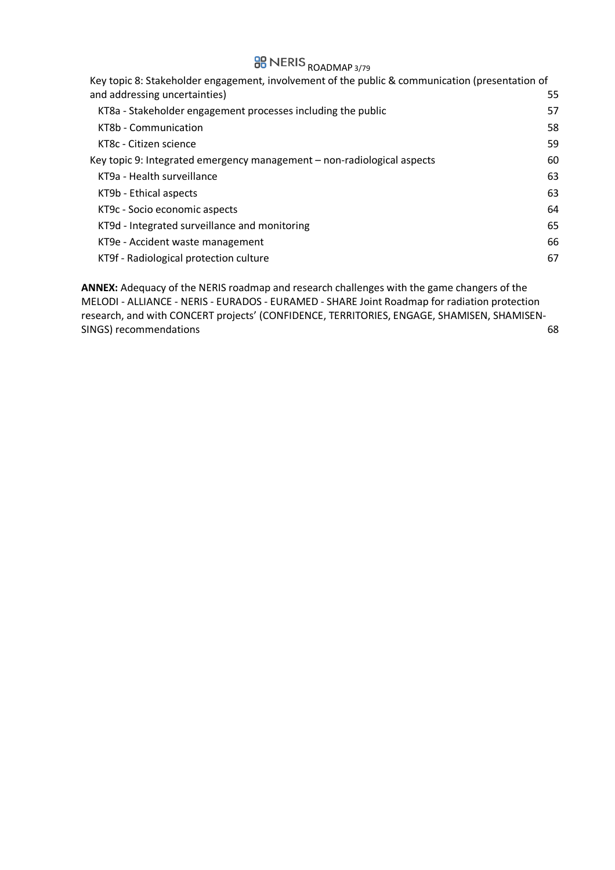## **BB** NERIS ROADMAP 3/79

| Key topic 8: Stakeholder engagement, involvement of the public & communication (presentation of |    |
|-------------------------------------------------------------------------------------------------|----|
| and addressing uncertainties)                                                                   | 55 |
| KT8a - Stakeholder engagement processes including the public                                    | 57 |
| KT8b - Communication                                                                            | 58 |
| KT8c - Citizen science                                                                          | 59 |
| Key topic 9: Integrated emergency management - non-radiological aspects                         | 60 |
| KT9a - Health surveillance                                                                      | 63 |
| KT9b - Ethical aspects                                                                          | 63 |
| KT9c - Socio economic aspects                                                                   | 64 |
| KT9d - Integrated surveillance and monitoring                                                   | 65 |
| KT9e - Accident waste management                                                                | 66 |
| KT9f - Radiological protection culture                                                          | 67 |

**ANNEX:** Adequacy of the NERIS roadmap and research challenges with the game changers of the MELODI - ALLIANCE - NERIS - EURADOS - EURAMED - SHARE Joint Roadmap for radiation protection research, and with CONCERT projects' (CONFIDENCE, TERRITORIES, ENGAGE, SHAMISEN, SHAMISEN-SINGS) recommendations 68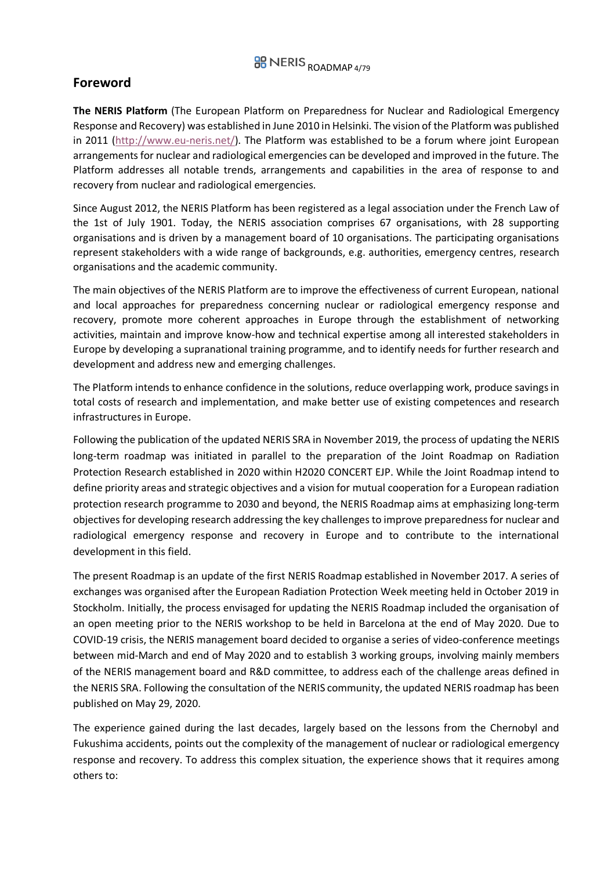## **ROADMAP 4/79**

#### **Foreword**

**The NERIS Platform** (The European Platform on Preparedness for Nuclear and Radiological Emergency Response and Recovery) was established in June 2010 in Helsinki. The vision of the Platform was published in 2011 (http://www.eu-neris.net/). The Platform was established to be a forum where joint European arrangements for nuclear and radiological emergencies can be developed and improved in the future. The Platform addresses all notable trends, arrangements and capabilities in the area of response to and recovery from nuclear and radiological emergencies.

Since August 2012, the NERIS Platform has been registered as a legal association under the French Law of the 1st of July 1901. Today, the NERIS association comprises 67 organisations, with 28 supporting organisations and is driven by a management board of 10 organisations. The participating organisations represent stakeholders with a wide range of backgrounds, e.g. authorities, emergency centres, research organisations and the academic community.

The main objectives of the NERIS Platform are to improve the effectiveness of current European, national and local approaches for preparedness concerning nuclear or radiological emergency response and recovery, promote more coherent approaches in Europe through the establishment of networking activities, maintain and improve know-how and technical expertise among all interested stakeholders in Europe by developing a supranational training programme, and to identify needs for further research and development and address new and emerging challenges.

The Platform intends to enhance confidence in the solutions, reduce overlapping work, produce savings in total costs of research and implementation, and make better use of existing competences and research infrastructures in Europe.

Following the publication of the updated NERIS SRA in November 2019, the process of updating the NERIS long-term roadmap was initiated in parallel to the preparation of the Joint Roadmap on Radiation Protection Research established in 2020 within H2020 CONCERT EJP. While the Joint Roadmap intend to define priority areas and strategic objectives and a vision for mutual cooperation for a European radiation protection research programme to 2030 and beyond, the NERIS Roadmap aims at emphasizing long-term objectives for developing research addressing the key challenges to improve preparedness for nuclear and radiological emergency response and recovery in Europe and to contribute to the international development in this field.

The present Roadmap is an update of the first NERIS Roadmap established in November 2017. A series of exchanges was organised after the European Radiation Protection Week meeting held in October 2019 in Stockholm. Initially, the process envisaged for updating the NERIS Roadmap included the organisation of an open meeting prior to the NERIS workshop to be held in Barcelona at the end of May 2020. Due to COVID-19 crisis, the NERIS management board decided to organise a series of video-conference meetings between mid-March and end of May 2020 and to establish 3 working groups, involving mainly members of the NERIS management board and R&D committee, to address each of the challenge areas defined in the NERIS SRA. Following the consultation of the NERIS community, the updated NERIS roadmap has been published on May 29, 2020.

The experience gained during the last decades, largely based on the lessons from the Chernobyl and Fukushima accidents, points out the complexity of the management of nuclear or radiological emergency response and recovery. To address this complex situation, the experience shows that it requires among others to: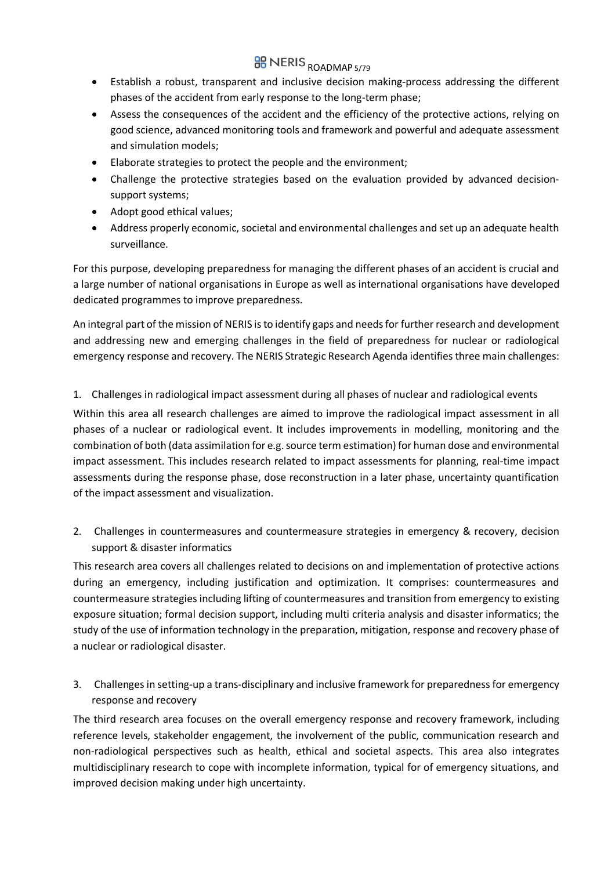## **BB** NERIS ROADMAP 5/79

- Establish a robust, transparent and inclusive decision making-process addressing the different phases of the accident from early response to the long-term phase;
- Assess the consequences of the accident and the efficiency of the protective actions, relying on good science, advanced monitoring tools and framework and powerful and adequate assessment and simulation models;
- Elaborate strategies to protect the people and the environment;
- Challenge the protective strategies based on the evaluation provided by advanced decisionsupport systems;
- Adopt good ethical values;
- Address properly economic, societal and environmental challenges and set up an adequate health surveillance.

For this purpose, developing preparedness for managing the different phases of an accident is crucial and a large number of national organisations in Europe as well as international organisations have developed dedicated programmes to improve preparedness.

An integral part of the mission of NERIS is to identify gaps and needs for further research and development and addressing new and emerging challenges in the field of preparedness for nuclear or radiological emergency response and recovery. The NERIS Strategic Research Agenda identifies three main challenges:

#### 1. Challenges in radiological impact assessment during all phases of nuclear and radiological events

Within this area all research challenges are aimed to improve the radiological impact assessment in all phases of a nuclear or radiological event. It includes improvements in modelling, monitoring and the combination of both (data assimilation for e.g. source term estimation) for human dose and environmental impact assessment. This includes research related to impact assessments for planning, real-time impact assessments during the response phase, dose reconstruction in a later phase, uncertainty quantification of the impact assessment and visualization.

2. Challenges in countermeasures and countermeasure strategies in emergency & recovery, decision support & disaster informatics

This research area covers all challenges related to decisions on and implementation of protective actions during an emergency, including justification and optimization. It comprises: countermeasures and countermeasure strategies including lifting of countermeasures and transition from emergency to existing exposure situation; formal decision support, including multi criteria analysis and disaster informatics; the study of the use of information technology in the preparation, mitigation, response and recovery phase of a nuclear or radiological disaster.

3. Challenges in setting-up a trans-disciplinary and inclusive framework for preparedness for emergency response and recovery

The third research area focuses on the overall emergency response and recovery framework, including reference levels, stakeholder engagement, the involvement of the public, communication research and non-radiological perspectives such as health, ethical and societal aspects. This area also integrates multidisciplinary research to cope with incomplete information, typical for of emergency situations, and improved decision making under high uncertainty.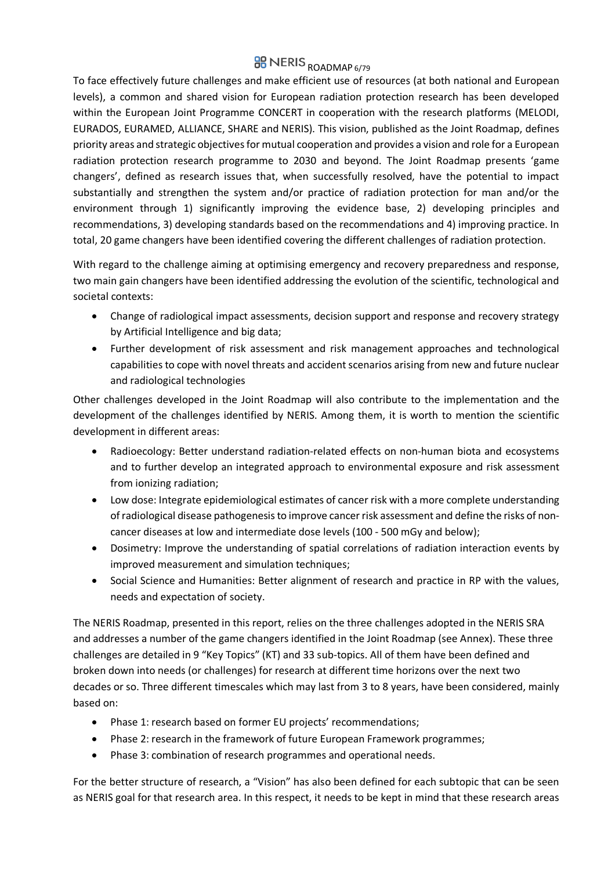## **BB** NERIS ROADMAP 6/79

To face effectively future challenges and make efficient use of resources (at both national and European levels), a common and shared vision for European radiation protection research has been developed within the European Joint Programme CONCERT in cooperation with the research platforms (MELODI, EURADOS, EURAMED, ALLIANCE, SHARE and NERIS). This vision, published as the Joint Roadmap, defines priority areas and strategic objectives for mutual cooperation and provides a vision and role for a European radiation protection research programme to 2030 and beyond. The Joint Roadmap presents 'game changers', defined as research issues that, when successfully resolved, have the potential to impact substantially and strengthen the system and/or practice of radiation protection for man and/or the environment through 1) significantly improving the evidence base, 2) developing principles and recommendations, 3) developing standards based on the recommendations and 4) improving practice. In total, 20 game changers have been identified covering the different challenges of radiation protection.

With regard to the challenge aiming at optimising emergency and recovery preparedness and response, two main gain changers have been identified addressing the evolution of the scientific, technological and societal contexts:

- Change of radiological impact assessments, decision support and response and recovery strategy by Artificial Intelligence and big data;
- Further development of risk assessment and risk management approaches and technological capabilities to cope with novel threats and accident scenarios arising from new and future nuclear and radiological technologies

Other challenges developed in the Joint Roadmap will also contribute to the implementation and the development of the challenges identified by NERIS. Among them, it is worth to mention the scientific development in different areas:

- Radioecology: Better understand radiation-related effects on non-human biota and ecosystems and to further develop an integrated approach to environmental exposure and risk assessment from ionizing radiation;
- Low dose: Integrate epidemiological estimates of cancer risk with a more complete understanding of radiological disease pathogenesis to improve cancer risk assessment and define the risks of noncancer diseases at low and intermediate dose levels (100 - 500 mGy and below);
- Dosimetry: Improve the understanding of spatial correlations of radiation interaction events by improved measurement and simulation techniques;
- Social Science and Humanities: Better alignment of research and practice in RP with the values, needs and expectation of society.

The NERIS Roadmap, presented in this report, relies on the three challenges adopted in the NERIS SRA and addresses a number of the game changers identified in the Joint Roadmap (see Annex). These three challenges are detailed in 9 "Key Topics" (KT) and 33 sub-topics. All of them have been defined and broken down into needs (or challenges) for research at different time horizons over the next two decades or so. Three different timescales which may last from 3 to 8 years, have been considered, mainly based on:

- Phase 1: research based on former EU projects' recommendations;
- Phase 2: research in the framework of future European Framework programmes;
- Phase 3: combination of research programmes and operational needs.

For the better structure of research, a "Vision" has also been defined for each subtopic that can be seen as NERIS goal for that research area. In this respect, it needs to be kept in mind that these research areas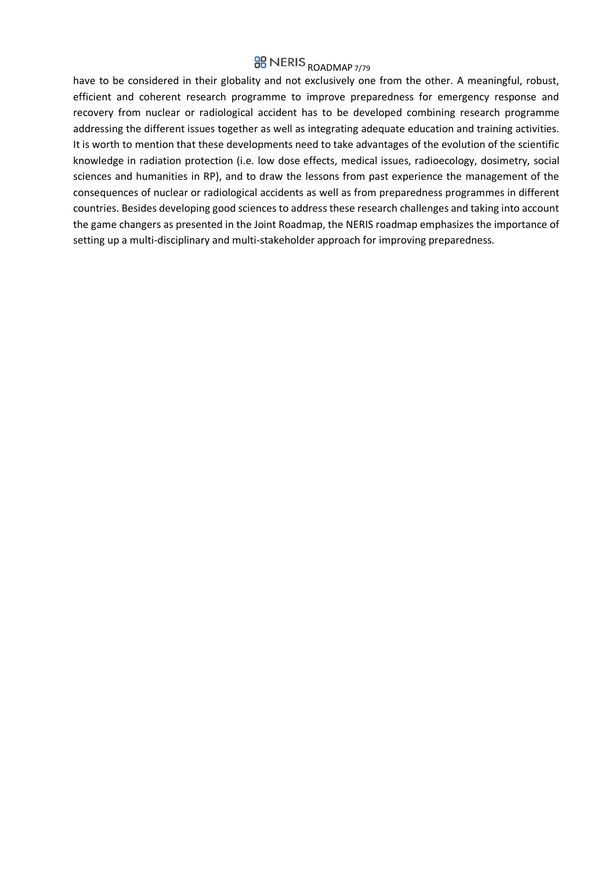### **88 NERIS ROADMAP 7/79**

have to be considered in their globality and not exclusively one from the other. A meaningful, robust, efficient and coherent research programme to improve preparedness for emergency response and recovery from nuclear or radiological accident has to be developed combining research programme addressing the different issues together as well as integrating adequate education and training activities. It is worth to mention that these developments need to take advantages of the evolution of the scientific knowledge in radiation protection (i.e. low dose effects, medical issues, radioecology, dosimetry, social sciences and humanities in RP), and to draw the lessons from past experience the management of the consequences of nuclear or radiological accidents as well as from preparedness programmes in different countries. Besides developing good sciences to address these research challenges and taking into account the game changers as presented in the Joint Roadmap, the NERIS roadmap emphasizes the importance of setting up a multi-disciplinary and multi-stakeholder approach for improving preparedness.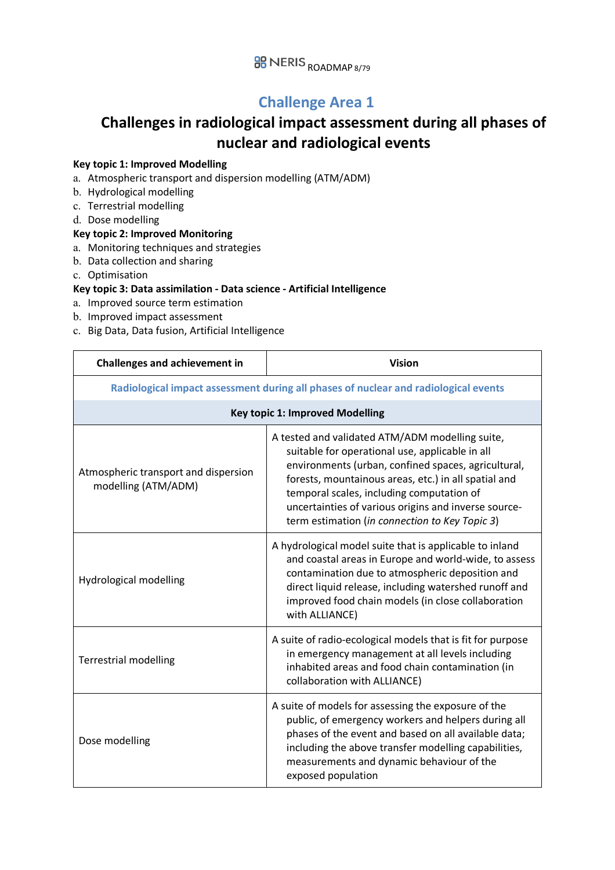### **Challenge Area 1**

### **Challenges in radiological impact assessment during all phases of nuclear and radiological events**

#### **Key topic 1: Improved Modelling**

- a. Atmospheric transport and dispersion modelling (ATM/ADM)
- b. Hydrological modelling
- c. Terrestrial modelling
- d. Dose modelling

#### **Key topic 2: Improved Monitoring**

- a. Monitoring techniques and strategies
- b. Data collection and sharing
- c. Optimisation

#### **Key topic 3: Data assimilation - Data science - Artificial Intelligence**

- a. Improved source term estimation
- b. Improved impact assessment
- c. Big Data, Data fusion, Artificial Intelligence

| <b>Challenges and achievement in</b>                        | <b>Vision</b>                                                                                                                                                                                                                                                                                                                                                            |
|-------------------------------------------------------------|--------------------------------------------------------------------------------------------------------------------------------------------------------------------------------------------------------------------------------------------------------------------------------------------------------------------------------------------------------------------------|
|                                                             | Radiological impact assessment during all phases of nuclear and radiological events                                                                                                                                                                                                                                                                                      |
|                                                             | <b>Key topic 1: Improved Modelling</b>                                                                                                                                                                                                                                                                                                                                   |
| Atmospheric transport and dispersion<br>modelling (ATM/ADM) | A tested and validated ATM/ADM modelling suite,<br>suitable for operational use, applicable in all<br>environments (urban, confined spaces, agricultural,<br>forests, mountainous areas, etc.) in all spatial and<br>temporal scales, including computation of<br>uncertainties of various origins and inverse source-<br>term estimation (in connection to Key Topic 3) |
| Hydrological modelling                                      | A hydrological model suite that is applicable to inland<br>and coastal areas in Europe and world-wide, to assess<br>contamination due to atmospheric deposition and<br>direct liquid release, including watershed runoff and<br>improved food chain models (in close collaboration<br>with ALLIANCE)                                                                     |
| <b>Terrestrial modelling</b>                                | A suite of radio-ecological models that is fit for purpose<br>in emergency management at all levels including<br>inhabited areas and food chain contamination (in<br>collaboration with ALLIANCE)                                                                                                                                                                        |
| Dose modelling                                              | A suite of models for assessing the exposure of the<br>public, of emergency workers and helpers during all<br>phases of the event and based on all available data;<br>including the above transfer modelling capabilities,<br>measurements and dynamic behaviour of the<br>exposed population                                                                            |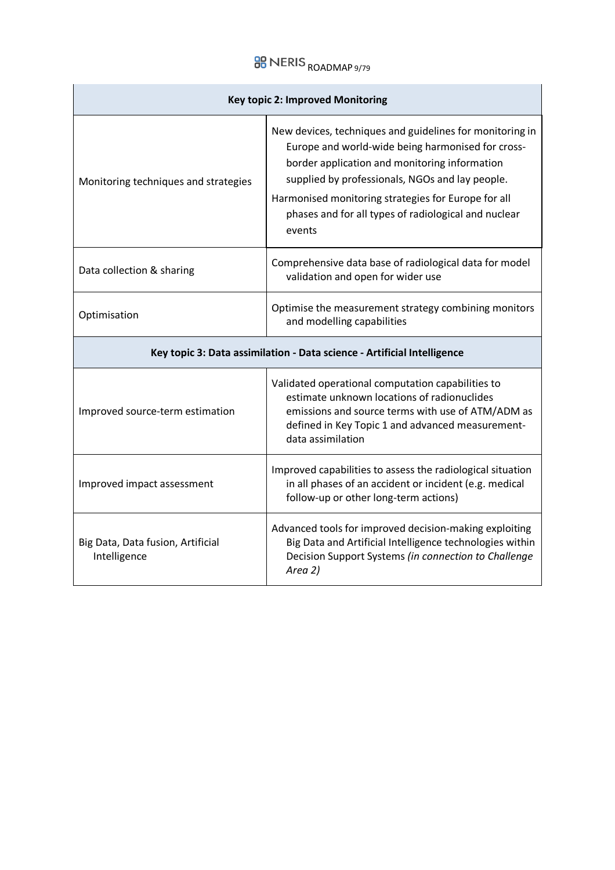# **BB** NERIS <sub>ROADMAP 9/79</sub>

| <b>Key topic 2: Improved Monitoring</b>           |                                                                                                                                                                                                                                                                                                                                            |  |  |  |
|---------------------------------------------------|--------------------------------------------------------------------------------------------------------------------------------------------------------------------------------------------------------------------------------------------------------------------------------------------------------------------------------------------|--|--|--|
| Monitoring techniques and strategies              | New devices, techniques and guidelines for monitoring in<br>Europe and world-wide being harmonised for cross-<br>border application and monitoring information<br>supplied by professionals, NGOs and lay people.<br>Harmonised monitoring strategies for Europe for all<br>phases and for all types of radiological and nuclear<br>events |  |  |  |
| Data collection & sharing                         | Comprehensive data base of radiological data for model<br>validation and open for wider use                                                                                                                                                                                                                                                |  |  |  |
| Optimisation                                      | Optimise the measurement strategy combining monitors<br>and modelling capabilities                                                                                                                                                                                                                                                         |  |  |  |
|                                                   | Key topic 3: Data assimilation - Data science - Artificial Intelligence                                                                                                                                                                                                                                                                    |  |  |  |
| Improved source-term estimation                   | Validated operational computation capabilities to<br>estimate unknown locations of radionuclides<br>emissions and source terms with use of ATM/ADM as<br>defined in Key Topic 1 and advanced measurement-<br>data assimilation                                                                                                             |  |  |  |
| Improved impact assessment                        | Improved capabilities to assess the radiological situation<br>in all phases of an accident or incident (e.g. medical<br>follow-up or other long-term actions)                                                                                                                                                                              |  |  |  |
| Big Data, Data fusion, Artificial<br>Intelligence | Advanced tools for improved decision-making exploiting<br>Big Data and Artificial Intelligence technologies within<br>Decision Support Systems (in connection to Challenge<br>Area 2)                                                                                                                                                      |  |  |  |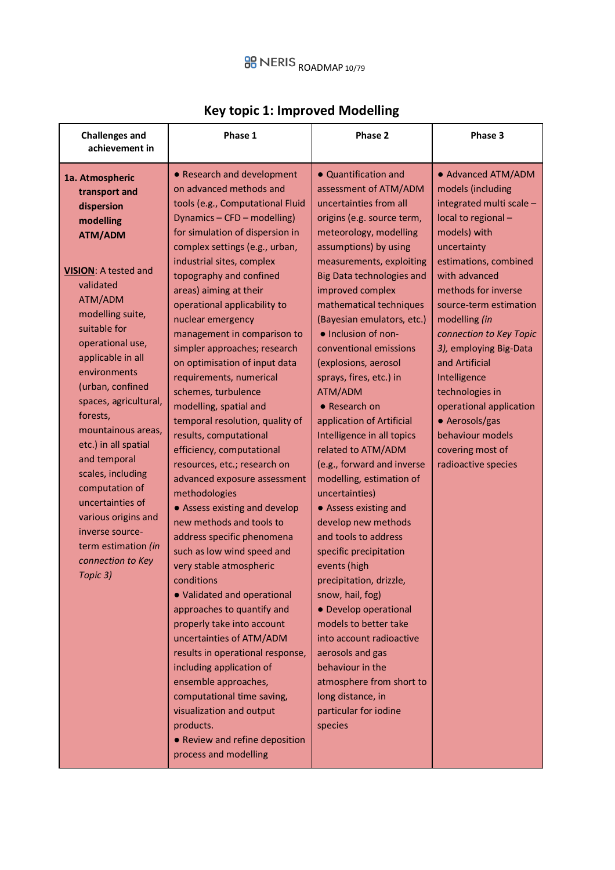| <b>Challenges and</b><br>achievement in                                                                                                                                                                                                                                                                                                                                                                                                                                                                               | Phase 1                                                                                                                                                                                                                                                                                                                                                                                                                                                                                                                                                                                                                                                                                                                                                                                                                                                                                                                                                                                                                                                                                                                                                                                                        | Phase 2                                                                                                                                                                                                                                                                                                                                                                                                                                                                                                                                                                                                                                                                                                                                                                                                                                                                                                                                                                        | Phase 3                                                                                                                                                                                                                                                                                                                                                                                                                                                     |  |
|-----------------------------------------------------------------------------------------------------------------------------------------------------------------------------------------------------------------------------------------------------------------------------------------------------------------------------------------------------------------------------------------------------------------------------------------------------------------------------------------------------------------------|----------------------------------------------------------------------------------------------------------------------------------------------------------------------------------------------------------------------------------------------------------------------------------------------------------------------------------------------------------------------------------------------------------------------------------------------------------------------------------------------------------------------------------------------------------------------------------------------------------------------------------------------------------------------------------------------------------------------------------------------------------------------------------------------------------------------------------------------------------------------------------------------------------------------------------------------------------------------------------------------------------------------------------------------------------------------------------------------------------------------------------------------------------------------------------------------------------------|--------------------------------------------------------------------------------------------------------------------------------------------------------------------------------------------------------------------------------------------------------------------------------------------------------------------------------------------------------------------------------------------------------------------------------------------------------------------------------------------------------------------------------------------------------------------------------------------------------------------------------------------------------------------------------------------------------------------------------------------------------------------------------------------------------------------------------------------------------------------------------------------------------------------------------------------------------------------------------|-------------------------------------------------------------------------------------------------------------------------------------------------------------------------------------------------------------------------------------------------------------------------------------------------------------------------------------------------------------------------------------------------------------------------------------------------------------|--|
| 1a. Atmospheric<br>transport and<br>dispersion<br>modelling<br><b>ATM/ADM</b><br><b>VISION: A tested and</b><br>validated<br>ATM/ADM<br>modelling suite,<br>suitable for<br>operational use,<br>applicable in all<br>environments<br>(urban, confined<br>spaces, agricultural,<br>forests,<br>mountainous areas,<br>etc.) in all spatial<br>and temporal<br>scales, including<br>computation of<br>uncertainties of<br>various origins and<br>inverse source-<br>term estimation (in<br>connection to Key<br>Topic 3) | • Research and development<br>on advanced methods and<br>tools (e.g., Computational Fluid<br>Dynamics - CFD - modelling)<br>for simulation of dispersion in<br>complex settings (e.g., urban,<br>industrial sites, complex<br>topography and confined<br>areas) aiming at their<br>operational applicability to<br>nuclear emergency<br>management in comparison to<br>simpler approaches; research<br>on optimisation of input data<br>requirements, numerical<br>schemes, turbulence<br>modelling, spatial and<br>temporal resolution, quality of<br>results, computational<br>efficiency, computational<br>resources, etc.; research on<br>advanced exposure assessment<br>methodologies<br>• Assess existing and develop<br>new methods and tools to<br>address specific phenomena<br>such as low wind speed and<br>very stable atmospheric<br>conditions<br>• Validated and operational<br>approaches to quantify and<br>properly take into account<br>uncertainties of ATM/ADM<br>results in operational response,<br>including application of<br>ensemble approaches,<br>computational time saving,<br>visualization and output<br>products.<br>• Review and refine deposition<br>process and modelling | • Quantification and<br>assessment of ATM/ADM<br>uncertainties from all<br>origins (e.g. source term,<br>meteorology, modelling<br>assumptions) by using<br>measurements, exploiting<br><b>Big Data technologies and</b><br>improved complex<br>mathematical techniques<br>(Bayesian emulators, etc.)<br>• Inclusion of non-<br>conventional emissions<br>(explosions, aerosol<br>sprays, fires, etc.) in<br>ATM/ADM<br>• Research on<br>application of Artificial<br>Intelligence in all topics<br>related to ATM/ADM<br>(e.g., forward and inverse<br>modelling, estimation of<br>uncertainties)<br>• Assess existing and<br>develop new methods<br>and tools to address<br>specific precipitation<br>events (high<br>precipitation, drizzle,<br>snow, hail, fog)<br>• Develop operational<br>models to better take<br>into account radioactive<br>aerosols and gas<br>behaviour in the<br>atmosphere from short to<br>long distance, in<br>particular for iodine<br>species | • Advanced ATM/ADM<br>models (including<br>integrated multi scale -<br>local to regional -<br>models) with<br>uncertainty<br>estimations, combined<br>with advanced<br>methods for inverse<br>source-term estimation<br>modelling (in<br>connection to Key Topic<br>3), employing Big-Data<br>and Artificial<br>Intelligence<br>technologies in<br>operational application<br>• Aerosols/gas<br>behaviour models<br>covering most of<br>radioactive species |  |

### **Key topic 1: Improved Modelling**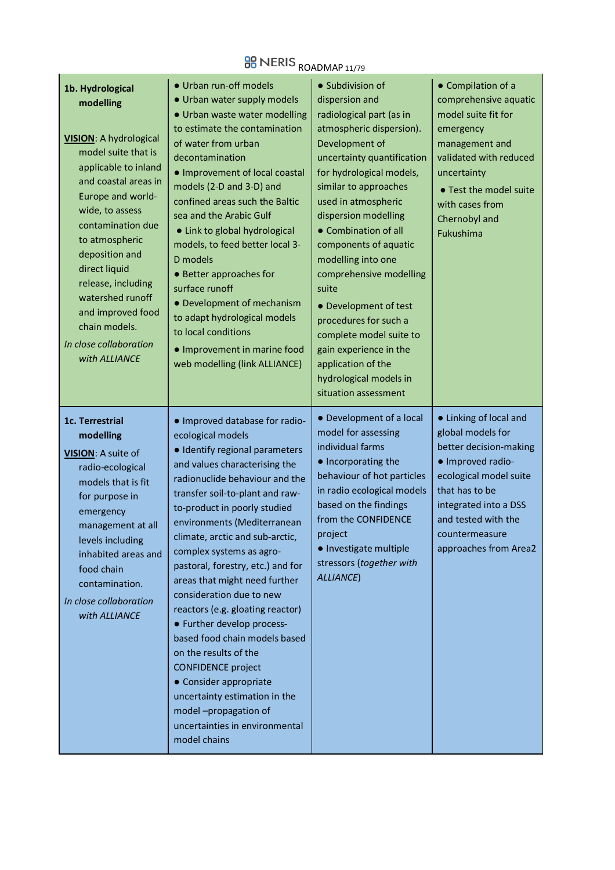# **BB** NERIS <sub>ROADMAP 11/79</sub>

| 1b. Hydrological<br>modelling<br><b>VISION: A hydrological</b><br>model suite that is<br>applicable to inland<br>and coastal areas in<br>Europe and world-<br>wide, to assess<br>contamination due<br>to atmospheric<br>deposition and<br>direct liquid<br>release, including<br>watershed runoff<br>and improved food<br>chain models.<br>In close collaboration<br>with ALLIANCE | • Urban run-off models<br>• Urban water supply models<br>• Urban waste water modelling<br>to estimate the contamination<br>of water from urban<br>decontamination<br>• Improvement of local coastal<br>models (2-D and 3-D) and<br>confined areas such the Baltic<br>sea and the Arabic Gulf<br>• Link to global hydrological<br>models, to feed better local 3-<br>D models<br>• Better approaches for<br>surface runoff<br>• Development of mechanism<br>to adapt hydrological models<br>to local conditions<br>• Improvement in marine food<br>web modelling (link ALLIANCE)                                                                                                                                           | • Subdivision of<br>dispersion and<br>radiological part (as in<br>atmospheric dispersion).<br>Development of<br>uncertainty quantification<br>for hydrological models,<br>similar to approaches<br>used in atmospheric<br>dispersion modelling<br>• Combination of all<br>components of aquatic<br>modelling into one<br>comprehensive modelling<br>suite<br>• Development of test<br>procedures for such a<br>complete model suite to<br>gain experience in the<br>application of the<br>hydrological models in<br>situation assessment | • Compilation of a<br>comprehensive aquatic<br>model suite fit for<br>emergency<br>management and<br>validated with reduced<br>uncertainty<br>• Test the model suite<br>with cases from<br>Chernobyl and<br>Fukushima             |
|------------------------------------------------------------------------------------------------------------------------------------------------------------------------------------------------------------------------------------------------------------------------------------------------------------------------------------------------------------------------------------|---------------------------------------------------------------------------------------------------------------------------------------------------------------------------------------------------------------------------------------------------------------------------------------------------------------------------------------------------------------------------------------------------------------------------------------------------------------------------------------------------------------------------------------------------------------------------------------------------------------------------------------------------------------------------------------------------------------------------|------------------------------------------------------------------------------------------------------------------------------------------------------------------------------------------------------------------------------------------------------------------------------------------------------------------------------------------------------------------------------------------------------------------------------------------------------------------------------------------------------------------------------------------|-----------------------------------------------------------------------------------------------------------------------------------------------------------------------------------------------------------------------------------|
| 1c. Terrestrial<br>modelling<br>VISION: A suite of<br>radio-ecological<br>models that is fit<br>for purpose in<br>emergency<br>management at all<br>levels including<br>inhabited areas and<br>food chain<br>contamination.<br>In close collaboration<br>with ALLIANCE                                                                                                             | · Improved database for radio-<br>ecological models<br>· Identify regional parameters<br>and values characterising the<br>radionuclide behaviour and the<br>transfer soil-to-plant and raw-<br>to-product in poorly studied<br>environments (Mediterranean<br>climate, arctic and sub-arctic,<br>complex systems as agro-<br>pastoral, forestry, etc.) and for<br>areas that might need further<br>consideration due to new<br>reactors (e.g. gloating reactor)<br>• Further develop process-<br>based food chain models based<br>on the results of the<br><b>CONFIDENCE project</b><br>• Consider appropriate<br>uncertainty estimation in the<br>model-propagation of<br>uncertainties in environmental<br>model chains | • Development of a local<br>model for assessing<br>individual farms<br>• Incorporating the<br>behaviour of hot particles<br>in radio ecological models<br>based on the findings<br>from the CONFIDENCE<br>project<br>· Investigate multiple<br>stressors (together with<br><b>ALLIANCE</b> )                                                                                                                                                                                                                                             | • Linking of local and<br>global models for<br>better decision-making<br>· Improved radio-<br>ecological model suite<br>that has to be<br>integrated into a DSS<br>and tested with the<br>countermeasure<br>approaches from Area2 |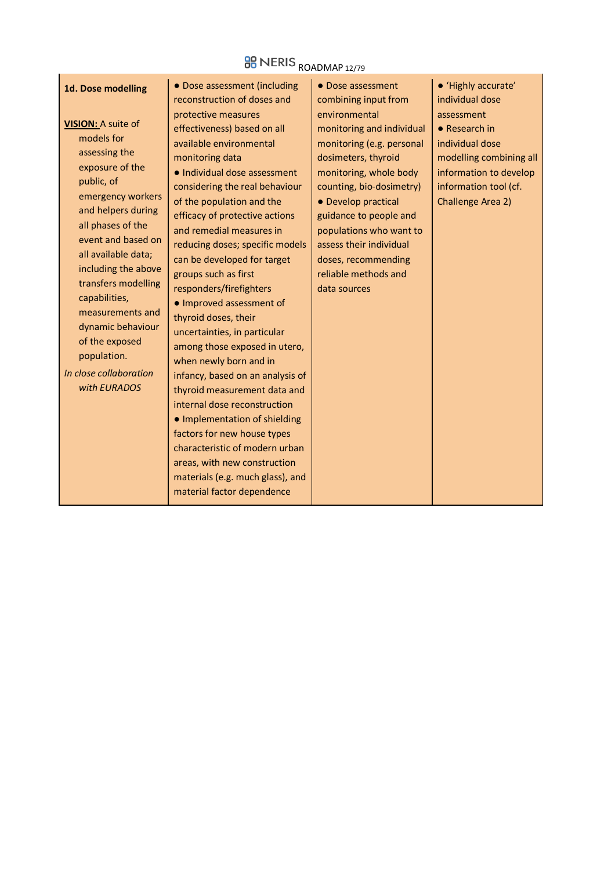# **BB** NERIS <sub>ROADMAP 12/79</sub>

| 1d. Dose modelling<br><b>VISION: A suite of</b><br>models for<br>assessing the<br>exposure of the<br>public, of<br>emergency workers<br>and helpers during<br>all phases of the<br>event and based on<br>all available data;<br>including the above<br>transfers modelling<br>capabilities,<br>measurements and<br>dynamic behaviour<br>of the exposed<br>population.<br>In close collaboration<br>with EURADOS | • Dose assessment (including<br>reconstruction of doses and<br>protective measures<br>effectiveness) based on all<br>available environmental<br>monitoring data<br>· Individual dose assessment<br>considering the real behaviour<br>of the population and the<br>efficacy of protective actions<br>and remedial measures in<br>reducing doses; specific models<br>can be developed for target<br>groups such as first<br>responders/firefighters<br>· Improved assessment of<br>thyroid doses, their<br>uncertainties, in particular<br>among those exposed in utero,<br>when newly born and in<br>infancy, based on an analysis of<br>thyroid measurement data and<br>internal dose reconstruction<br>• Implementation of shielding<br>factors for new house types<br>characteristic of modern urban<br>areas, with new construction<br>materials (e.g. much glass), and<br>material factor dependence | • Dose assessment<br>combining input from<br>environmental<br>monitoring and individual<br>monitoring (e.g. personal<br>dosimeters, thyroid<br>monitoring, whole body<br>counting, bio-dosimetry)<br>• Develop practical<br>guidance to people and<br>populations who want to<br>assess their individual<br>doses, recommending<br>reliable methods and<br>data sources | · 'Highly accurate'<br>individual dose<br>assessment<br>$\bullet$ Research in<br>individual dose<br>modelling combining all<br>information to develop<br>information tool (cf.<br>Challenge Area 2) |
|-----------------------------------------------------------------------------------------------------------------------------------------------------------------------------------------------------------------------------------------------------------------------------------------------------------------------------------------------------------------------------------------------------------------|----------------------------------------------------------------------------------------------------------------------------------------------------------------------------------------------------------------------------------------------------------------------------------------------------------------------------------------------------------------------------------------------------------------------------------------------------------------------------------------------------------------------------------------------------------------------------------------------------------------------------------------------------------------------------------------------------------------------------------------------------------------------------------------------------------------------------------------------------------------------------------------------------------|-------------------------------------------------------------------------------------------------------------------------------------------------------------------------------------------------------------------------------------------------------------------------------------------------------------------------------------------------------------------------|-----------------------------------------------------------------------------------------------------------------------------------------------------------------------------------------------------|
|-----------------------------------------------------------------------------------------------------------------------------------------------------------------------------------------------------------------------------------------------------------------------------------------------------------------------------------------------------------------------------------------------------------------|----------------------------------------------------------------------------------------------------------------------------------------------------------------------------------------------------------------------------------------------------------------------------------------------------------------------------------------------------------------------------------------------------------------------------------------------------------------------------------------------------------------------------------------------------------------------------------------------------------------------------------------------------------------------------------------------------------------------------------------------------------------------------------------------------------------------------------------------------------------------------------------------------------|-------------------------------------------------------------------------------------------------------------------------------------------------------------------------------------------------------------------------------------------------------------------------------------------------------------------------------------------------------------------------|-----------------------------------------------------------------------------------------------------------------------------------------------------------------------------------------------------|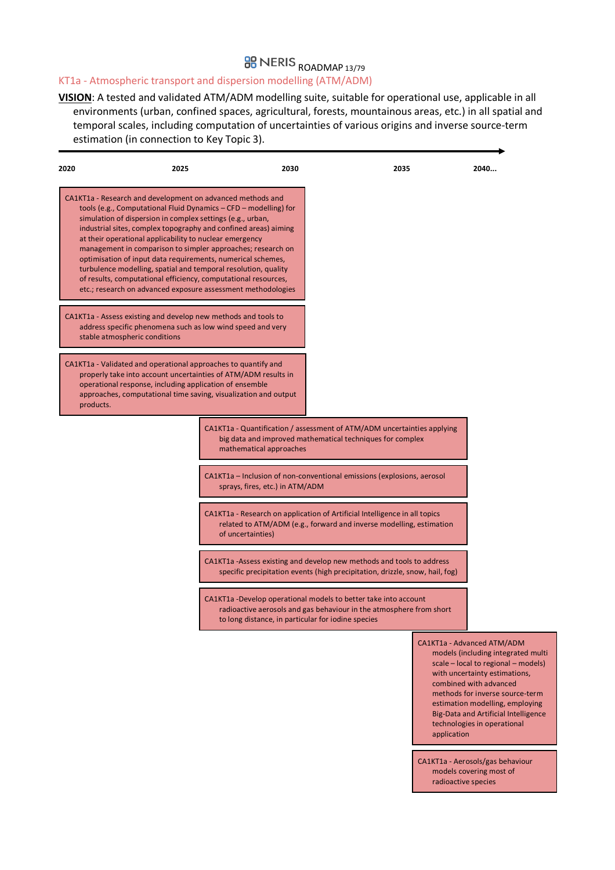## **BB** NERIS ROADMAP 13/79

### KT1a - Atmospheric transport and dispersion modelling (ATM/ADM)

**VISION**: A tested and validated ATM/ADM modelling suite, suitable for operational use, applicable in all environments (urban, confined spaces, agricultural, forests, mountainous areas, etc.) in all spatial and temporal scales, including computation of uncertainties of various origins and inverse source-term estimation (in connection to Key Topic 3).

| 2020 | 2025                                                                                                                                                                                                                                                                                                                                                                                                                                                                                                                                                                                                                                                             | 2030                                               | 2035                                                                                                                                                 |                     | 2040                                                                                                                                                                                                                                                                                                                   |
|------|------------------------------------------------------------------------------------------------------------------------------------------------------------------------------------------------------------------------------------------------------------------------------------------------------------------------------------------------------------------------------------------------------------------------------------------------------------------------------------------------------------------------------------------------------------------------------------------------------------------------------------------------------------------|----------------------------------------------------|------------------------------------------------------------------------------------------------------------------------------------------------------|---------------------|------------------------------------------------------------------------------------------------------------------------------------------------------------------------------------------------------------------------------------------------------------------------------------------------------------------------|
|      | CA1KT1a - Research and development on advanced methods and<br>tools (e.g., Computational Fluid Dynamics $-$ CFD $-$ modelling) for<br>simulation of dispersion in complex settings (e.g., urban,<br>industrial sites, complex topography and confined areas) aiming<br>at their operational applicability to nuclear emergency<br>management in comparison to simpler approaches; research on<br>optimisation of input data requirements, numerical schemes,<br>turbulence modelling, spatial and temporal resolution, quality<br>of results, computational efficiency, computational resources,<br>etc.; research on advanced exposure assessment methodologies |                                                    |                                                                                                                                                      |                     |                                                                                                                                                                                                                                                                                                                        |
|      | CA1KT1a - Assess existing and develop new methods and tools to<br>address specific phenomena such as low wind speed and very<br>stable atmospheric conditions                                                                                                                                                                                                                                                                                                                                                                                                                                                                                                    |                                                    |                                                                                                                                                      |                     |                                                                                                                                                                                                                                                                                                                        |
|      | CA1KT1a - Validated and operational approaches to quantify and<br>properly take into account uncertainties of ATM/ADM results in<br>operational response, including application of ensemble<br>approaches, computational time saving, visualization and output<br>products.                                                                                                                                                                                                                                                                                                                                                                                      |                                                    |                                                                                                                                                      |                     |                                                                                                                                                                                                                                                                                                                        |
|      |                                                                                                                                                                                                                                                                                                                                                                                                                                                                                                                                                                                                                                                                  | mathematical approaches                            | CA1KT1a - Quantification / assessment of ATM/ADM uncertainties applying<br>big data and improved mathematical techniques for complex                 |                     |                                                                                                                                                                                                                                                                                                                        |
|      |                                                                                                                                                                                                                                                                                                                                                                                                                                                                                                                                                                                                                                                                  | sprays, fires, etc.) in ATM/ADM                    | CA1KT1a – Inclusion of non-conventional emissions (explosions, aerosol                                                                               |                     |                                                                                                                                                                                                                                                                                                                        |
|      |                                                                                                                                                                                                                                                                                                                                                                                                                                                                                                                                                                                                                                                                  | of uncertainties)                                  | CA1KT1a - Research on application of Artificial Intelligence in all topics<br>related to ATM/ADM (e.g., forward and inverse modelling, estimation    |                     |                                                                                                                                                                                                                                                                                                                        |
|      |                                                                                                                                                                                                                                                                                                                                                                                                                                                                                                                                                                                                                                                                  |                                                    | CA1KT1a-Assess existing and develop new methods and tools to address<br>specific precipitation events (high precipitation, drizzle, snow, hail, fog) |                     |                                                                                                                                                                                                                                                                                                                        |
|      |                                                                                                                                                                                                                                                                                                                                                                                                                                                                                                                                                                                                                                                                  | to long distance, in particular for iodine species | CA1KT1a -Develop operational models to better take into account<br>radioactive aerosols and gas behaviour in the atmosphere from short               |                     |                                                                                                                                                                                                                                                                                                                        |
|      |                                                                                                                                                                                                                                                                                                                                                                                                                                                                                                                                                                                                                                                                  |                                                    |                                                                                                                                                      | application         | CA1KT1a - Advanced ATM/ADM<br>models (including integrated multi<br>scale - local to regional - models)<br>with uncertainty estimations,<br>combined with advanced<br>methods for inverse source-term<br>estimation modelling, employing<br><b>Big-Data and Artificial Intelligence</b><br>technologies in operational |
|      |                                                                                                                                                                                                                                                                                                                                                                                                                                                                                                                                                                                                                                                                  |                                                    |                                                                                                                                                      | radioactive species | CA1KT1a - Aerosols/gas behaviour<br>models covering most of                                                                                                                                                                                                                                                            |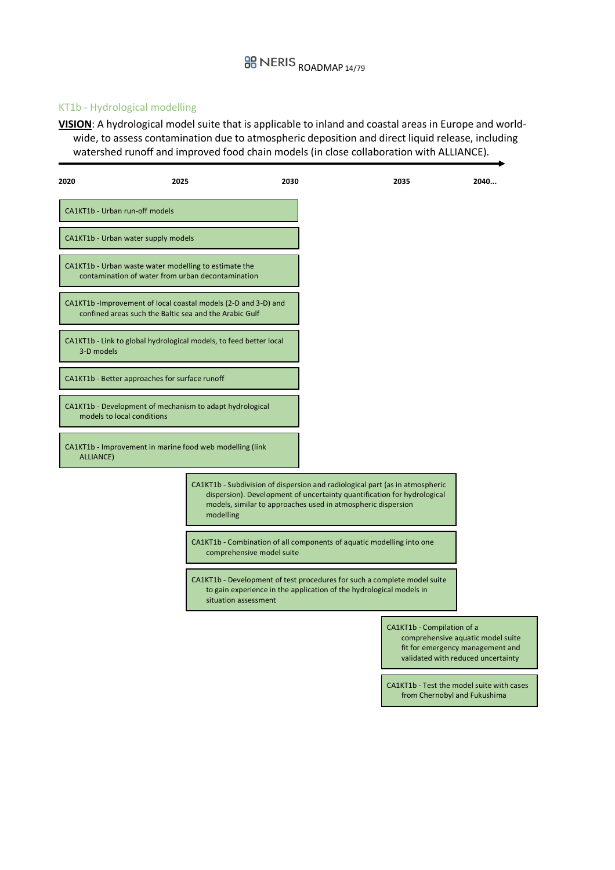#### KT1b - Hydrological modelling

**VISION**: A hydrological model suite that is applicable to inland and coastal areas in Europe and worldwide, to assess contamination due to atmospheric deposition and direct liquid release, including watershed runoff and improved food chain models (in close collaboration with ALLIANCE).

| 2020       | 2025                                                                                                       |                                                                                                    | 2030 |                                                                                                                                         | 2035                                                             | 2040                                                                  |
|------------|------------------------------------------------------------------------------------------------------------|----------------------------------------------------------------------------------------------------|------|-----------------------------------------------------------------------------------------------------------------------------------------|------------------------------------------------------------------|-----------------------------------------------------------------------|
|            | CA1KT1b - Urban run-off models                                                                             |                                                                                                    |      |                                                                                                                                         |                                                                  |                                                                       |
|            | CA1KT1b - Urban water supply models                                                                        |                                                                                                    |      |                                                                                                                                         |                                                                  |                                                                       |
|            | CA1KT1b - Urban waste water modelling to estimate the<br>contamination of water from urban decontamination |                                                                                                    |      |                                                                                                                                         |                                                                  |                                                                       |
|            | confined areas such the Baltic sea and the Arabic Gulf                                                     | CA1KT1b -Improvement of local coastal models (2-D and 3-D) and                                     |      |                                                                                                                                         |                                                                  |                                                                       |
| 3-D models |                                                                                                            | CA1KT1b - Link to global hydrological models, to feed better local                                 |      |                                                                                                                                         |                                                                  |                                                                       |
|            | CA1KT1b - Better approaches for surface runoff                                                             |                                                                                                    |      |                                                                                                                                         |                                                                  |                                                                       |
|            | models to local conditions                                                                                 | CA1KT1b - Development of mechanism to adapt hydrological                                           |      |                                                                                                                                         |                                                                  |                                                                       |
| ALLIANCE)  |                                                                                                            | CA1KT1b - Improvement in marine food web modelling (link                                           |      |                                                                                                                                         |                                                                  |                                                                       |
|            |                                                                                                            | CA1KT1b - Subdivision of dispersion and radiological part (as in atmospheric<br>modelling          |      | dispersion). Development of uncertainty quantification for hydrological<br>models, similar to approaches used in atmospheric dispersion |                                                                  |                                                                       |
|            |                                                                                                            | CA1KT1b - Combination of all components of aquatic modelling into one<br>comprehensive model suite |      |                                                                                                                                         |                                                                  |                                                                       |
|            |                                                                                                            | CA1KT1b - Development of test procedures for such a complete model suite<br>situation assessment   |      | to gain experience in the application of the hydrological models in                                                                     |                                                                  |                                                                       |
|            |                                                                                                            |                                                                                                    |      |                                                                                                                                         | CA1KT1b - Compilation of a<br>validated with reduced uncertainty | comprehensive aquatic model suite<br>fit for emergency management and |

CA1KT1b - Test the model suite with cases from Chernobyl and Fukushima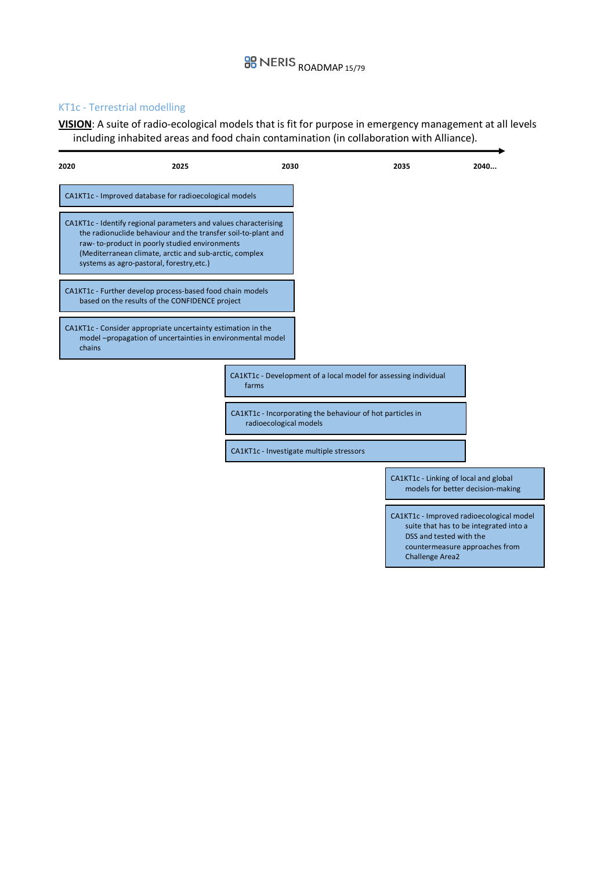#### KT1c - Terrestrial modelling

**VISION**: A suite of radio-ecological models that is fit for purpose in emergency management at all levels including inhabited areas and food chain contamination (in collaboration with Alliance).

| 2020 | 2025                                                                                                                                                                                                                                                                                      | 2030                   |                                                                 | 2035                                                                                                                            | 2040                                   |
|------|-------------------------------------------------------------------------------------------------------------------------------------------------------------------------------------------------------------------------------------------------------------------------------------------|------------------------|-----------------------------------------------------------------|---------------------------------------------------------------------------------------------------------------------------------|----------------------------------------|
|      | CA1KT1c - Improved database for radioecological models                                                                                                                                                                                                                                    |                        |                                                                 |                                                                                                                                 |                                        |
|      | CA1KT1c - Identify regional parameters and values characterising<br>the radionuclide behaviour and the transfer soil-to-plant and<br>raw-to-product in poorly studied environments<br>(Mediterranean climate, arctic and sub-arctic, complex<br>systems as agro-pastoral, forestry, etc.) |                        |                                                                 |                                                                                                                                 |                                        |
|      | CA1KT1c - Further develop process-based food chain models<br>based on the results of the CONFIDENCE project                                                                                                                                                                               |                        |                                                                 |                                                                                                                                 |                                        |
|      | CA1KT1c - Consider appropriate uncertainty estimation in the<br>model -propagation of uncertainties in environmental model<br>chains                                                                                                                                                      |                        |                                                                 |                                                                                                                                 |                                        |
|      |                                                                                                                                                                                                                                                                                           | farms                  | CA1KT1c - Development of a local model for assessing individual |                                                                                                                                 |                                        |
|      |                                                                                                                                                                                                                                                                                           | radioecological models | CA1KT1c - Incorporating the behaviour of hot particles in       |                                                                                                                                 |                                        |
|      |                                                                                                                                                                                                                                                                                           |                        | CA1KT1c - Investigate multiple stressors                        |                                                                                                                                 |                                        |
|      |                                                                                                                                                                                                                                                                                           |                        |                                                                 | CA1KT1c - Linking of local and global<br>models for better decision-making                                                      |                                        |
|      |                                                                                                                                                                                                                                                                                           |                        |                                                                 | CA1KT1c - Improved radioecological model<br>DSS and tested with the<br>countermeasure approaches from<br><b>Challenge Area2</b> | suite that has to be integrated into a |
|      |                                                                                                                                                                                                                                                                                           |                        |                                                                 |                                                                                                                                 |                                        |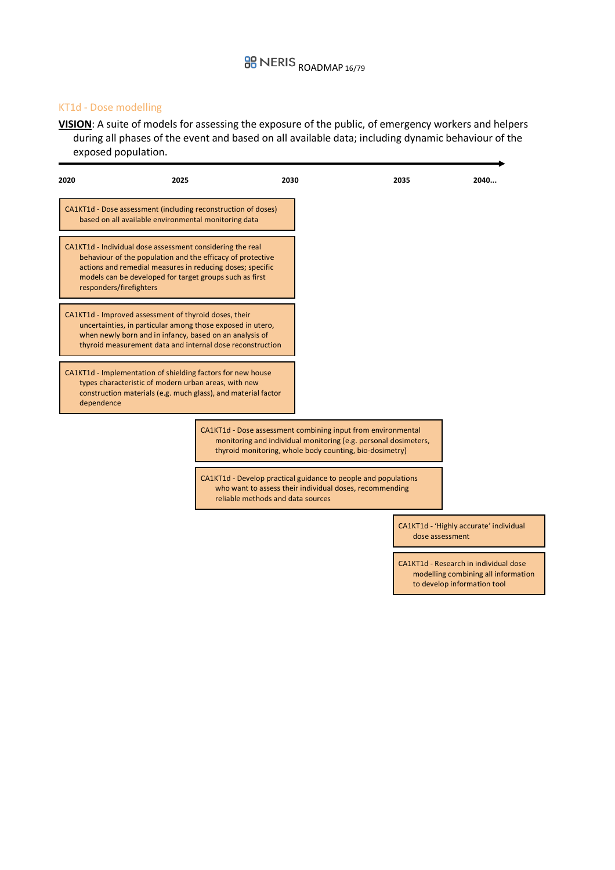#### KT1d - Dose modelling

**VISION**: A suite of models for assessing the exposure of the public, of emergency workers and helpers during all phases of the event and based on all available data; including dynamic behaviour of the exposed population.

| 2020 | 2025                                                                                                                                                                                                                                                                       |                                   | 2030                                                                                                                                                                                       | 2035            | 2040                                   |
|------|----------------------------------------------------------------------------------------------------------------------------------------------------------------------------------------------------------------------------------------------------------------------------|-----------------------------------|--------------------------------------------------------------------------------------------------------------------------------------------------------------------------------------------|-----------------|----------------------------------------|
|      | CA1KT1d - Dose assessment (including reconstruction of doses)<br>based on all available environmental monitoring data                                                                                                                                                      |                                   |                                                                                                                                                                                            |                 |                                        |
|      | CA1KT1d - Individual dose assessment considering the real<br>behaviour of the population and the efficacy of protective<br>actions and remedial measures in reducing doses; specific<br>models can be developed for target groups such as first<br>responders/firefighters |                                   |                                                                                                                                                                                            |                 |                                        |
|      | CA1KT1d - Improved assessment of thyroid doses, their<br>uncertainties, in particular among those exposed in utero,<br>when newly born and in infancy, based on an analysis of<br>thyroid measurement data and internal dose reconstruction                                |                                   |                                                                                                                                                                                            |                 |                                        |
|      | CA1KT1d - Implementation of shielding factors for new house<br>types characteristic of modern urban areas, with new<br>construction materials (e.g. much glass), and material factor<br>dependence                                                                         |                                   |                                                                                                                                                                                            |                 |                                        |
|      |                                                                                                                                                                                                                                                                            |                                   | CA1KT1d - Dose assessment combining input from environmental<br>monitoring and individual monitoring (e.g. personal dosimeters,<br>thyroid monitoring, whole body counting, bio-dosimetry) |                 |                                        |
|      |                                                                                                                                                                                                                                                                            | reliable methods and data sources | CA1KT1d - Develop practical guidance to people and populations<br>who want to assess their individual doses, recommending                                                                  |                 |                                        |
|      |                                                                                                                                                                                                                                                                            |                                   |                                                                                                                                                                                            | dose assessment | CA1KT1d - 'Highly accurate' individual |
|      |                                                                                                                                                                                                                                                                            |                                   |                                                                                                                                                                                            |                 | CA1KT1d - Research in individual dose  |

modelling combining all information to develop information tool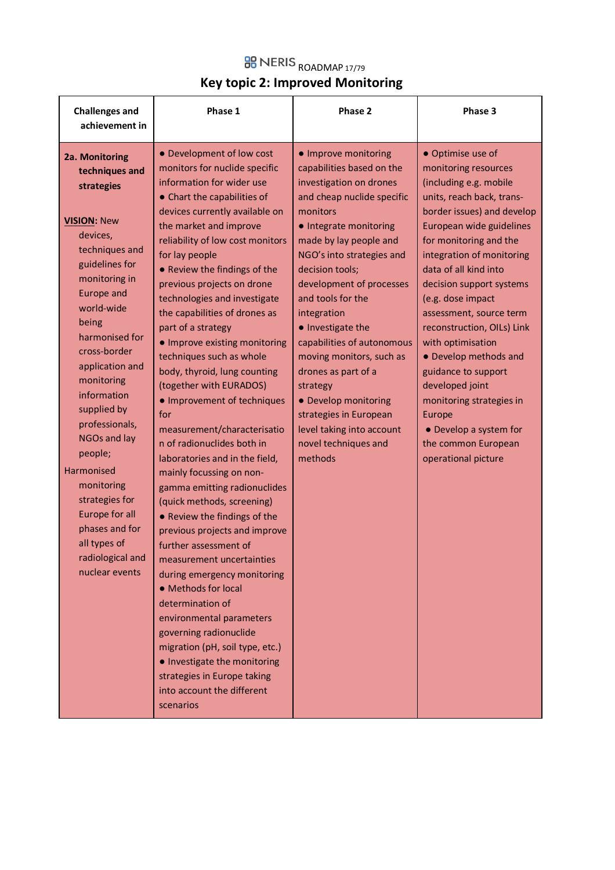### **BB** NERIS ROADMAP 17/79 **Key topic 2: Improved Monitoring**

| <b>Challenges and</b><br>achievement in                                                                                                                                                                                                                                                                                                                                                                                                                                        | Phase 1                                                                                                                                                                                                                                                                                                                                                                                                                                                                                                                                                                                                                                                                                                                                                                                                                                                                                                                                                                                                                                                                                                                                                  | Phase 2                                                                                                                                                                                                                                                                                                                                                                                                                                                                                                                        | Phase 3                                                                                                                                                                                                                                                                                                                                                                                                                                                                                                                                                    |
|--------------------------------------------------------------------------------------------------------------------------------------------------------------------------------------------------------------------------------------------------------------------------------------------------------------------------------------------------------------------------------------------------------------------------------------------------------------------------------|----------------------------------------------------------------------------------------------------------------------------------------------------------------------------------------------------------------------------------------------------------------------------------------------------------------------------------------------------------------------------------------------------------------------------------------------------------------------------------------------------------------------------------------------------------------------------------------------------------------------------------------------------------------------------------------------------------------------------------------------------------------------------------------------------------------------------------------------------------------------------------------------------------------------------------------------------------------------------------------------------------------------------------------------------------------------------------------------------------------------------------------------------------|--------------------------------------------------------------------------------------------------------------------------------------------------------------------------------------------------------------------------------------------------------------------------------------------------------------------------------------------------------------------------------------------------------------------------------------------------------------------------------------------------------------------------------|------------------------------------------------------------------------------------------------------------------------------------------------------------------------------------------------------------------------------------------------------------------------------------------------------------------------------------------------------------------------------------------------------------------------------------------------------------------------------------------------------------------------------------------------------------|
| 2a. Monitoring<br>techniques and<br>strategies<br><b>VISION: New</b><br>devices,<br>techniques and<br>guidelines for<br>monitoring in<br>Europe and<br>world-wide<br>being<br>harmonised for<br>cross-border<br>application and<br>monitoring<br>information<br>supplied by<br>professionals,<br><b>NGOs and lay</b><br>people;<br><b>Harmonised</b><br>monitoring<br>strategies for<br>Europe for all<br>phases and for<br>all types of<br>radiological and<br>nuclear events | • Development of low cost<br>monitors for nuclide specific<br>information for wider use<br>• Chart the capabilities of<br>devices currently available on<br>the market and improve<br>reliability of low cost monitors<br>for lay people<br>• Review the findings of the<br>previous projects on drone<br>technologies and investigate<br>the capabilities of drones as<br>part of a strategy<br>• Improve existing monitoring<br>techniques such as whole<br>body, thyroid, lung counting<br>(together with EURADOS)<br>• Improvement of techniques<br>for<br>measurement/characterisatio<br>n of radionuclides both in<br>laboratories and in the field,<br>mainly focussing on non-<br>gamma emitting radionuclides<br>(quick methods, screening)<br>• Review the findings of the<br>previous projects and improve<br>further assessment of<br>measurement uncertainties<br>during emergency monitoring<br>• Methods for local<br>determination of<br>environmental parameters<br>governing radionuclide<br>migration (pH, soil type, etc.)<br>• Investigate the monitoring<br>strategies in Europe taking<br>into account the different<br>scenarios | • Improve monitoring<br>capabilities based on the<br>investigation on drones<br>and cheap nuclide specific<br>monitors<br>• Integrate monitoring<br>made by lay people and<br>NGO's into strategies and<br>decision tools;<br>development of processes<br>and tools for the<br>integration<br>• Investigate the<br>capabilities of autonomous<br>moving monitors, such as<br>drones as part of a<br>strategy<br>• Develop monitoring<br>strategies in European<br>level taking into account<br>novel techniques and<br>methods | • Optimise use of<br>monitoring resources<br>(including e.g. mobile<br>units, reach back, trans-<br>border issues) and develop<br>European wide guidelines<br>for monitoring and the<br>integration of monitoring<br>data of all kind into<br>decision support systems<br>(e.g. dose impact<br>assessment, source term<br>reconstruction, OILs) Link<br>with optimisation<br>• Develop methods and<br>guidance to support<br>developed joint<br>monitoring strategies in<br>Europe<br>• Develop a system for<br>the common European<br>operational picture |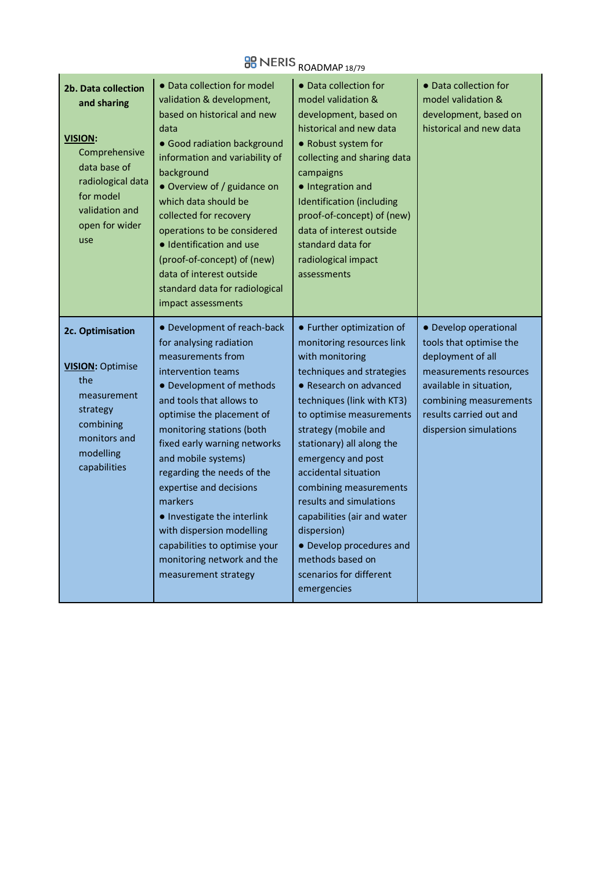# **BB** NERIS <sub>ROADMAP 18/79</sub>

| 2b. Data collection<br>and sharing<br><b>VISION:</b><br>Comprehensive<br>data base of<br>radiological data<br>for model<br>validation and<br>open for wider<br>use | • Data collection for model<br>validation & development,<br>based on historical and new<br>data<br>• Good radiation background<br>information and variability of<br>background<br>• Overview of / guidance on<br>which data should be<br>collected for recovery<br>operations to be considered<br>• Identification and use<br>(proof-of-concept) of (new)<br>data of interest outside<br>standard data for radiological<br>impact assessments                                                     | • Data collection for<br>model validation &<br>development, based on<br>historical and new data<br>• Robust system for<br>collecting and sharing data<br>campaigns<br>• Integration and<br><b>Identification (including</b><br>proof-of-concept) of (new)<br>data of interest outside<br>standard data for<br>radiological impact<br>assessments                                                                                                                                           | • Data collection for<br>model validation &<br>development, based on<br>historical and new data                                                                                                           |
|--------------------------------------------------------------------------------------------------------------------------------------------------------------------|---------------------------------------------------------------------------------------------------------------------------------------------------------------------------------------------------------------------------------------------------------------------------------------------------------------------------------------------------------------------------------------------------------------------------------------------------------------------------------------------------|--------------------------------------------------------------------------------------------------------------------------------------------------------------------------------------------------------------------------------------------------------------------------------------------------------------------------------------------------------------------------------------------------------------------------------------------------------------------------------------------|-----------------------------------------------------------------------------------------------------------------------------------------------------------------------------------------------------------|
| 2c. Optimisation<br><b>VISION: Optimise</b><br>the<br>measurement<br>strategy<br>combining<br>monitors and<br>modelling<br>capabilities                            | • Development of reach-back<br>for analysing radiation<br>measurements from<br>intervention teams<br>• Development of methods<br>and tools that allows to<br>optimise the placement of<br>monitoring stations (both<br>fixed early warning networks<br>and mobile systems)<br>regarding the needs of the<br>expertise and decisions<br>markers<br>• Investigate the interlink<br>with dispersion modelling<br>capabilities to optimise your<br>monitoring network and the<br>measurement strategy | • Further optimization of<br>monitoring resources link<br>with monitoring<br>techniques and strategies<br>• Research on advanced<br>techniques (link with KT3)<br>to optimise measurements<br>strategy (mobile and<br>stationary) all along the<br>emergency and post<br>accidental situation<br>combining measurements<br>results and simulations<br>capabilities (air and water<br>dispersion)<br>• Develop procedures and<br>methods based on<br>scenarios for different<br>emergencies | • Develop operational<br>tools that optimise the<br>deployment of all<br>measurements resources<br>available in situation,<br>combining measurements<br>results carried out and<br>dispersion simulations |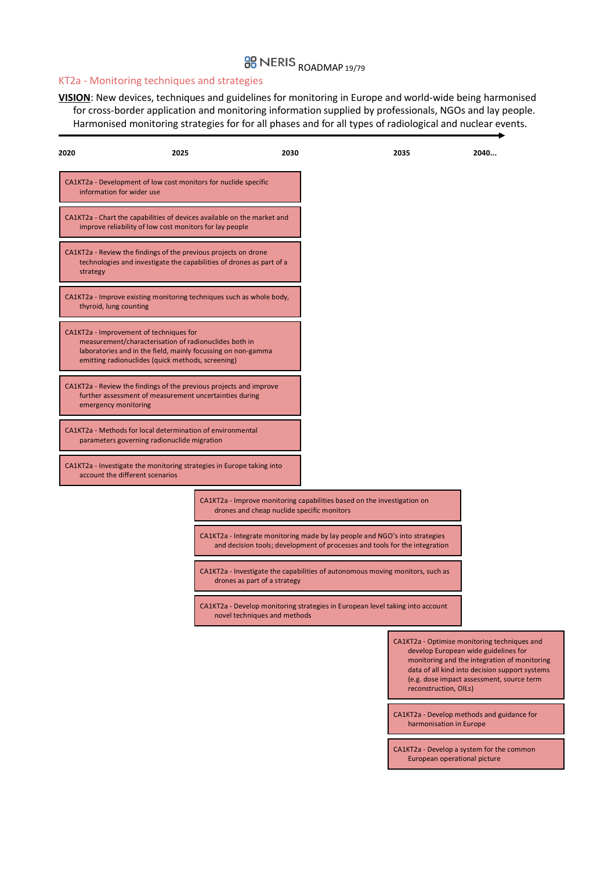## **BB** NERIS ROADMAP 19/79

#### KT2a - Monitoring techniques and strategies

**VISION**: New devices, techniques and guidelines for monitoring in Europe and world-wide being harmonised for cross-border application and monitoring information supplied by professionals, NGOs and lay people. Harmonised monitoring strategies for for all phases and for all types of radiological and nuclear events.

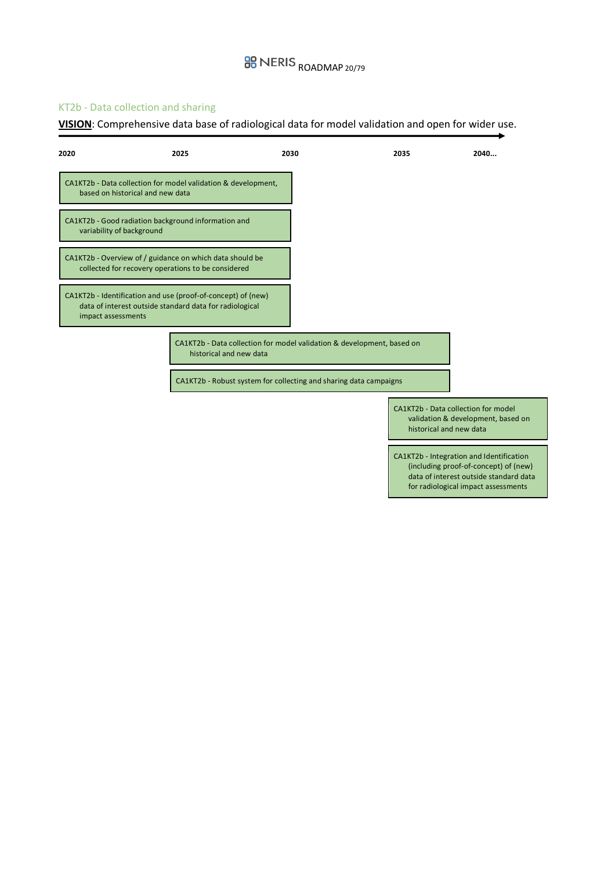#### KT2b - Data collection and sharing

**VISION**: Comprehensive data base of radiological data for model validation and open for wider use.

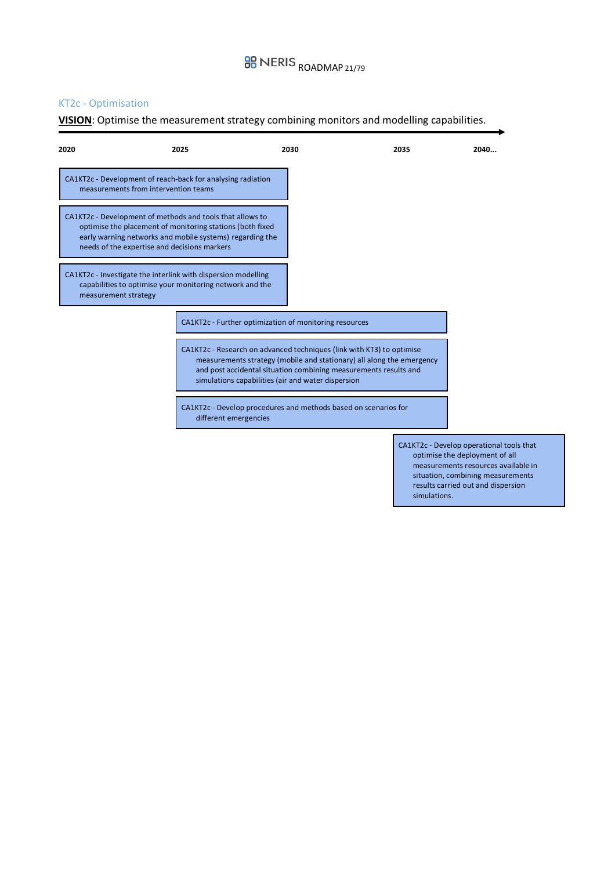## **BB** NERIS ROADMAP 21/79

#### KT2c - Optimisation

#### **VISION**: Optimise the measurement strategy combining monitors and modelling capabilities.

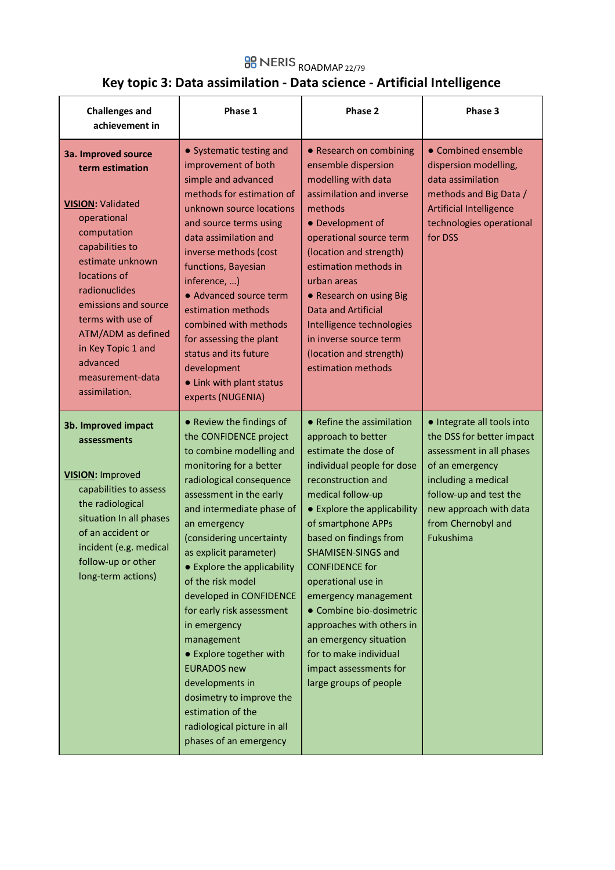## **BB** NERIS <sub>ROADMAP 22/79</sub>

### **Key topic 3: Data assimilation - Data science - Artificial Intelligence**

| <b>Challenges and</b><br>achievement in                                                                                                                                                                                                                                                                            | Phase 1                                                                                                                                                                                                                                                                                                                                                                                                                                                                                                                                                                                     | Phase 2                                                                                                                                                                                                                                                                                                                                                                                                                                                                                       | Phase 3                                                                                                                                                                                                              |
|--------------------------------------------------------------------------------------------------------------------------------------------------------------------------------------------------------------------------------------------------------------------------------------------------------------------|---------------------------------------------------------------------------------------------------------------------------------------------------------------------------------------------------------------------------------------------------------------------------------------------------------------------------------------------------------------------------------------------------------------------------------------------------------------------------------------------------------------------------------------------------------------------------------------------|-----------------------------------------------------------------------------------------------------------------------------------------------------------------------------------------------------------------------------------------------------------------------------------------------------------------------------------------------------------------------------------------------------------------------------------------------------------------------------------------------|----------------------------------------------------------------------------------------------------------------------------------------------------------------------------------------------------------------------|
| 3a. Improved source<br>term estimation<br><b>VISION: Validated</b><br>operational<br>computation<br>capabilities to<br>estimate unknown<br>locations of<br>radionuclides<br>emissions and source<br>terms with use of<br>ATM/ADM as defined<br>in Key Topic 1 and<br>advanced<br>measurement-data<br>assimilation. | • Systematic testing and<br>improvement of both<br>simple and advanced<br>methods for estimation of<br>unknown source locations<br>and source terms using<br>data assimilation and<br>inverse methods (cost<br>functions, Bayesian<br>inference, )<br>• Advanced source term<br>estimation methods<br>combined with methods<br>for assessing the plant<br>status and its future<br>development<br>• Link with plant status<br>experts (NUGENIA)                                                                                                                                             | • Research on combining<br>ensemble dispersion<br>modelling with data<br>assimilation and inverse<br>methods<br>• Development of<br>operational source term<br>(location and strength)<br>estimation methods in<br>urban areas<br>• Research on using Big<br><b>Data and Artificial</b><br>Intelligence technologies<br>in inverse source term<br>(location and strength)<br>estimation methods                                                                                               | • Combined ensemble<br>dispersion modelling,<br>data assimilation<br>methods and Big Data /<br><b>Artificial Intelligence</b><br>technologies operational<br>for DSS                                                 |
| 3b. Improved impact<br>assessments<br><b>VISION: Improved</b><br>capabilities to assess<br>the radiological<br>situation In all phases<br>of an accident or<br>incident (e.g. medical<br>follow-up or other<br>long-term actions)                                                                                  | • Review the findings of<br>the CONFIDENCE project<br>to combine modelling and<br>monitoring for a better<br>radiological consequence<br>assessment in the early<br>and intermediate phase of<br>an emergency<br>(considering uncertainty<br>as explicit parameter)<br>• Explore the applicability<br>of the risk model<br>developed in CONFIDENCE<br>for early risk assessment<br>in emergency<br>management<br>• Explore together with<br><b>EURADOS new</b><br>developments in<br>dosimetry to improve the<br>estimation of the<br>radiological picture in all<br>phases of an emergency | • Refine the assimilation<br>approach to better<br>estimate the dose of<br>individual people for dose<br>reconstruction and<br>medical follow-up<br>• Explore the applicability<br>of smartphone APPs<br>based on findings from<br>SHAMISEN-SINGS and<br><b>CONFIDENCE for</b><br>operational use in<br>emergency management<br>• Combine bio-dosimetric<br>approaches with others in<br>an emergency situation<br>for to make individual<br>impact assessments for<br>large groups of people | · Integrate all tools into<br>the DSS for better impact<br>assessment in all phases<br>of an emergency<br>including a medical<br>follow-up and test the<br>new approach with data<br>from Chernobyl and<br>Fukushima |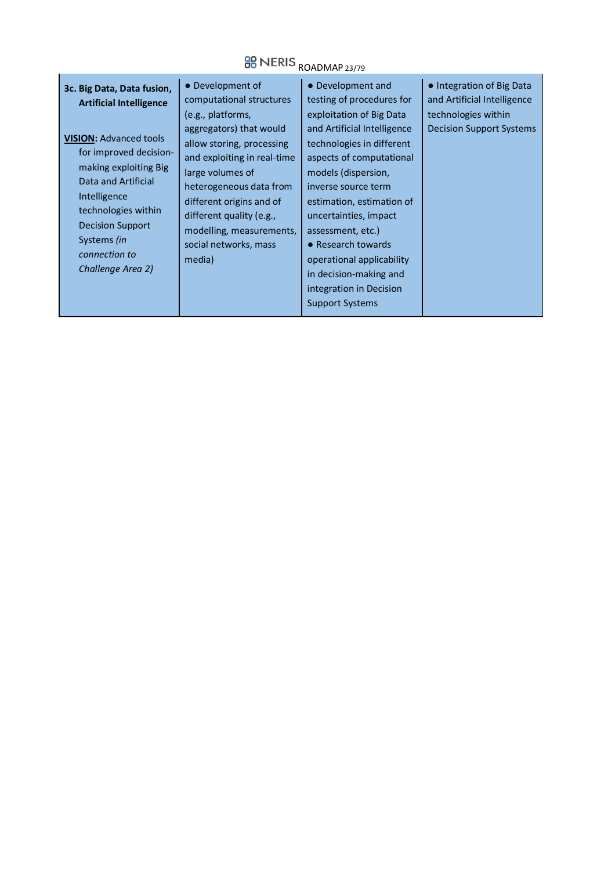# **BB** NERIS <sub>ROADMAP 23/79</sub>

| 3c. Big Data, Data fusion,<br><b>Artificial Intelligence</b><br><b>VISION: Advanced tools</b><br>for improved decision-<br>making exploiting Big<br>Data and Artificial<br>Intelligence<br>technologies within<br><b>Decision Support</b><br>Systems (in<br>connection to<br>Challenge Area 2) | • Development of<br>computational structures<br>(e.g., platforms,<br>aggregators) that would<br>allow storing, processing<br>and exploiting in real-time<br>large volumes of<br>heterogeneous data from<br>different origins and of<br>different quality (e.g.,<br>modelling, measurements,<br>social networks, mass<br>media) | • Development and<br>testing of procedures for<br>exploitation of Big Data<br>and Artificial Intelligence<br>technologies in different<br>aspects of computational<br>models (dispersion,<br>inverse source term<br>estimation, estimation of<br>uncertainties, impact<br>assessment, etc.)<br>• Research towards<br>operational applicability<br>in decision-making and<br>integration in Decision<br><b>Support Systems</b> | • Integration of Big Data<br>and Artificial Intelligence<br>technologies within<br><b>Decision Support Systems</b> |
|------------------------------------------------------------------------------------------------------------------------------------------------------------------------------------------------------------------------------------------------------------------------------------------------|--------------------------------------------------------------------------------------------------------------------------------------------------------------------------------------------------------------------------------------------------------------------------------------------------------------------------------|-------------------------------------------------------------------------------------------------------------------------------------------------------------------------------------------------------------------------------------------------------------------------------------------------------------------------------------------------------------------------------------------------------------------------------|--------------------------------------------------------------------------------------------------------------------|
|------------------------------------------------------------------------------------------------------------------------------------------------------------------------------------------------------------------------------------------------------------------------------------------------|--------------------------------------------------------------------------------------------------------------------------------------------------------------------------------------------------------------------------------------------------------------------------------------------------------------------------------|-------------------------------------------------------------------------------------------------------------------------------------------------------------------------------------------------------------------------------------------------------------------------------------------------------------------------------------------------------------------------------------------------------------------------------|--------------------------------------------------------------------------------------------------------------------|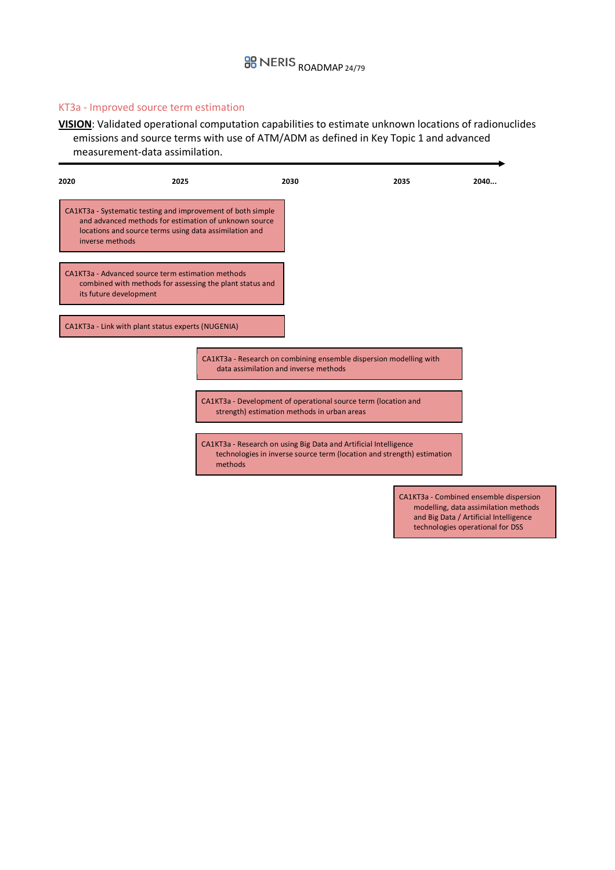#### KT3a - Improved source term estimation

**VISION**: Validated operational computation capabilities to estimate unknown locations of radionuclides emissions and source terms with use of ATM/ADM as defined in Key Topic 1 and advanced measurement-data assimilation.



CA1KT3a - Combined ensemble dispersion modelling, data assimilation methods and Big Data / Artificial Intelligence technologies operational for DSS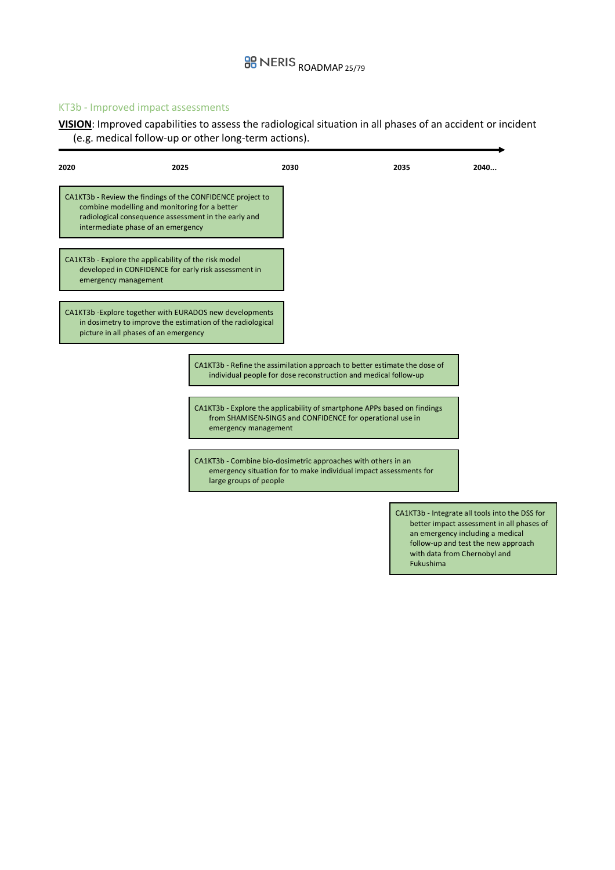#### KT3b - Improved impact assessments

**VISION**: Improved capabilities to assess the radiological situation in all phases of an accident or incident (e.g. medical follow-up or other long-term actions).

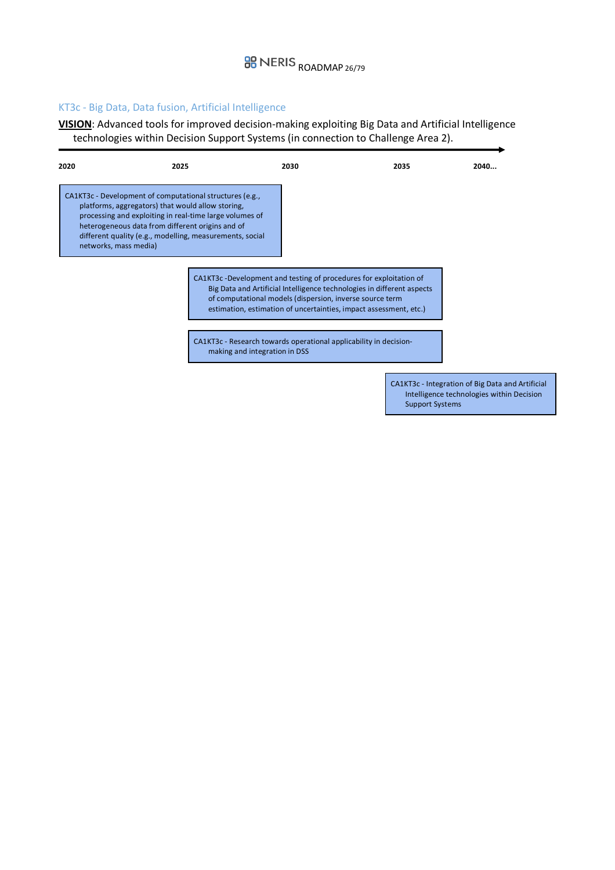#### KT3c - Big Data, Data fusion, Artificial Intelligence

**VISION**: Advanced tools for improved decision-making exploiting Big Data and Artificial Intelligence technologies within Decision Support Systems (in connection to Challenge Area 2).



CA1KT3c - Integration of Big Data and Artificial Intelligence technologies within Decision Support Systems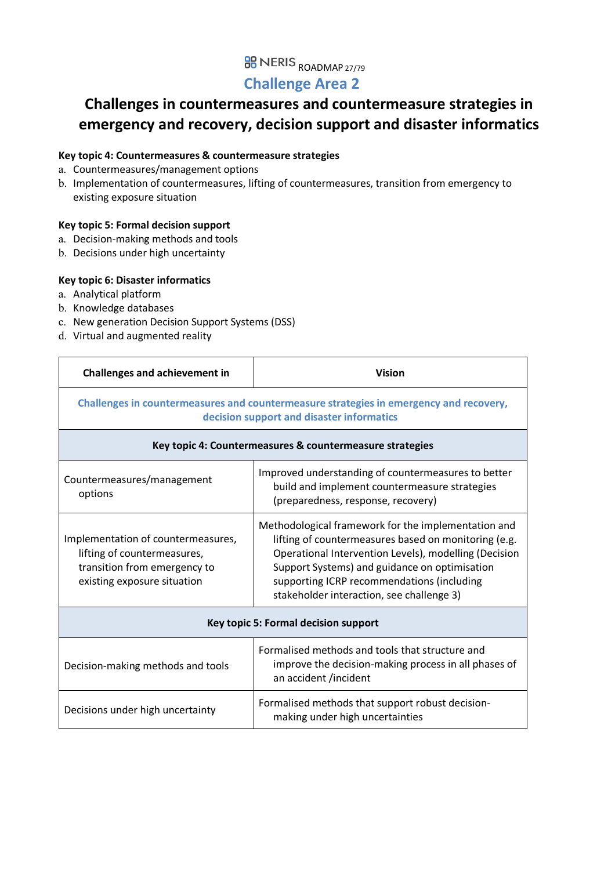### **BB** NERIS ROADMAP 27/79 **Challenge Area 2**

### **Challenges in countermeasures and countermeasure strategies in emergency and recovery, decision support and disaster informatics**

#### **Key topic 4: Countermeasures & countermeasure strategies**

- a. Countermeasures/management options
- b. Implementation of countermeasures, lifting of countermeasures, transition from emergency to existing exposure situation

#### **Key topic 5: Formal decision support**

- a. Decision-making methods and tools
- b. Decisions under high uncertainty

#### **Key topic 6: Disaster informatics**

- a. Analytical platform
- b. Knowledge databases
- c. New generation Decision Support Systems (DSS)
- d. Virtual and augmented reality

| <b>Challenges and achievement in</b>                                                                                                | <b>Vision</b>                                                                                                                                                                                                                                                                                                    |  |  |  |
|-------------------------------------------------------------------------------------------------------------------------------------|------------------------------------------------------------------------------------------------------------------------------------------------------------------------------------------------------------------------------------------------------------------------------------------------------------------|--|--|--|
| Challenges in countermeasures and countermeasure strategies in emergency and recovery,<br>decision support and disaster informatics |                                                                                                                                                                                                                                                                                                                  |  |  |  |
|                                                                                                                                     | Key topic 4: Countermeasures & countermeasure strategies                                                                                                                                                                                                                                                         |  |  |  |
| Countermeasures/management<br>options                                                                                               | Improved understanding of countermeasures to better<br>build and implement countermeasure strategies<br>(preparedness, response, recovery)                                                                                                                                                                       |  |  |  |
| Implementation of countermeasures,<br>lifting of countermeasures,<br>transition from emergency to<br>existing exposure situation    | Methodological framework for the implementation and<br>lifting of countermeasures based on monitoring (e.g.<br>Operational Intervention Levels), modelling (Decision<br>Support Systems) and guidance on optimisation<br>supporting ICRP recommendations (including<br>stakeholder interaction, see challenge 3) |  |  |  |
| Key topic 5: Formal decision support                                                                                                |                                                                                                                                                                                                                                                                                                                  |  |  |  |
| Decision-making methods and tools                                                                                                   | Formalised methods and tools that structure and<br>improve the decision-making process in all phases of<br>an accident /incident                                                                                                                                                                                 |  |  |  |
| Decisions under high uncertainty                                                                                                    | Formalised methods that support robust decision-<br>making under high uncertainties                                                                                                                                                                                                                              |  |  |  |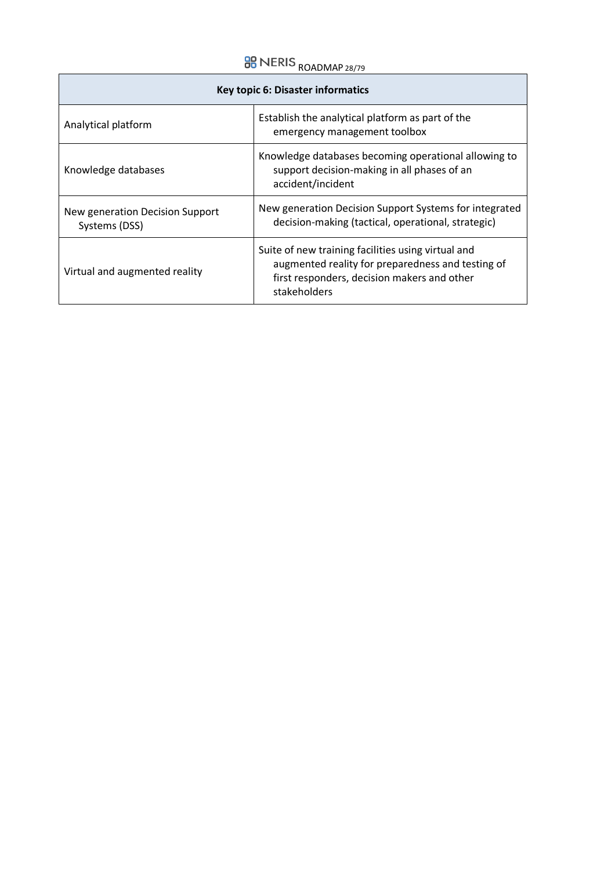# **BB** NERIS ROADMAP 28/79

| Key topic 6: Disaster informatics                |                                                                                                                                                                        |  |  |  |
|--------------------------------------------------|------------------------------------------------------------------------------------------------------------------------------------------------------------------------|--|--|--|
| Analytical platform                              | Establish the analytical platform as part of the<br>emergency management toolbox                                                                                       |  |  |  |
| Knowledge databases                              | Knowledge databases becoming operational allowing to<br>support decision-making in all phases of an<br>accident/incident                                               |  |  |  |
| New generation Decision Support<br>Systems (DSS) | New generation Decision Support Systems for integrated<br>decision-making (tactical, operational, strategic)                                                           |  |  |  |
| Virtual and augmented reality                    | Suite of new training facilities using virtual and<br>augmented reality for preparedness and testing of<br>first responders, decision makers and other<br>stakeholders |  |  |  |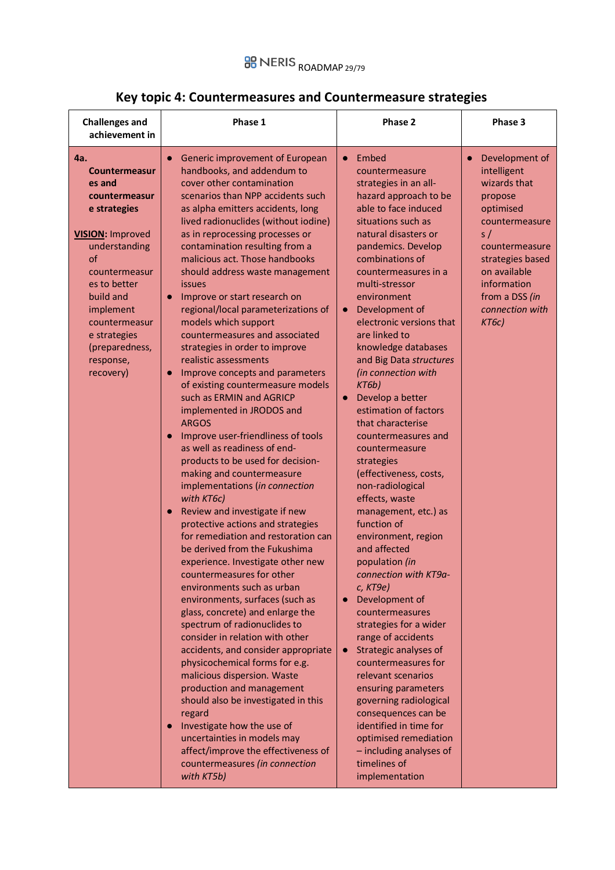### **Key topic 4: Countermeasures and Countermeasure strategies**

| <b>Challenges and</b><br>achievement in                                                                                                                                                                                                                   | Phase 1                                                                                                                                                                                                                                                                                                                                                                                                                                                                                                                                                                                                                                                                                                                                                                                                                                                                                                                                                                                                                                                                                                                                                                                                                                                                                                                                                                                                                                                                                                                                                                                                                                                                                                         | Phase 2                                                                                                                                                                                                                                                                                                                                                                                                                                                                                                                                                                                                                                                                                                                                                                                                                                                                                                                                                                                                                                                                                                                                           | Phase 3                                                                                                                                                                                                          |
|-----------------------------------------------------------------------------------------------------------------------------------------------------------------------------------------------------------------------------------------------------------|-----------------------------------------------------------------------------------------------------------------------------------------------------------------------------------------------------------------------------------------------------------------------------------------------------------------------------------------------------------------------------------------------------------------------------------------------------------------------------------------------------------------------------------------------------------------------------------------------------------------------------------------------------------------------------------------------------------------------------------------------------------------------------------------------------------------------------------------------------------------------------------------------------------------------------------------------------------------------------------------------------------------------------------------------------------------------------------------------------------------------------------------------------------------------------------------------------------------------------------------------------------------------------------------------------------------------------------------------------------------------------------------------------------------------------------------------------------------------------------------------------------------------------------------------------------------------------------------------------------------------------------------------------------------------------------------------------------------|---------------------------------------------------------------------------------------------------------------------------------------------------------------------------------------------------------------------------------------------------------------------------------------------------------------------------------------------------------------------------------------------------------------------------------------------------------------------------------------------------------------------------------------------------------------------------------------------------------------------------------------------------------------------------------------------------------------------------------------------------------------------------------------------------------------------------------------------------------------------------------------------------------------------------------------------------------------------------------------------------------------------------------------------------------------------------------------------------------------------------------------------------|------------------------------------------------------------------------------------------------------------------------------------------------------------------------------------------------------------------|
| 4a.<br>Countermeasur<br>es and<br>countermeasur<br>e strategies<br><b>VISION: Improved</b><br>understanding<br>of<br>countermeasur<br>es to better<br>build and<br>implement<br>countermeasur<br>e strategies<br>(preparedness,<br>response,<br>recovery) | Generic improvement of European<br>$\bullet$<br>handbooks, and addendum to<br>cover other contamination<br>scenarios than NPP accidents such<br>as alpha emitters accidents, long<br>lived radionuclides (without iodine)<br>as in reprocessing processes or<br>contamination resulting from a<br>malicious act. Those handbooks<br>should address waste management<br><b>issues</b><br>Improve or start research on<br>$\bullet$<br>regional/local parameterizations of<br>models which support<br>countermeasures and associated<br>strategies in order to improve<br>realistic assessments<br>Improve concepts and parameters<br>$\bullet$<br>of existing countermeasure models<br>such as ERMIN and AGRICP<br>implemented in JRODOS and<br><b>ARGOS</b><br>Improve user-friendliness of tools<br>as well as readiness of end-<br>products to be used for decision-<br>making and countermeasure<br>implementations (in connection<br>with KT6c)<br>Review and investigate if new<br>$\bullet$<br>protective actions and strategies<br>for remediation and restoration can<br>be derived from the Fukushima<br>experience. Investigate other new<br>countermeasures for other<br>environments such as urban<br>environments, surfaces (such as<br>glass, concrete) and enlarge the<br>spectrum of radionuclides to<br>consider in relation with other<br>accidents, and consider appropriate<br>physicochemical forms for e.g.<br>malicious dispersion. Waste<br>production and management<br>should also be investigated in this<br>regard<br>Investigate how the use of<br>$\bullet$<br>uncertainties in models may<br>affect/improve the effectiveness of<br>countermeasures (in connection<br>with KT5b) | $\bullet$ Embed<br>countermeasure<br>strategies in an all-<br>hazard approach to be<br>able to face induced<br>situations such as<br>natural disasters or<br>pandemics. Develop<br>combinations of<br>countermeasures in a<br>multi-stressor<br>environment<br>Development of<br>$\bullet$<br>electronic versions that<br>are linked to<br>knowledge databases<br>and Big Data structures<br>(in connection with<br>KT6b)<br>Develop a better<br>$\bullet$<br>estimation of factors<br>that characterise<br>countermeasures and<br>countermeasure<br>strategies<br>(effectiveness, costs,<br>non-radiological<br>effects, waste<br>management, etc.) as<br>function of<br>environment, region<br>and affected<br>population (in<br>connection with KT9a-<br>c, KT9e)<br>Development of<br>$\bullet$<br>countermeasures<br>strategies for a wider<br>range of accidents<br>Strategic analyses of<br>$\bullet$<br>countermeasures for<br>relevant scenarios<br>ensuring parameters<br>governing radiological<br>consequences can be<br>identified in time for<br>optimised remediation<br>- including analyses of<br>timelines of<br>implementation | Development of<br>intelligent<br>wizards that<br>propose<br>optimised<br>countermeasure<br>s/<br>countermeasure<br>strategies based<br>on available<br>information<br>from a DSS (in<br>connection with<br>KT6c) |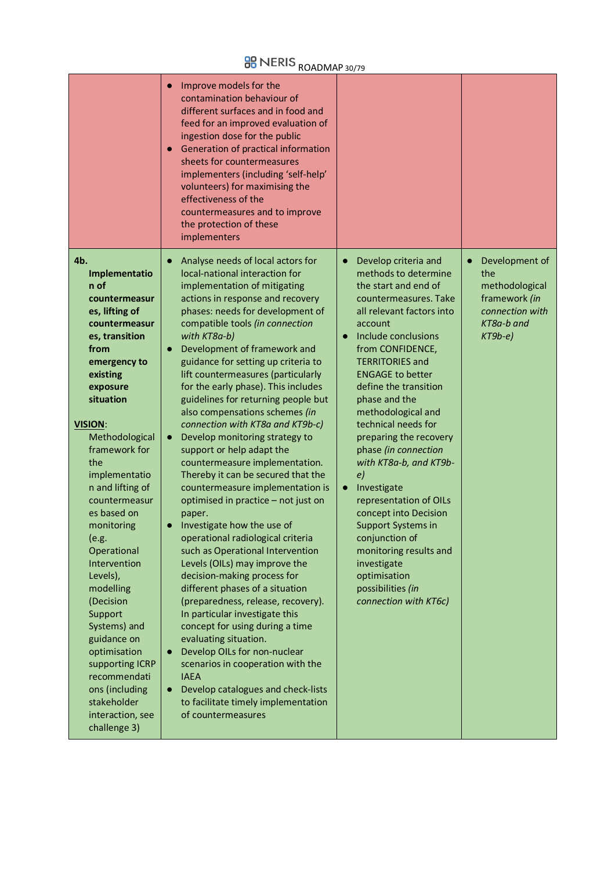# **BB** NERIS ROADMAP 30/79

|                                                                                                                                                                                                                                                                                                                                                                                                                                                                                                                                                                | Improve models for the<br>۰<br>contamination behaviour of<br>different surfaces and in food and<br>feed for an improved evaluation of<br>ingestion dose for the public<br>Generation of practical information<br>۰<br>sheets for countermeasures<br>implementers (including 'self-help'<br>volunteers) for maximising the<br>effectiveness of the<br>countermeasures and to improve<br>the protection of these<br>implementers                                                                                                                                                                                                                                                                                                                                                                                                                                                                                                                                                                                                                                                                                                                                                                                                                                                                                       |                                                                                                                                                                                                                                                                                                                                                                                                                                                                                                                                                                                                                                                                  |                                                                                                       |
|----------------------------------------------------------------------------------------------------------------------------------------------------------------------------------------------------------------------------------------------------------------------------------------------------------------------------------------------------------------------------------------------------------------------------------------------------------------------------------------------------------------------------------------------------------------|----------------------------------------------------------------------------------------------------------------------------------------------------------------------------------------------------------------------------------------------------------------------------------------------------------------------------------------------------------------------------------------------------------------------------------------------------------------------------------------------------------------------------------------------------------------------------------------------------------------------------------------------------------------------------------------------------------------------------------------------------------------------------------------------------------------------------------------------------------------------------------------------------------------------------------------------------------------------------------------------------------------------------------------------------------------------------------------------------------------------------------------------------------------------------------------------------------------------------------------------------------------------------------------------------------------------|------------------------------------------------------------------------------------------------------------------------------------------------------------------------------------------------------------------------------------------------------------------------------------------------------------------------------------------------------------------------------------------------------------------------------------------------------------------------------------------------------------------------------------------------------------------------------------------------------------------------------------------------------------------|-------------------------------------------------------------------------------------------------------|
| 4b.<br>Implementatio<br>n of<br>countermeasur<br>es, lifting of<br>countermeasur<br>es, transition<br>from<br>emergency to<br>existing<br>exposure<br>situation<br><b>VISION:</b><br>Methodological<br>framework for<br>the<br>implementatio<br>n and lifting of<br>countermeasur<br>es based on<br>monitoring<br>(e.g.<br>Operational<br>Intervention<br>Levels),<br>modelling<br>(Decision<br>Support<br>Systems) and<br>guidance on<br>optimisation<br>supporting ICRP<br>recommendati<br>ons (including<br>stakeholder<br>interaction, see<br>challenge 3) | Analyse needs of local actors for<br>$\bullet$<br>local-national interaction for<br>implementation of mitigating<br>actions in response and recovery<br>phases: needs for development of<br>compatible tools (in connection<br>with KT8a-b)<br>Development of framework and<br>guidance for setting up criteria to<br>lift countermeasures (particularly<br>for the early phase). This includes<br>guidelines for returning people but<br>also compensations schemes (in<br>connection with KT8a and KT9b-c)<br>Develop monitoring strategy to<br>$\bullet$<br>support or help adapt the<br>countermeasure implementation.<br>Thereby it can be secured that the<br>countermeasure implementation is<br>optimised in practice - not just on<br>paper.<br>Investigate how the use of<br>$\bullet$<br>operational radiological criteria<br>such as Operational Intervention<br>Levels (OILs) may improve the<br>decision-making process for<br>different phases of a situation<br>(preparedness, release, recovery).<br>In particular investigate this<br>concept for using during a time<br>evaluating situation.<br>Develop OILs for non-nuclear<br>$\bullet$<br>scenarios in cooperation with the<br><b>IAEA</b><br>Develop catalogues and check-lists<br>to facilitate timely implementation<br>of countermeasures | Develop criteria and<br>$\bullet$<br>methods to determine<br>the start and end of<br>countermeasures. Take<br>all relevant factors into<br>account<br>Include conclusions<br>from CONFIDENCE,<br><b>TERRITORIES and</b><br><b>ENGAGE to better</b><br>define the transition<br>phase and the<br>methodological and<br>technical needs for<br>preparing the recovery<br>phase (in connection<br>with KT8a-b, and KT9b-<br>e)<br>Investigate<br>$\bullet$<br>representation of OILs<br>concept into Decision<br><b>Support Systems in</b><br>conjunction of<br>monitoring results and<br>investigate<br>optimisation<br>possibilities (in<br>connection with KT6c) | Development of<br>the<br>methodological<br>framework (in<br>connection with<br>KT8a-b and<br>$KT9b-e$ |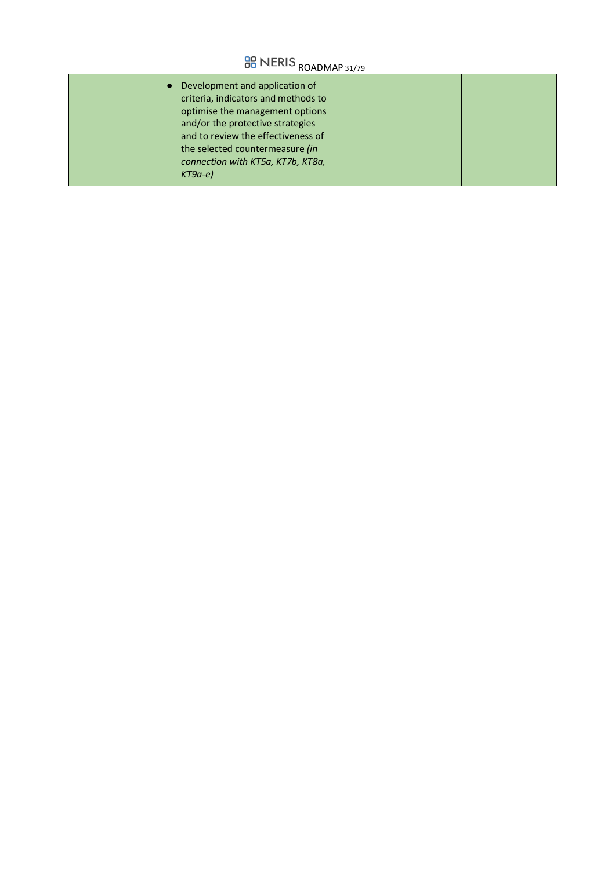# **BB** NERIS ROADMAP 31/79

| Development and application of<br>criteria, indicators and methods to<br>optimise the management options<br>and/or the protective strategies<br>and to review the effectiveness of<br>the selected countermeasure (in<br>connection with KT5a, KT7b, KT8a,<br>$KT9a-e$ |  |
|------------------------------------------------------------------------------------------------------------------------------------------------------------------------------------------------------------------------------------------------------------------------|--|
|                                                                                                                                                                                                                                                                        |  |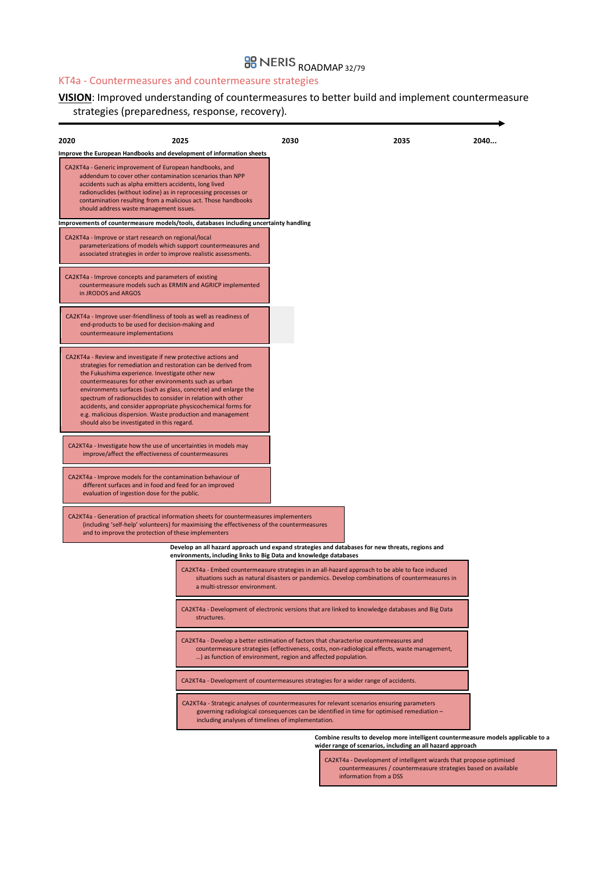## **BB** NERIS ROADMAP 32/79

#### KT4a - Countermeasures and countermeasure strategies

#### **VISION**: Improved understanding of countermeasures to better build and implement countermeasure strategies (preparedness, response, recovery).

| 2020                                                                                                                                                                                                                                                                                                                                                                                                                                                                                                                                                         | 2025                                                                                       | 2030                                                          | 2035                                                                                                                                                                                                                          | 2040 |
|--------------------------------------------------------------------------------------------------------------------------------------------------------------------------------------------------------------------------------------------------------------------------------------------------------------------------------------------------------------------------------------------------------------------------------------------------------------------------------------------------------------------------------------------------------------|--------------------------------------------------------------------------------------------|---------------------------------------------------------------|-------------------------------------------------------------------------------------------------------------------------------------------------------------------------------------------------------------------------------|------|
| Improve the European Handbooks and development of information sheets<br>CA2KT4a - Generic improvement of European handbooks, and<br>addendum to cover other contamination scenarios than NPP<br>accidents such as alpha emitters accidents, long lived<br>radionuclides (without iodine) as in reprocessing processes or<br>contamination resulting from a malicious act. Those handbooks<br>should address waste management issues.                                                                                                                         |                                                                                            |                                                               |                                                                                                                                                                                                                               |      |
| Improvements of countermeasure models/tools, databases including uncertainty handling                                                                                                                                                                                                                                                                                                                                                                                                                                                                        |                                                                                            |                                                               |                                                                                                                                                                                                                               |      |
| CA2KT4a - Improve or start research on regional/local<br>parameterizations of models which support countermeasures and<br>associated strategies in order to improve realistic assessments.                                                                                                                                                                                                                                                                                                                                                                   |                                                                                            |                                                               |                                                                                                                                                                                                                               |      |
| CA2KT4a - Improve concepts and parameters of existing<br>countermeasure models such as ERMIN and AGRICP implemented<br>in JRODOS and ARGOS                                                                                                                                                                                                                                                                                                                                                                                                                   |                                                                                            |                                                               |                                                                                                                                                                                                                               |      |
| CA2KT4a - Improve user-friendliness of tools as well as readiness of<br>end-products to be used for decision-making and<br>countermeasure implementations                                                                                                                                                                                                                                                                                                                                                                                                    |                                                                                            |                                                               |                                                                                                                                                                                                                               |      |
| CA2KT4a - Review and investigate if new protective actions and<br>strategies for remediation and restoration can be derived from<br>the Fukushima experience. Investigate other new<br>countermeasures for other environments such as urban<br>environments surfaces (such as glass, concrete) and enlarge the<br>spectrum of radionuclides to consider in relation with other<br>accidents, and consider appropriate physicochemical forms for<br>e.g. malicious dispersion. Waste production and management<br>should also be investigated in this regard. |                                                                                            |                                                               |                                                                                                                                                                                                                               |      |
| CA2KT4a - Investigate how the use of uncertainties in models may<br>improve/affect the effectiveness of countermeasures                                                                                                                                                                                                                                                                                                                                                                                                                                      |                                                                                            |                                                               |                                                                                                                                                                                                                               |      |
| CA2KT4a - Improve models for the contamination behaviour of<br>different surfaces and in food and feed for an improved<br>evaluation of ingestion dose for the public.                                                                                                                                                                                                                                                                                                                                                                                       |                                                                                            |                                                               |                                                                                                                                                                                                                               |      |
| CA2KT4a - Generation of practical information sheets for countermeasures implementers<br>and to improve the protection of these implementers                                                                                                                                                                                                                                                                                                                                                                                                                 | (including 'self-help' volunteers) for maximising the effectiveness of the countermeasures |                                                               |                                                                                                                                                                                                                               |      |
|                                                                                                                                                                                                                                                                                                                                                                                                                                                                                                                                                              |                                                                                            |                                                               | Develop an all hazard approach und expand strategies and databases for new threats, regions and                                                                                                                               |      |
|                                                                                                                                                                                                                                                                                                                                                                                                                                                                                                                                                              | environments, including links to Big Data and knowledge databases                          |                                                               |                                                                                                                                                                                                                               |      |
|                                                                                                                                                                                                                                                                                                                                                                                                                                                                                                                                                              | a multi-stressor environment.                                                              |                                                               | CA2KT4a - Embed countermeasure strategies in an all-hazard approach to be able to face induced<br>situations such as natural disasters or pandemics. Develop combinations of countermeasures in                               |      |
|                                                                                                                                                                                                                                                                                                                                                                                                                                                                                                                                                              | structures.                                                                                |                                                               | CA2KT4a - Development of electronic versions that are linked to knowledge databases and Big Data                                                                                                                              |      |
|                                                                                                                                                                                                                                                                                                                                                                                                                                                                                                                                                              | CA2KT4a - Develop a better estimation of factors that characterise countermeasures and     | ) as function of environment, region and affected population. | countermeasure strategies (effectiveness, costs, non-radiological effects, waste management,                                                                                                                                  |      |
|                                                                                                                                                                                                                                                                                                                                                                                                                                                                                                                                                              | CA2KT4a - Development of countermeasures strategies for a wider range of accidents.        |                                                               |                                                                                                                                                                                                                               |      |
|                                                                                                                                                                                                                                                                                                                                                                                                                                                                                                                                                              | including analyses of timelines of implementation.                                         |                                                               | CA2KT4a - Strategic analyses of countermeasures for relevant scenarios ensuring parameters<br>governing radiological consequences can be identified in time for optimised remediation -                                       |      |
|                                                                                                                                                                                                                                                                                                                                                                                                                                                                                                                                                              |                                                                                            |                                                               | Combine results to develop more intelligent countermeasure models applicable to a                                                                                                                                             |      |
|                                                                                                                                                                                                                                                                                                                                                                                                                                                                                                                                                              |                                                                                            |                                                               | wider range of scenarios, including an all hazard approach<br>CA2KT4a - Development of intelligent wizards that propose optimised<br>countermeasures / countermeasure strategies based on available<br>information from a DSS |      |
|                                                                                                                                                                                                                                                                                                                                                                                                                                                                                                                                                              |                                                                                            |                                                               |                                                                                                                                                                                                                               |      |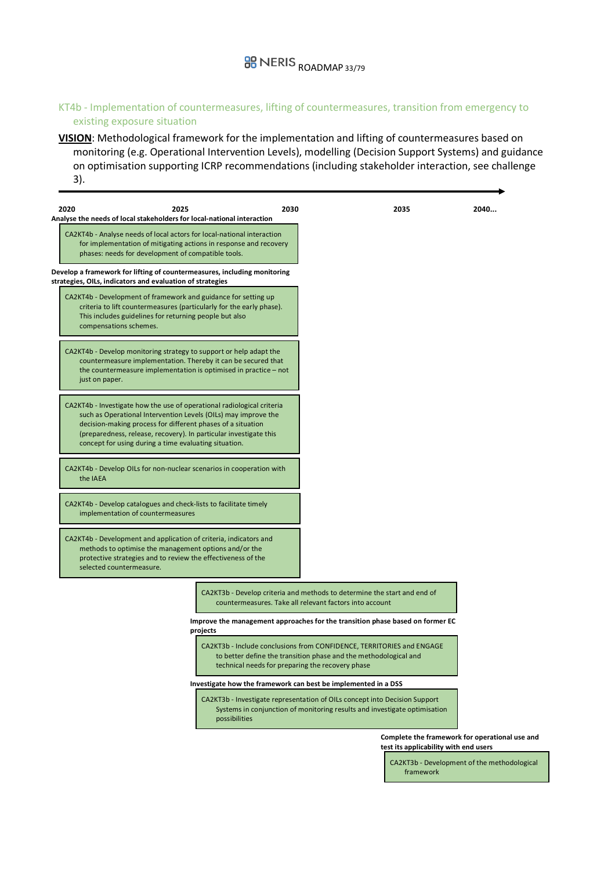#### KT4b - Implementation of countermeasures, lifting of countermeasures, transition from emergency to existing exposure situation

**VISION**: Methodological framework for the implementation and lifting of countermeasures based on monitoring (e.g. Operational Intervention Levels), modelling (Decision Support Systems) and guidance on optimisation supporting ICRP recommendations (including stakeholder interaction, see challenge 3).

| 2020<br>2025<br>Analyse the needs of local stakeholders for local-national interaction                                                                                                                                                                                                                                                |                                                                                           | 2030 |                                                                                                                                                                                               | 2035                                  | 2040                                           |
|---------------------------------------------------------------------------------------------------------------------------------------------------------------------------------------------------------------------------------------------------------------------------------------------------------------------------------------|-------------------------------------------------------------------------------------------|------|-----------------------------------------------------------------------------------------------------------------------------------------------------------------------------------------------|---------------------------------------|------------------------------------------------|
| CA2KT4b - Analyse needs of local actors for local-national interaction<br>for implementation of mitigating actions in response and recovery<br>phases: needs for development of compatible tools.                                                                                                                                     |                                                                                           |      |                                                                                                                                                                                               |                                       |                                                |
| Develop a framework for lifting of countermeasures, including monitoring<br>strategies, OILs, indicators and evaluation of strategies                                                                                                                                                                                                 |                                                                                           |      |                                                                                                                                                                                               |                                       |                                                |
| CA2KT4b - Development of framework and guidance for setting up<br>criteria to lift countermeasures (particularly for the early phase).<br>This includes guidelines for returning people but also<br>compensations schemes.                                                                                                            |                                                                                           |      |                                                                                                                                                                                               |                                       |                                                |
| CA2KT4b - Develop monitoring strategy to support or help adapt the<br>countermeasure implementation. Thereby it can be secured that<br>the countermeasure implementation is optimised in practice $-$ not<br>just on paper.                                                                                                           |                                                                                           |      |                                                                                                                                                                                               |                                       |                                                |
| CA2KT4b - Investigate how the use of operational radiological criteria<br>such as Operational Intervention Levels (OILs) may improve the<br>decision-making process for different phases of a situation<br>(preparedness, release, recovery). In particular investigate this<br>concept for using during a time evaluating situation. |                                                                                           |      |                                                                                                                                                                                               |                                       |                                                |
| CA2KT4b - Develop OILs for non-nuclear scenarios in cooperation with<br>the IAEA                                                                                                                                                                                                                                                      |                                                                                           |      |                                                                                                                                                                                               |                                       |                                                |
| CA2KT4b - Develop catalogues and check-lists to facilitate timely<br>implementation of countermeasures                                                                                                                                                                                                                                |                                                                                           |      |                                                                                                                                                                                               |                                       |                                                |
| CA2KT4b - Development and application of criteria, indicators and<br>methods to optimise the management options and/or the<br>protective strategies and to review the effectiveness of the<br>selected countermeasure.                                                                                                                |                                                                                           |      |                                                                                                                                                                                               |                                       |                                                |
|                                                                                                                                                                                                                                                                                                                                       |                                                                                           |      | CA2KT3b - Develop criteria and methods to determine the start and end of<br>countermeasures. Take all relevant factors into account                                                           |                                       |                                                |
|                                                                                                                                                                                                                                                                                                                                       | Improve the management approaches for the transition phase based on former EC<br>projects |      |                                                                                                                                                                                               |                                       |                                                |
|                                                                                                                                                                                                                                                                                                                                       |                                                                                           |      | CA2KT3b - Include conclusions from CONFIDENCE, TERRITORIES and ENGAGE<br>to better define the transition phase and the methodological and<br>technical needs for preparing the recovery phase |                                       |                                                |
|                                                                                                                                                                                                                                                                                                                                       | Investigate how the framework can best be implemented in a DSS                            |      |                                                                                                                                                                                               |                                       |                                                |
|                                                                                                                                                                                                                                                                                                                                       | possibilities                                                                             |      | CA2KT3b - Investigate representation of OILs concept into Decision Support<br>Systems in conjunction of monitoring results and investigate optimisation                                       |                                       |                                                |
|                                                                                                                                                                                                                                                                                                                                       |                                                                                           |      |                                                                                                                                                                                               | test its applicability with end users | Complete the framework for operational use and |
|                                                                                                                                                                                                                                                                                                                                       |                                                                                           |      |                                                                                                                                                                                               | framework                             | CA2KT3b - Development of the methodological    |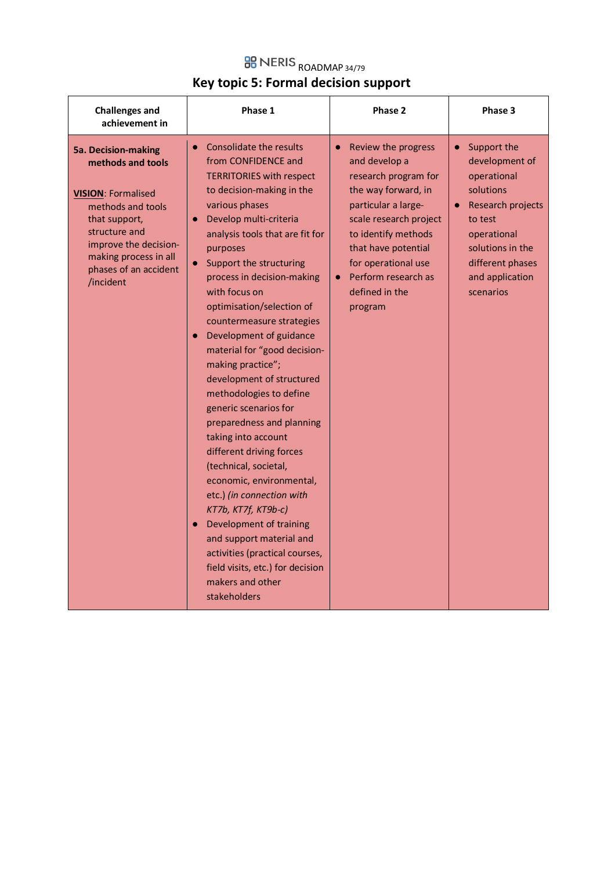### **BB** NERIS ROADMAP 34/79 **Key topic 5: Formal decision support**

| <b>Challenges and</b><br>achievement in                                                                                                                                                                                     | Phase 1                                                                                                                                                                                                                                                                                                                                                                                                                                                                                                                                                                                                                                                                                                                                                                                                                                                                           | Phase 2                                                                                                                                                                                                                                                                                 | Phase 3                                                                                                                                                                                       |
|-----------------------------------------------------------------------------------------------------------------------------------------------------------------------------------------------------------------------------|-----------------------------------------------------------------------------------------------------------------------------------------------------------------------------------------------------------------------------------------------------------------------------------------------------------------------------------------------------------------------------------------------------------------------------------------------------------------------------------------------------------------------------------------------------------------------------------------------------------------------------------------------------------------------------------------------------------------------------------------------------------------------------------------------------------------------------------------------------------------------------------|-----------------------------------------------------------------------------------------------------------------------------------------------------------------------------------------------------------------------------------------------------------------------------------------|-----------------------------------------------------------------------------------------------------------------------------------------------------------------------------------------------|
| <b>5a. Decision-making</b><br>methods and tools<br><b>VISION: Formalised</b><br>methods and tools<br>that support,<br>structure and<br>improve the decision-<br>making process in all<br>phases of an accident<br>/incident | • Consolidate the results<br>from CONFIDENCE and<br><b>TERRITORIES with respect</b><br>to decision-making in the<br>various phases<br>Develop multi-criteria<br>analysis tools that are fit for<br>purposes<br>Support the structuring<br>process in decision-making<br>with focus on<br>optimisation/selection of<br>countermeasure strategies<br>Development of guidance<br>material for "good decision-<br>making practice";<br>development of structured<br>methodologies to define<br>generic scenarios for<br>preparedness and planning<br>taking into account<br>different driving forces<br>(technical, societal,<br>economic, environmental,<br>etc.) (in connection with<br>KT7b, KT7f, KT9b-c)<br>Development of training<br>and support material and<br>activities (practical courses,<br>field visits, etc.) for decision<br>makers and other<br><b>stakeholders</b> | Review the progress<br>$\bullet$<br>and develop a<br>research program for<br>the way forward, in<br>particular a large-<br>scale research project<br>to identify methods<br>that have potential<br>for operational use<br>Perform research as<br>$\bullet$<br>defined in the<br>program | Support the<br>$\bullet$<br>development of<br>operational<br>solutions<br>Research projects<br>to test<br>operational<br>solutions in the<br>different phases<br>and application<br>scenarios |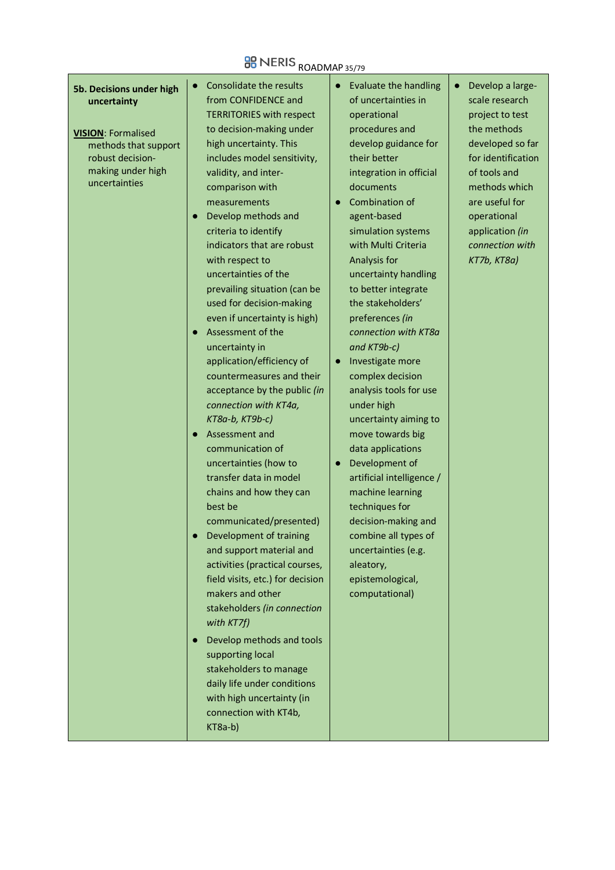# **BB** NERIS ROADMAP 35/79

| 5b. Decisions under high<br>uncertainty<br><b>VISION: Formalised</b><br>methods that support | Consolidate the results<br>$\bullet$<br>from CONFIDENCE and<br><b>TERRITORIES with respect</b><br>to decision-making under<br>high uncertainty. This                                                                  | Evaluate the handling<br>$\bullet$<br>of uncertainties in<br>operational<br>procedures and<br>develop guidance for                                  | Develop a large-<br>$\bullet$<br>scale research<br>project to test<br>the methods<br>developed so far |
|----------------------------------------------------------------------------------------------|-----------------------------------------------------------------------------------------------------------------------------------------------------------------------------------------------------------------------|-----------------------------------------------------------------------------------------------------------------------------------------------------|-------------------------------------------------------------------------------------------------------|
| robust decision-<br>making under high<br>uncertainties                                       | includes model sensitivity,<br>validity, and inter-<br>comparison with<br>measurements<br>Develop methods and                                                                                                         | their better<br>integration in official<br>documents<br>Combination of<br>agent-based                                                               | for identification<br>of tools and<br>methods which<br>are useful for<br>operational                  |
|                                                                                              | criteria to identify<br>indicators that are robust<br>with respect to<br>uncertainties of the<br>prevailing situation (can be<br>used for decision-making                                                             | simulation systems<br>with Multi Criteria<br>Analysis for<br>uncertainty handling<br>to better integrate<br>the stakeholders'                       | application (in<br>connection with<br>KT7b, KT8a)                                                     |
|                                                                                              | even if uncertainty is high)<br>Assessment of the<br>uncertainty in<br>application/efficiency of<br>countermeasures and their<br>acceptance by the public (in<br>connection with KT4a,                                | preferences (in<br>connection with KT8a<br>and KT9b-c)<br>Investigate more<br>complex decision<br>analysis tools for use<br>under high              |                                                                                                       |
|                                                                                              | KT8a-b, KT9b-c)<br>Assessment and<br>$\bullet$<br>communication of<br>uncertainties (how to<br>transfer data in model<br>chains and how they can<br>best be                                                           | uncertainty aiming to<br>move towards big<br>data applications<br>Development of<br>artificial intelligence /<br>machine learning<br>techniques for |                                                                                                       |
|                                                                                              | communicated/presented)<br>Development of training<br>and support material and<br>activities (practical courses,<br>field visits, etc.) for decision<br>makers and other<br>stakeholders (in connection<br>with KT7f) | decision-making and<br>combine all types of<br>uncertainties (e.g.<br>aleatory,<br>epistemological,<br>computational)                               |                                                                                                       |
|                                                                                              | Develop methods and tools<br>supporting local<br>stakeholders to manage<br>daily life under conditions<br>with high uncertainty (in<br>connection with KT4b,<br>KT8a-b)                                               |                                                                                                                                                     |                                                                                                       |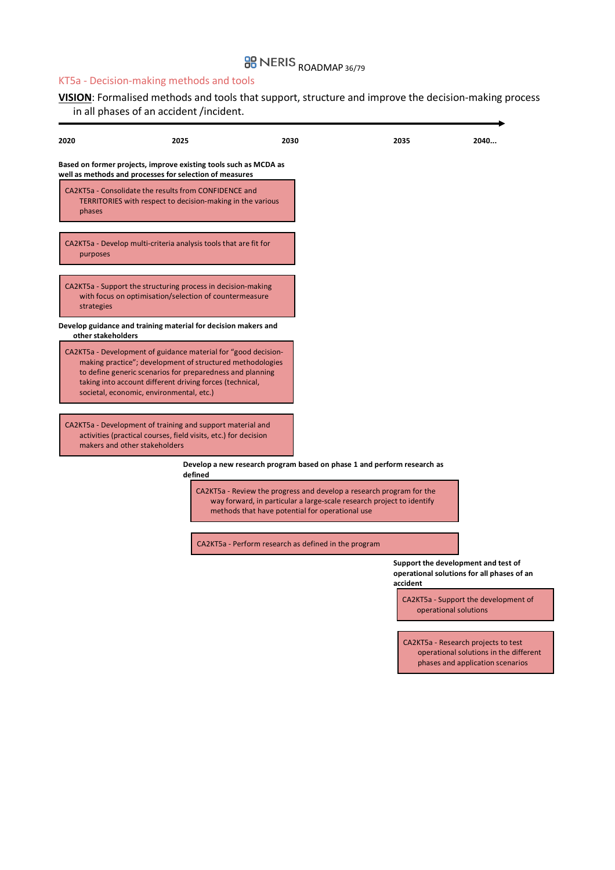# **BB** NERIS <sub>ROADMAP 36/79</sub>

### KT5a - Decision-making methods and tools

**VISION**: Formalised methods and tools that support, structure and improve the decision-making process in all phases of an accident /incident.

| 2020               | 2025                                                                                                                                                                                                                                                                                                                                                                                                                                                               | 2030                                                 | 2035                                                                                                                                          | 2040                                                                                                              |
|--------------------|--------------------------------------------------------------------------------------------------------------------------------------------------------------------------------------------------------------------------------------------------------------------------------------------------------------------------------------------------------------------------------------------------------------------------------------------------------------------|------------------------------------------------------|-----------------------------------------------------------------------------------------------------------------------------------------------|-------------------------------------------------------------------------------------------------------------------|
| phases             | Based on former projects, improve existing tools such as MCDA as<br>well as methods and processes for selection of measures<br>CA2KT5a - Consolidate the results from CONFIDENCE and<br>TERRITORIES with respect to decision-making in the various                                                                                                                                                                                                                 |                                                      |                                                                                                                                               |                                                                                                                   |
| purposes           | CA2KT5a - Develop multi-criteria analysis tools that are fit for                                                                                                                                                                                                                                                                                                                                                                                                   |                                                      |                                                                                                                                               |                                                                                                                   |
| strategies         | CA2KT5a - Support the structuring process in decision-making<br>with focus on optimisation/selection of countermeasure                                                                                                                                                                                                                                                                                                                                             |                                                      |                                                                                                                                               |                                                                                                                   |
| other stakeholders | Develop guidance and training material for decision makers and                                                                                                                                                                                                                                                                                                                                                                                                     |                                                      |                                                                                                                                               |                                                                                                                   |
|                    | CA2KT5a - Development of guidance material for "good decision-<br>making practice"; development of structured methodologies<br>to define generic scenarios for preparedness and planning<br>taking into account different driving forces (technical,<br>societal, economic, environmental, etc.)<br>CA2KT5a - Development of training and support material and<br>activities (practical courses, field visits, etc.) for decision<br>makers and other stakeholders |                                                      |                                                                                                                                               |                                                                                                                   |
|                    | defined                                                                                                                                                                                                                                                                                                                                                                                                                                                            |                                                      | Develop a new research program based on phase 1 and perform research as                                                                       |                                                                                                                   |
|                    |                                                                                                                                                                                                                                                                                                                                                                                                                                                                    | methods that have potential for operational use      | CA2KT5a - Review the progress and develop a research program for the<br>way forward, in particular a large-scale research project to identify |                                                                                                                   |
|                    |                                                                                                                                                                                                                                                                                                                                                                                                                                                                    | CA2KT5a - Perform research as defined in the program |                                                                                                                                               |                                                                                                                   |
|                    |                                                                                                                                                                                                                                                                                                                                                                                                                                                                    |                                                      | accident                                                                                                                                      | Support the development and test of<br>operational solutions for all phases of an                                 |
|                    |                                                                                                                                                                                                                                                                                                                                                                                                                                                                    |                                                      |                                                                                                                                               | CA2KT5a - Support the development of<br>operational solutions                                                     |
|                    |                                                                                                                                                                                                                                                                                                                                                                                                                                                                    |                                                      |                                                                                                                                               | CA2KT5a - Research projects to test<br>operational solutions in the different<br>phases and application scenarios |
|                    |                                                                                                                                                                                                                                                                                                                                                                                                                                                                    |                                                      |                                                                                                                                               |                                                                                                                   |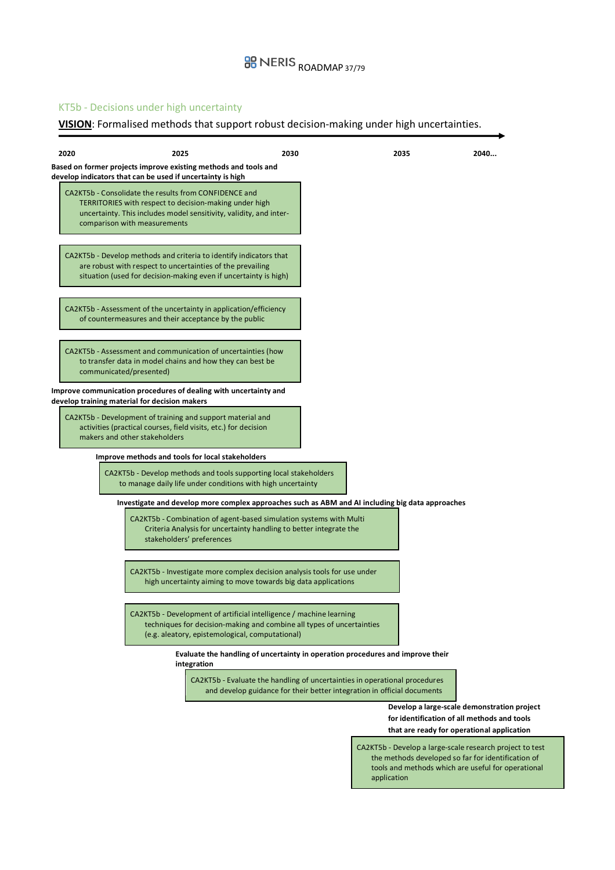### KT5b - Decisions under high uncertainty

### **VISION**: Formalised methods that support robust decision-making under high uncertainties.

| 2020 | 2025<br>develop indicators that can be used if uncertainty is high                    | Based on former projects improve existing methods and tools and                                                                                                                                      | 2030 | 2035                                                                                                                                                  | 2040                                                                                                                                                                 |
|------|---------------------------------------------------------------------------------------|------------------------------------------------------------------------------------------------------------------------------------------------------------------------------------------------------|------|-------------------------------------------------------------------------------------------------------------------------------------------------------|----------------------------------------------------------------------------------------------------------------------------------------------------------------------|
|      | CA2KT5b - Consolidate the results from CONFIDENCE and<br>comparison with measurements | TERRITORIES with respect to decision-making under high<br>uncertainty. This includes model sensitivity, validity, and inter-                                                                         |      |                                                                                                                                                       |                                                                                                                                                                      |
|      |                                                                                       | CA2KT5b - Develop methods and criteria to identify indicators that<br>are robust with respect to uncertainties of the prevailing<br>situation (used for decision-making even if uncertainty is high) |      |                                                                                                                                                       |                                                                                                                                                                      |
|      |                                                                                       | CA2KT5b - Assessment of the uncertainty in application/efficiency<br>of countermeasures and their acceptance by the public                                                                           |      |                                                                                                                                                       |                                                                                                                                                                      |
|      | communicated/presented)                                                               | CA2KT5b - Assessment and communication of uncertainties (how<br>to transfer data in model chains and how they can best be                                                                            |      |                                                                                                                                                       |                                                                                                                                                                      |
|      | develop training material for decision makers                                         | Improve communication procedures of dealing with uncertainty and                                                                                                                                     |      |                                                                                                                                                       |                                                                                                                                                                      |
|      | makers and other stakeholders                                                         | CA2KT5b - Development of training and support material and<br>activities (practical courses, field visits, etc.) for decision                                                                        |      |                                                                                                                                                       |                                                                                                                                                                      |
|      |                                                                                       | Improve methods and tools for local stakeholders                                                                                                                                                     |      |                                                                                                                                                       |                                                                                                                                                                      |
|      |                                                                                       | CA2KT5b - Develop methods and tools supporting local stakeholders<br>to manage daily life under conditions with high uncertainty                                                                     |      |                                                                                                                                                       |                                                                                                                                                                      |
|      |                                                                                       |                                                                                                                                                                                                      |      | Investigate and develop more complex approaches such as ABM and AI including big data approaches                                                      |                                                                                                                                                                      |
|      |                                                                                       | CA2KT5b - Combination of agent-based simulation systems with Multi<br>Criteria Analysis for uncertainty handling to better integrate the<br>stakeholders' preferences                                |      |                                                                                                                                                       |                                                                                                                                                                      |
|      |                                                                                       | CA2KT5b - Investigate more complex decision analysis tools for use under<br>high uncertainty aiming to move towards big data applications                                                            |      |                                                                                                                                                       |                                                                                                                                                                      |
|      |                                                                                       | CA2KT5b - Development of artificial intelligence / machine learning<br>techniques for decision-making and combine all types of uncertainties<br>(e.g. aleatory, epistemological, computational)      |      |                                                                                                                                                       |                                                                                                                                                                      |
|      |                                                                                       | integration                                                                                                                                                                                          |      | Evaluate the handling of uncertainty in operation procedures and improve their                                                                        |                                                                                                                                                                      |
|      |                                                                                       |                                                                                                                                                                                                      |      | CA2KT5b - Evaluate the handling of uncertainties in operational procedures<br>and develop guidance for their better integration in official documents |                                                                                                                                                                      |
|      |                                                                                       |                                                                                                                                                                                                      |      |                                                                                                                                                       | Develop a large-scale demonstration project                                                                                                                          |
|      |                                                                                       |                                                                                                                                                                                                      |      |                                                                                                                                                       | for identification of all methods and tools<br>that are ready for operational application                                                                            |
|      |                                                                                       |                                                                                                                                                                                                      |      | application                                                                                                                                           | CA2KT5b - Develop a large-scale research project to test<br>the methods developed so far for identification of<br>tools and methods which are useful for operational |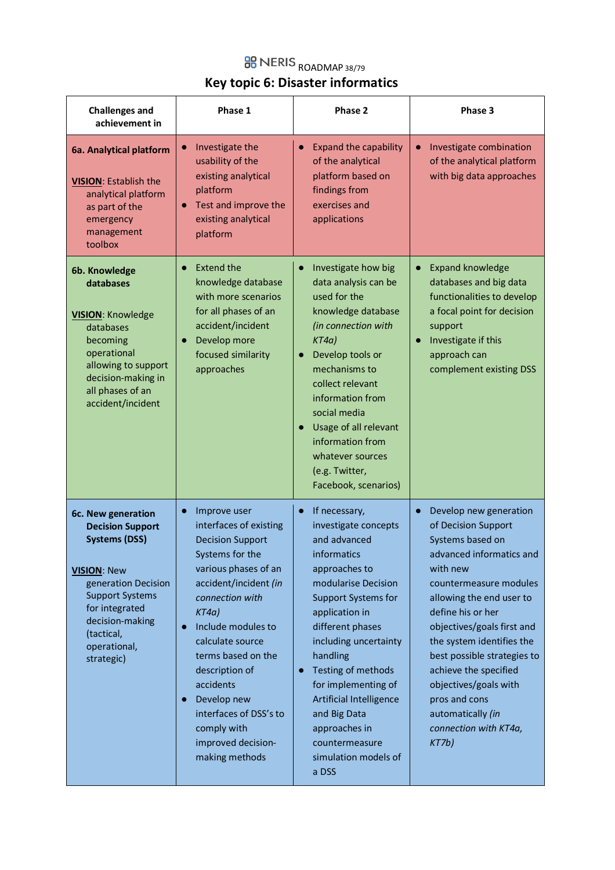### **BB** NERIS ROADMAP 38/79 **Key topic 6: Disaster informatics**

| <b>Challenges and</b><br>achievement in                                                                                                                                                                                       | Phase 1                                                                                                                                                                                                                                                                                                                                                                                                 | Phase 2                                                                                                                                                                                                                                                                                                                                                                                                     | Phase 3                                                                                                                                                                                                                                                                                                                                                                                                     |
|-------------------------------------------------------------------------------------------------------------------------------------------------------------------------------------------------------------------------------|---------------------------------------------------------------------------------------------------------------------------------------------------------------------------------------------------------------------------------------------------------------------------------------------------------------------------------------------------------------------------------------------------------|-------------------------------------------------------------------------------------------------------------------------------------------------------------------------------------------------------------------------------------------------------------------------------------------------------------------------------------------------------------------------------------------------------------|-------------------------------------------------------------------------------------------------------------------------------------------------------------------------------------------------------------------------------------------------------------------------------------------------------------------------------------------------------------------------------------------------------------|
| 6a. Analytical platform<br><b>VISION: Establish the</b><br>analytical platform<br>as part of the<br>emergency<br>management<br>toolbox                                                                                        | Investigate the<br>$\bullet$<br>usability of the<br>existing analytical<br>platform<br>Test and improve the<br>$\bullet$<br>existing analytical<br>platform                                                                                                                                                                                                                                             | <b>Expand the capability</b><br>$\bullet$<br>of the analytical<br>platform based on<br>findings from<br>exercises and<br>applications                                                                                                                                                                                                                                                                       | Investigate combination<br>of the analytical platform<br>with big data approaches                                                                                                                                                                                                                                                                                                                           |
| 6b. Knowledge<br>databases<br><b>VISION: Knowledge</b><br>databases<br>becoming<br>operational<br>allowing to support<br>decision-making in<br>all phases of an<br>accident/incident                                          | <b>Extend the</b><br>$\bullet$<br>knowledge database<br>with more scenarios<br>for all phases of an<br>accident/incident<br>Develop more<br>focused similarity<br>approaches                                                                                                                                                                                                                            | Investigate how big<br>data analysis can be<br>used for the<br>knowledge database<br>(in connection with<br>KT4a)<br>Develop tools or<br>$\bullet$<br>mechanisms to<br>collect relevant<br>information from<br>social media<br>Usage of all relevant<br>$\bullet$<br>information from<br>whatever sources<br>(e.g. Twitter,<br>Facebook, scenarios)                                                         | <b>Expand knowledge</b><br>$\bullet$<br>databases and big data<br>functionalities to develop<br>a focal point for decision<br>support<br>Investigate if this<br>approach can<br>complement existing DSS                                                                                                                                                                                                     |
| 6c. New generation<br><b>Decision Support</b><br><b>Systems (DSS)</b><br><b>VISION: New</b><br>generation Decision<br><b>Support Systems</b><br>for integrated<br>decision-making<br>(tactical,<br>operational,<br>strategic) | Improve user<br>$\bullet$<br>interfaces of existing<br><b>Decision Support</b><br>Systems for the<br>various phases of an<br>accident/incident (in<br>connection with<br>KT4a)<br>Include modules to<br>$\bullet$<br>calculate source<br>terms based on the<br>description of<br>accidents<br>Develop new<br>$\bullet$<br>interfaces of DSS's to<br>comply with<br>improved decision-<br>making methods | If necessary,<br>$\bullet$<br>investigate concepts<br>and advanced<br>informatics<br>approaches to<br>modularise Decision<br><b>Support Systems for</b><br>application in<br>different phases<br>including uncertainty<br>handling<br>Testing of methods<br>$\bullet$<br>for implementing of<br>Artificial Intelligence<br>and Big Data<br>approaches in<br>countermeasure<br>simulation models of<br>a DSS | Develop new generation<br>of Decision Support<br>Systems based on<br>advanced informatics and<br>with new<br>countermeasure modules<br>allowing the end user to<br>define his or her<br>objectives/goals first and<br>the system identifies the<br>best possible strategies to<br>achieve the specified<br>objectives/goals with<br>pros and cons<br>automatically (in<br>connection with KT4a,<br>$KTZb$ ) |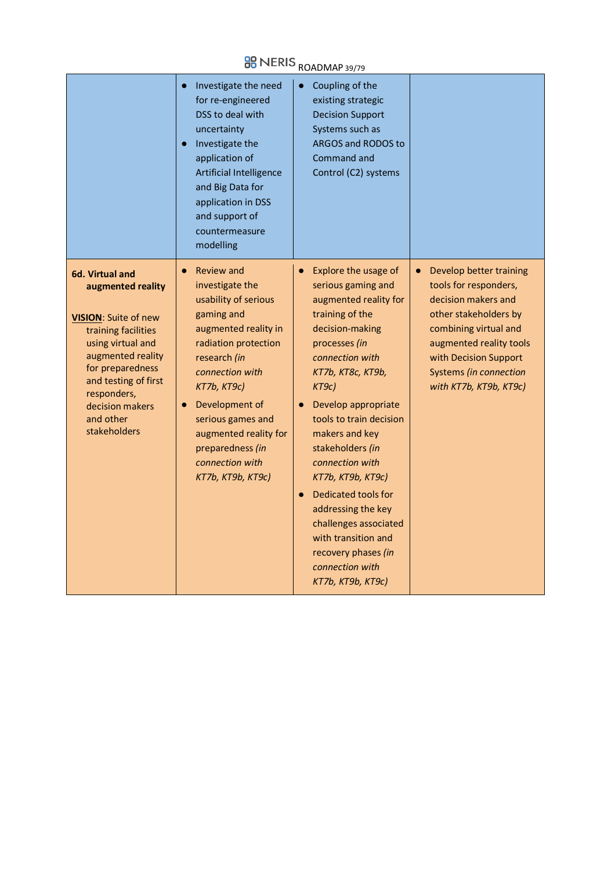# **BB** NERIS ROADMAP 39/79

|                                                                                                                                                                                                                                                 | Investigate the need<br>for re-engineered<br>DSS to deal with<br>uncertainty<br>Investigate the<br>$\bullet$<br>application of<br>Artificial Intelligence<br>and Big Data for<br>application in DSS<br>and support of<br>countermeasure<br>modelling                                                                               | Coupling of the<br>$\bullet$<br>existing strategic<br><b>Decision Support</b><br>Systems such as<br>ARGOS and RODOS to<br>Command and<br>Control (C2) systems                                                                                                                                                                                                                                                                                                                        |                                                                                                                                                                                                                                   |
|-------------------------------------------------------------------------------------------------------------------------------------------------------------------------------------------------------------------------------------------------|------------------------------------------------------------------------------------------------------------------------------------------------------------------------------------------------------------------------------------------------------------------------------------------------------------------------------------|--------------------------------------------------------------------------------------------------------------------------------------------------------------------------------------------------------------------------------------------------------------------------------------------------------------------------------------------------------------------------------------------------------------------------------------------------------------------------------------|-----------------------------------------------------------------------------------------------------------------------------------------------------------------------------------------------------------------------------------|
| 6d. Virtual and<br>augmented reality<br><b>VISION: Suite of new</b><br>training facilities<br>using virtual and<br>augmented reality<br>for preparedness<br>and testing of first<br>responders,<br>decision makers<br>and other<br>stakeholders | <b>Review and</b><br>$\bullet$<br>investigate the<br>usability of serious<br>gaming and<br>augmented reality in<br>radiation protection<br>research (in<br>connection with<br>KT7b, KT9c)<br>Development of<br>$\bullet$<br>serious games and<br>augmented reality for<br>preparedness (in<br>connection with<br>KT7b, KT9b, KT9c) | Explore the usage of<br>serious gaming and<br>augmented reality for<br>training of the<br>decision-making<br>processes (in<br>connection with<br>KT7b, KT8c, KT9b,<br>KT9c)<br>Develop appropriate<br>tools to train decision<br>makers and key<br>stakeholders (in<br>connection with<br>KT7b, KT9b, KT9c)<br>Dedicated tools for<br>$\bullet$<br>addressing the key<br>challenges associated<br>with transition and<br>recovery phases (in<br>connection with<br>KT7b, KT9b, KT9c) | Develop better training<br>tools for responders,<br>decision makers and<br>other stakeholders by<br>combining virtual and<br>augmented reality tools<br>with Decision Support<br>Systems (in connection<br>with KT7b, KT9b, KT9c) |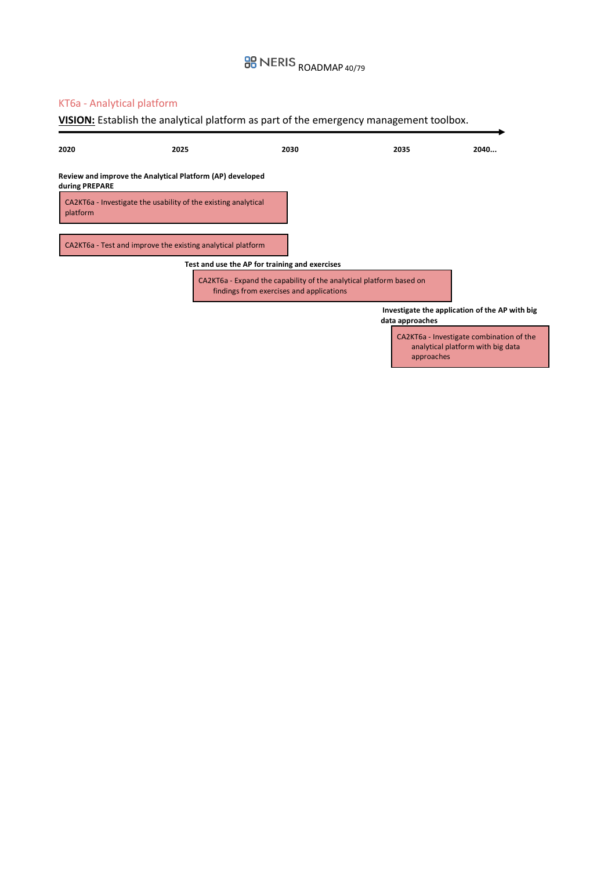# **BB** NERIS <sub>ROADMAP 40/79</sub>

### KT6a - Analytical platform

|                            | VISION: Establish the analytical platform as part of the emergency management toolbox.                                                                                                     |                                                                                                                 |                 |                                                                                            |
|----------------------------|--------------------------------------------------------------------------------------------------------------------------------------------------------------------------------------------|-----------------------------------------------------------------------------------------------------------------|-----------------|--------------------------------------------------------------------------------------------|
| 2020                       | 2025                                                                                                                                                                                       | 2030                                                                                                            | 2035            | 2040                                                                                       |
| during PREPARE<br>platform | Review and improve the Analytical Platform (AP) developed<br>CA2KT6a - Investigate the usability of the existing analytical<br>CA2KT6a - Test and improve the existing analytical platform |                                                                                                                 |                 |                                                                                            |
|                            |                                                                                                                                                                                            | Test and use the AP for training and exercises                                                                  |                 |                                                                                            |
|                            |                                                                                                                                                                                            | CA2KT6a - Expand the capability of the analytical platform based on<br>findings from exercises and applications |                 |                                                                                            |
|                            |                                                                                                                                                                                            |                                                                                                                 | data approaches | Investigate the application of the AP with big<br>CA2KT6a - Investigate combination of the |
|                            |                                                                                                                                                                                            |                                                                                                                 |                 | analytical platform with big data                                                          |

approaches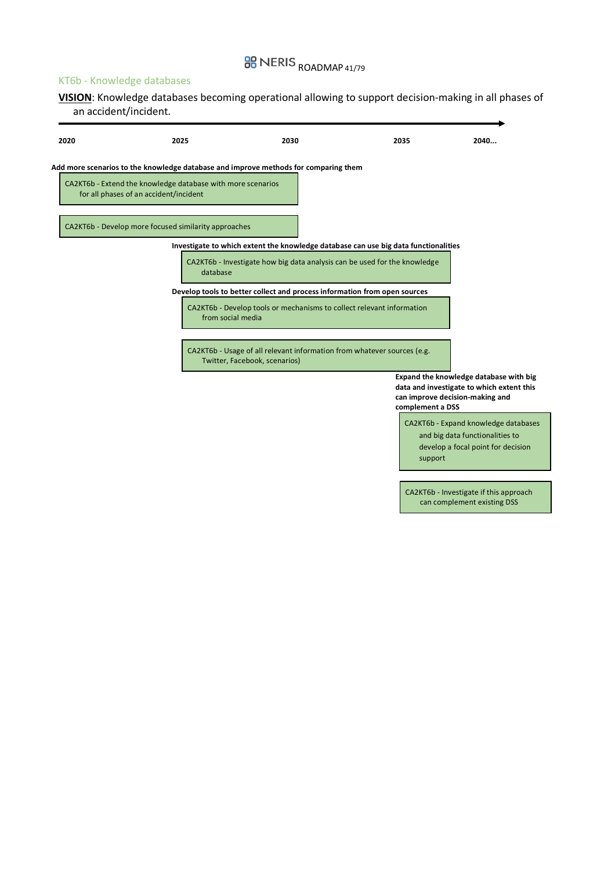# **BB** NERIS ROADMAP 41/79

### KT6b - Knowledge databases

**VISION**: Knowledge databases becoming operational allowing to support decision-making in all phases of an accident/incident.

| 2020 | 2025                                                                                                  | 2030                                                                                                                                               | 2035                                                                                                                                                             | 2040                                                                                                                   |
|------|-------------------------------------------------------------------------------------------------------|----------------------------------------------------------------------------------------------------------------------------------------------------|------------------------------------------------------------------------------------------------------------------------------------------------------------------|------------------------------------------------------------------------------------------------------------------------|
|      | Add more scenarios to the knowledge database and improve methods for comparing them                   |                                                                                                                                                    |                                                                                                                                                                  |                                                                                                                        |
|      | CA2KT6b - Extend the knowledge database with more scenarios<br>for all phases of an accident/incident |                                                                                                                                                    |                                                                                                                                                                  |                                                                                                                        |
|      | CA2KT6b - Develop more focused similarity approaches                                                  |                                                                                                                                                    |                                                                                                                                                                  |                                                                                                                        |
|      |                                                                                                       |                                                                                                                                                    | Investigate to which extent the knowledge database can use big data functionalities<br>CA2KT6b - Investigate how big data analysis can be used for the knowledge |                                                                                                                        |
|      | database                                                                                              |                                                                                                                                                    |                                                                                                                                                                  |                                                                                                                        |
|      | from social media                                                                                     | Develop tools to better collect and process information from open sources<br>CA2KT6b - Develop tools or mechanisms to collect relevant information |                                                                                                                                                                  |                                                                                                                        |
|      |                                                                                                       | CA2KT6b - Usage of all relevant information from whatever sources (e.g.<br>Twitter, Facebook, scenarios)                                           |                                                                                                                                                                  |                                                                                                                        |
|      |                                                                                                       |                                                                                                                                                    | complement a DSS                                                                                                                                                 | Expand the knowledge database with big<br>data and investigate to which extent this<br>can improve decision-making and |
|      |                                                                                                       |                                                                                                                                                    | support                                                                                                                                                          | CA2KT6b - Expand knowledge databases<br>and big data functionalities to<br>develop a focal point for decision          |
|      |                                                                                                       |                                                                                                                                                    |                                                                                                                                                                  |                                                                                                                        |

CA2KT6b - Investigate if this approach can complement existing DSS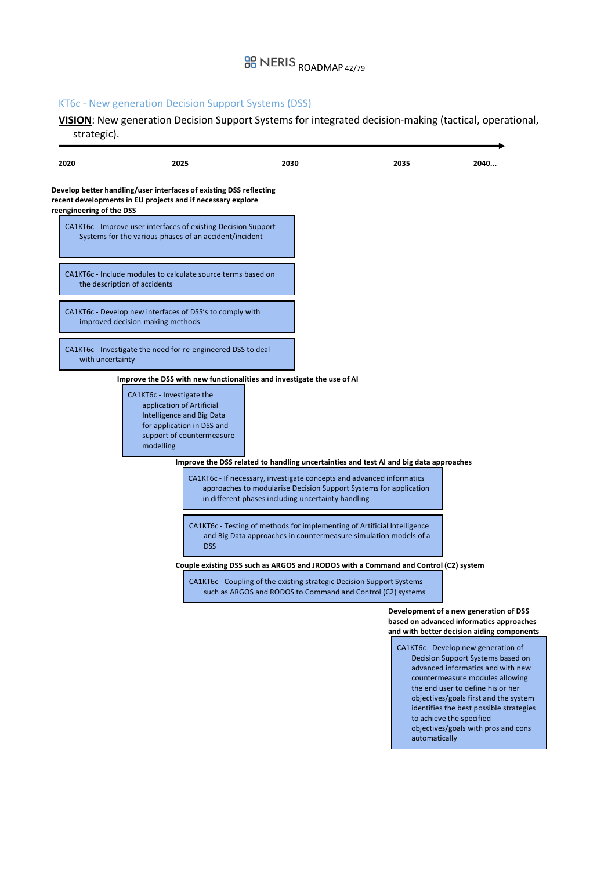### KT6c - New generation Decision Support Systems (DSS)

**VISION**: New generation Decision Support Systems for integrated decision-making (tactical, operational, strategic).  $\overline{\phantom{0}}$ 

| 2020                     | 2025                                                                                                                                                                      | 2030                                                                                                                                 | 2035                                                                                                                                                                                                                                                                                                       | 2040                                                                                                                                                                                                                                                                                                                                         |
|--------------------------|---------------------------------------------------------------------------------------------------------------------------------------------------------------------------|--------------------------------------------------------------------------------------------------------------------------------------|------------------------------------------------------------------------------------------------------------------------------------------------------------------------------------------------------------------------------------------------------------------------------------------------------------|----------------------------------------------------------------------------------------------------------------------------------------------------------------------------------------------------------------------------------------------------------------------------------------------------------------------------------------------|
| reengineering of the DSS | Develop better handling/user interfaces of existing DSS reflecting<br>recent developments in EU projects and if necessary explore                                         |                                                                                                                                      |                                                                                                                                                                                                                                                                                                            |                                                                                                                                                                                                                                                                                                                                              |
|                          | CA1KT6c - Improve user interfaces of existing Decision Support<br>Systems for the various phases of an accident/incident                                                  |                                                                                                                                      |                                                                                                                                                                                                                                                                                                            |                                                                                                                                                                                                                                                                                                                                              |
|                          | CA1KT6c - Include modules to calculate source terms based on<br>the description of accidents                                                                              |                                                                                                                                      |                                                                                                                                                                                                                                                                                                            |                                                                                                                                                                                                                                                                                                                                              |
|                          | CA1KT6c - Develop new interfaces of DSS's to comply with<br>improved decision-making methods                                                                              |                                                                                                                                      |                                                                                                                                                                                                                                                                                                            |                                                                                                                                                                                                                                                                                                                                              |
| with uncertainty         | CA1KT6c - Investigate the need for re-engineered DSS to deal<br>Improve the DSS with new functionalities and investigate the use of AI                                    |                                                                                                                                      |                                                                                                                                                                                                                                                                                                            |                                                                                                                                                                                                                                                                                                                                              |
|                          | CA1KT6c - Investigate the<br>application of Artificial<br>Intelligence and Big Data<br>for application in DSS and<br>support of countermeasure<br>modelling<br><b>DSS</b> | CA1KT6c - If necessary, investigate concepts and advanced informatics<br>in different phases including uncertainty handling          | Improve the DSS related to handling uncertainties and test AI and big data approaches<br>approaches to modularise Decision Support Systems for application<br>CA1KT6c - Testing of methods for implementing of Artificial Intelligence<br>and Big Data approaches in countermeasure simulation models of a |                                                                                                                                                                                                                                                                                                                                              |
|                          |                                                                                                                                                                           | CA1KT6c - Coupling of the existing strategic Decision Support Systems<br>such as ARGOS and RODOS to Command and Control (C2) systems | Couple existing DSS such as ARGOS and JRODOS with a Command and Control (C2) system                                                                                                                                                                                                                        |                                                                                                                                                                                                                                                                                                                                              |
|                          |                                                                                                                                                                           |                                                                                                                                      |                                                                                                                                                                                                                                                                                                            | Development of a new generation of DSS<br>based on advanced informatics approaches<br>and with better decision aiding components                                                                                                                                                                                                             |
|                          |                                                                                                                                                                           |                                                                                                                                      | automatically                                                                                                                                                                                                                                                                                              | CA1KT6c - Develop new generation of<br>Decision Support Systems based on<br>advanced informatics and with new<br>countermeasure modules allowing<br>the end user to define his or her<br>objectives/goals first and the system<br>identifies the best possible strategies<br>to achieve the specified<br>objectives/goals with pros and cons |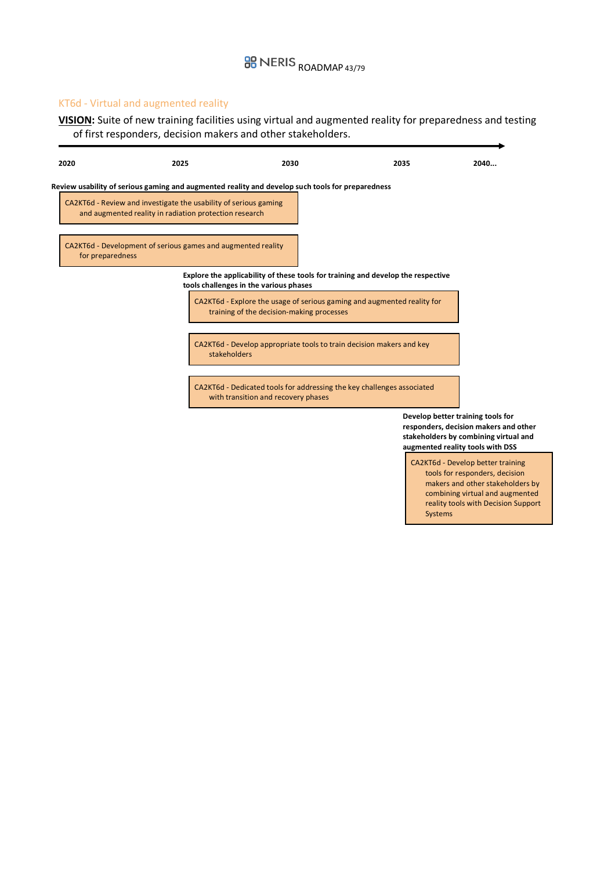# **BB** NERIS ROADMAP 43/79

### KT6d - Virtual and augmented reality

**VISION:** Suite of new training facilities using virtual and augmented reality for preparedness and testing of first responders, decision makers and other stakeholders.

| 2020             | 2025                                                                                                                       | 2030                                                                 | 2035                                                                             | 2040                                                                                                                                                    |
|------------------|----------------------------------------------------------------------------------------------------------------------------|----------------------------------------------------------------------|----------------------------------------------------------------------------------|---------------------------------------------------------------------------------------------------------------------------------------------------------|
|                  | Review usability of serious gaming and augmented reality and develop such tools for preparedness                           |                                                                      |                                                                                  |                                                                                                                                                         |
|                  | CA2KT6d - Review and investigate the usability of serious gaming<br>and augmented reality in radiation protection research |                                                                      |                                                                                  |                                                                                                                                                         |
| for preparedness | CA2KT6d - Development of serious games and augmented reality                                                               |                                                                      |                                                                                  |                                                                                                                                                         |
|                  |                                                                                                                            | tools challenges in the various phases                               | Explore the applicability of these tools for training and develop the respective |                                                                                                                                                         |
|                  |                                                                                                                            | training of the decision-making processes                            | CA2KT6d - Explore the usage of serious gaming and augmented reality for          |                                                                                                                                                         |
|                  | stakeholders                                                                                                               | CA2KT6d - Develop appropriate tools to train decision makers and key |                                                                                  |                                                                                                                                                         |
|                  |                                                                                                                            | with transition and recovery phases                                  | CA2KT6d - Dedicated tools for addressing the key challenges associated           |                                                                                                                                                         |
|                  |                                                                                                                            |                                                                      |                                                                                  | Develop better training tools for<br>responders, decision makers and other<br>stakeholders by combining virtual and<br>augmented reality tools with DSS |
|                  |                                                                                                                            |                                                                      |                                                                                  | CA2KT6d - Develop better training<br>tools for responders, decision                                                                                     |

tools for responders, decision makers and other stakeholders by combining virtual and augmented reality tools with Decision Support Systems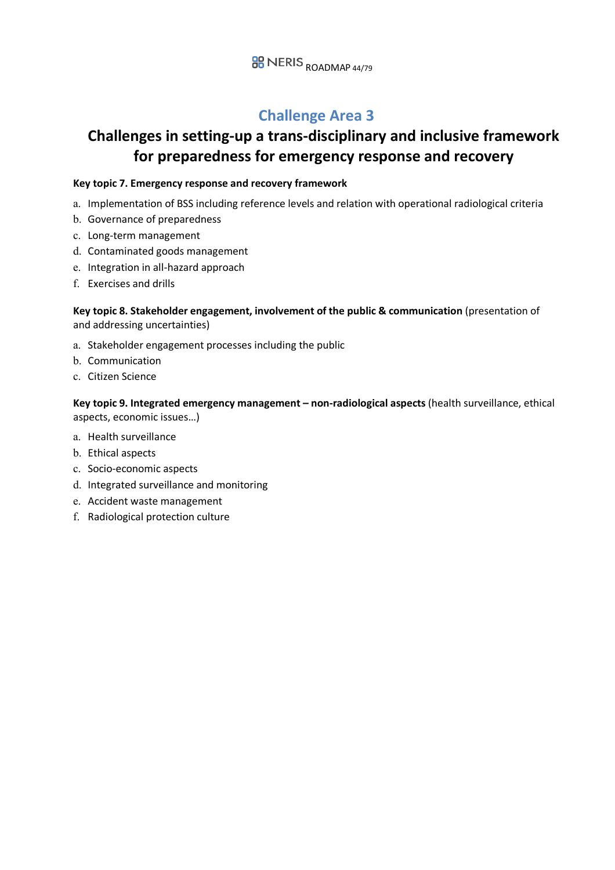### **Challenge Area 3**

### **Challenges in setting-up a trans-disciplinary and inclusive framework for preparedness for emergency response and recovery**

#### **Key topic 7. Emergency response and recovery framework**

- a. Implementation of BSS including reference levels and relation with operational radiological criteria
- b. Governance of preparedness
- c. Long-term management
- d. Contaminated goods management
- e. Integration in all-hazard approach
- f. Exercises and drills

**Key topic 8. Stakeholder engagement, involvement of the public & communication** (presentation of and addressing uncertainties)

- a. Stakeholder engagement processes including the public
- b. Communication
- c. Citizen Science

**Key topic 9. Integrated emergency management – non-radiological aspects** (health surveillance, ethical aspects, economic issues…)

- a. Health surveillance
- b. Ethical aspects
- c. Socio-economic aspects
- d. Integrated surveillance and monitoring
- e. Accident waste management
- f. Radiological protection culture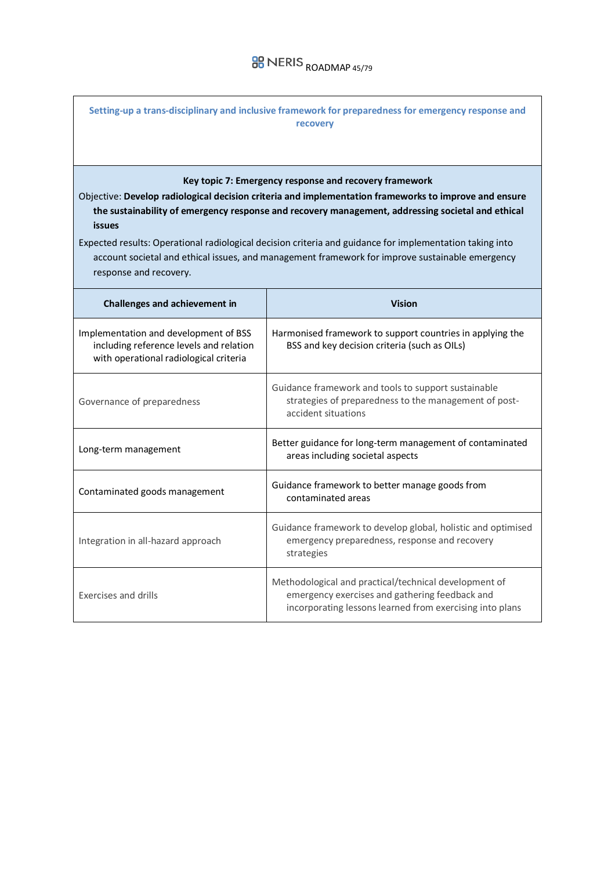| Setting-up a trans-disciplinary and inclusive framework for preparedness for emergency response and<br>recovery                                                                                                                                                                                                                                                                                                                                                                                                         |                                                                                                                                     |  |  |  |
|-------------------------------------------------------------------------------------------------------------------------------------------------------------------------------------------------------------------------------------------------------------------------------------------------------------------------------------------------------------------------------------------------------------------------------------------------------------------------------------------------------------------------|-------------------------------------------------------------------------------------------------------------------------------------|--|--|--|
| Key topic 7: Emergency response and recovery framework<br>Objective: Develop radiological decision criteria and implementation frameworks to improve and ensure<br>the sustainability of emergency response and recovery management, addressing societal and ethical<br>issues<br>Expected results: Operational radiological decision criteria and guidance for implementation taking into<br>account societal and ethical issues, and management framework for improve sustainable emergency<br>response and recovery. |                                                                                                                                     |  |  |  |
| Challenges and achievement in                                                                                                                                                                                                                                                                                                                                                                                                                                                                                           | <b>Vision</b>                                                                                                                       |  |  |  |
| Implementation and development of BSS<br>including reference levels and relation<br>with operational radiological criteria                                                                                                                                                                                                                                                                                                                                                                                              | Harmonised framework to support countries in applying the<br>BSS and key decision criteria (such as OILs)                           |  |  |  |
| Governance of preparedness                                                                                                                                                                                                                                                                                                                                                                                                                                                                                              | Guidance framework and tools to support sustainable<br>strategies of preparedness to the management of post-<br>accident situations |  |  |  |
| Long-term management                                                                                                                                                                                                                                                                                                                                                                                                                                                                                                    | Better guidance for long-term management of contaminated<br>areas including societal aspects                                        |  |  |  |
| Contaminated goods management                                                                                                                                                                                                                                                                                                                                                                                                                                                                                           | Guidance framework to better manage goods from<br>contaminated areas                                                                |  |  |  |
| Guidance framework to develop global, holistic and optimised<br>emergency preparedness, response and recovery<br>Integration in all-hazard approach<br>strategies                                                                                                                                                                                                                                                                                                                                                       |                                                                                                                                     |  |  |  |
| Methodological and practical/technical development of<br>emergency exercises and gathering feedback and<br><b>Exercises and drills</b><br>incorporating lessons learned from exercising into plans                                                                                                                                                                                                                                                                                                                      |                                                                                                                                     |  |  |  |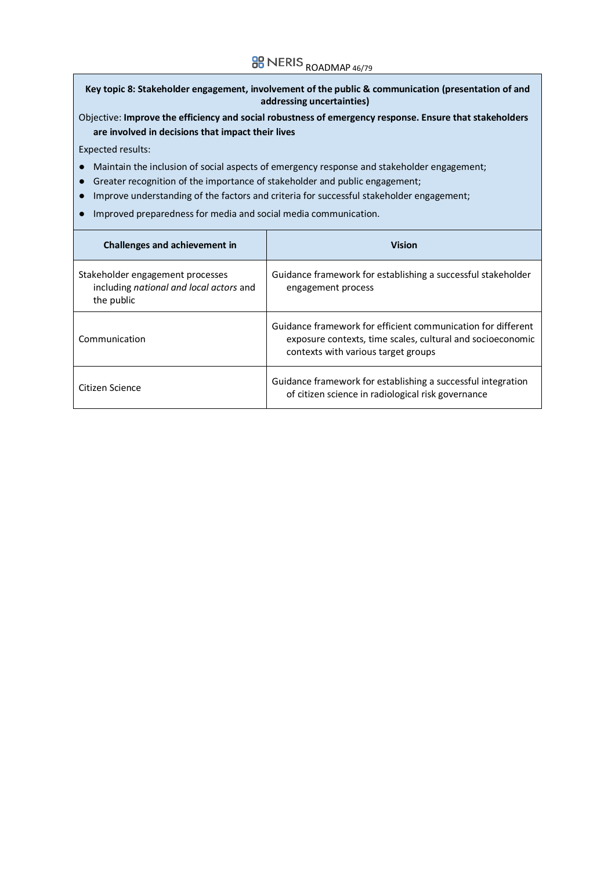# **BB** NERIS ROADMAP 46/79

#### **Key topic 8: Stakeholder engagement, involvement of the public & communication (presentation of and addressing uncertainties)**

Objective: **Improve the efficiency and social robustness of emergency response. Ensure that stakeholders are involved in decisions that impact their lives**

Expected results:

- Maintain the inclusion of social aspects of emergency response and stakeholder engagement;
- Greater recognition of the importance of stakeholder and public engagement;
- Improve understanding of the factors and criteria for successful stakeholder engagement;
- Improved preparedness for media and social media communication.

| Challenges and achievement in                                                             | <b>Vision</b>                                                                                                                                                     |
|-------------------------------------------------------------------------------------------|-------------------------------------------------------------------------------------------------------------------------------------------------------------------|
| Stakeholder engagement processes<br>including national and local actors and<br>the public | Guidance framework for establishing a successful stakeholder<br>engagement process                                                                                |
| Communication                                                                             | Guidance framework for efficient communication for different<br>exposure contexts, time scales, cultural and socioeconomic<br>contexts with various target groups |
| Citizen Science                                                                           | Guidance framework for establishing a successful integration<br>of citizen science in radiological risk governance                                                |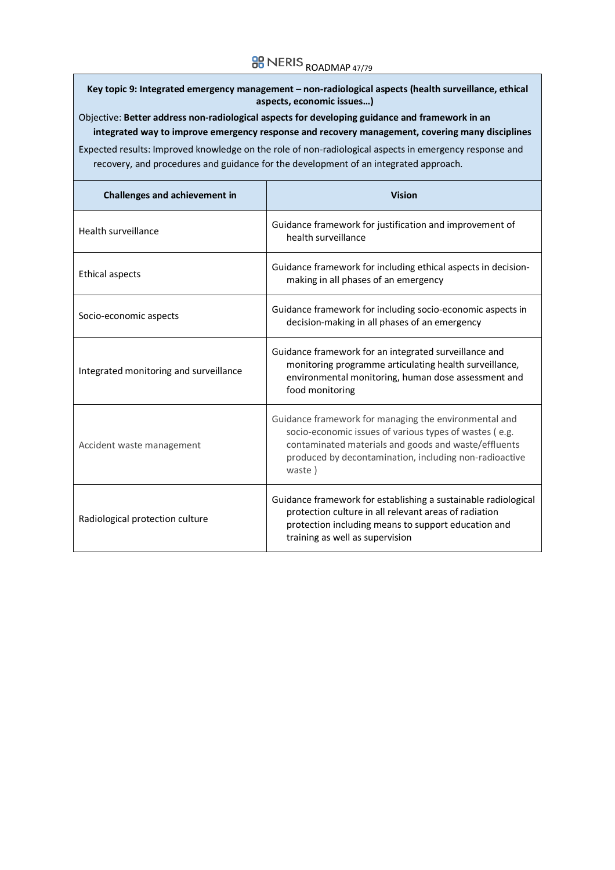# **BB** NERIS ROADMAP 47/79

**Key topic 9: Integrated emergency management – non-radiological aspects (health surveillance, ethical aspects, economic issues…)**

Objective: **Better address non-radiological aspects for developing guidance and framework in an integrated way to improve emergency response and recovery management, covering many disciplines** 

Expected results: Improved knowledge on the role of non-radiological aspects in emergency response and recovery, and procedures and guidance for the development of an integrated approach.

| <b>Challenges and achievement in</b>   | <b>Vision</b>                                                                                                                                                                                                                               |
|----------------------------------------|---------------------------------------------------------------------------------------------------------------------------------------------------------------------------------------------------------------------------------------------|
| Health surveillance                    | Guidance framework for justification and improvement of<br>health surveillance                                                                                                                                                              |
| Ethical aspects                        | Guidance framework for including ethical aspects in decision-<br>making in all phases of an emergency                                                                                                                                       |
| Socio-economic aspects                 | Guidance framework for including socio-economic aspects in<br>decision-making in all phases of an emergency                                                                                                                                 |
| Integrated monitoring and surveillance | Guidance framework for an integrated surveillance and<br>monitoring programme articulating health surveillance,<br>environmental monitoring, human dose assessment and<br>food monitoring                                                   |
| Accident waste management              | Guidance framework for managing the environmental and<br>socio-economic issues of various types of wastes (e.g.<br>contaminated materials and goods and waste/effluents<br>produced by decontamination, including non-radioactive<br>waste) |
| Radiological protection culture        | Guidance framework for establishing a sustainable radiological<br>protection culture in all relevant areas of radiation<br>protection including means to support education and<br>training as well as supervision                           |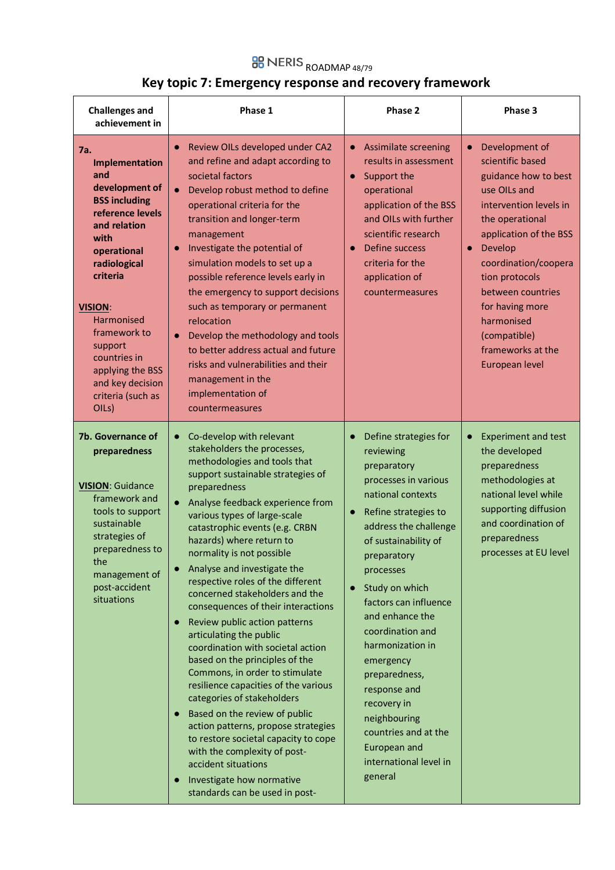# **BB** NERIS ROADMAP 48/79

### **Key topic 7: Emergency response and recovery framework**

| <b>Challenges and</b><br>achievement in                                                                                                                                                                                                                                                                                                   | Phase 1                                                                                                                                                                                                                                                                                                                                                                                                                                                                                                                                                                                                                                                                                                                                                                                                                                                                                                                                                                                      | Phase 2                                                                                                                                                                                                                                                                                                                                                                                                                                                                                       | Phase 3                                                                                                                                                                                                                                                                                                                                       |  |
|-------------------------------------------------------------------------------------------------------------------------------------------------------------------------------------------------------------------------------------------------------------------------------------------------------------------------------------------|----------------------------------------------------------------------------------------------------------------------------------------------------------------------------------------------------------------------------------------------------------------------------------------------------------------------------------------------------------------------------------------------------------------------------------------------------------------------------------------------------------------------------------------------------------------------------------------------------------------------------------------------------------------------------------------------------------------------------------------------------------------------------------------------------------------------------------------------------------------------------------------------------------------------------------------------------------------------------------------------|-----------------------------------------------------------------------------------------------------------------------------------------------------------------------------------------------------------------------------------------------------------------------------------------------------------------------------------------------------------------------------------------------------------------------------------------------------------------------------------------------|-----------------------------------------------------------------------------------------------------------------------------------------------------------------------------------------------------------------------------------------------------------------------------------------------------------------------------------------------|--|
| <b>7a.</b><br>Implementation<br>and<br>development of<br><b>BSS including</b><br>reference levels<br>and relation<br>with<br>operational<br>radiological<br>criteria<br><b>VISION:</b><br><b>Harmonised</b><br>framework to<br>support<br>countries in<br>applying the BSS<br>and key decision<br>criteria (such as<br>OIL <sub>s</sub> ) | Review OILs developed under CA2<br>$\bullet$<br>and refine and adapt according to<br>societal factors<br>Develop robust method to define<br>$\bullet$<br>operational criteria for the<br>transition and longer-term<br>management<br>Investigate the potential of<br>$\bullet$<br>simulation models to set up a<br>possible reference levels early in<br>the emergency to support decisions<br>such as temporary or permanent<br>relocation<br>Develop the methodology and tools<br>$\bullet$<br>to better address actual and future<br>risks and vulnerabilities and their<br>management in the<br>implementation of<br>countermeasures                                                                                                                                                                                                                                                                                                                                                     | <b>Assimilate screening</b><br>results in assessment<br>Support the<br>$\bullet$<br>operational<br>application of the BSS<br>and OILs with further<br>scientific research<br>Define success<br>criteria for the<br>application of<br>countermeasures                                                                                                                                                                                                                                          | Development of<br>$\bullet$<br>scientific based<br>guidance how to best<br>use OILs and<br>intervention levels in<br>the operational<br>application of the BSS<br>Develop<br>$\bullet$<br>coordination/coopera<br>tion protocols<br>between countries<br>for having more<br>harmonised<br>(compatible)<br>frameworks at the<br>European level |  |
| 7b. Governance of<br>preparedness<br><b>VISION: Guidance</b><br>framework and<br>tools to support<br>sustainable<br>strategies of<br>preparedness to<br>the<br>management of<br>post-accident<br>situations                                                                                                                               | Co-develop with relevant<br>$\bullet$<br>stakeholders the processes,<br>methodologies and tools that<br>support sustainable strategies of<br>preparedness<br>Analyse feedback experience from<br>$\bullet$<br>various types of large-scale<br>catastrophic events (e.g. CRBN<br>hazards) where return to<br>normality is not possible<br>Analyse and investigate the<br>$\bullet$<br>respective roles of the different<br>concerned stakeholders and the<br>consequences of their interactions<br>Review public action patterns<br>$\bullet$<br>articulating the public<br>coordination with societal action<br>based on the principles of the<br>Commons, in order to stimulate<br>resilience capacities of the various<br>categories of stakeholders<br>Based on the review of public<br>action patterns, propose strategies<br>to restore societal capacity to cope<br>with the complexity of post-<br>accident situations<br>Investigate how normative<br>standards can be used in post- | Define strategies for<br>$\bullet$<br>reviewing<br>preparatory<br>processes in various<br>national contexts<br>Refine strategies to<br>$\bullet$<br>address the challenge<br>of sustainability of<br>preparatory<br>processes<br>Study on which<br>factors can influence<br>and enhance the<br>coordination and<br>harmonization in<br>emergency<br>preparedness,<br>response and<br>recovery in<br>neighbouring<br>countries and at the<br>European and<br>international level in<br>general | <b>Experiment and test</b><br>$\bullet$<br>the developed<br>preparedness<br>methodologies at<br>national level while<br>supporting diffusion<br>and coordination of<br>preparedness<br>processes at EU level                                                                                                                                  |  |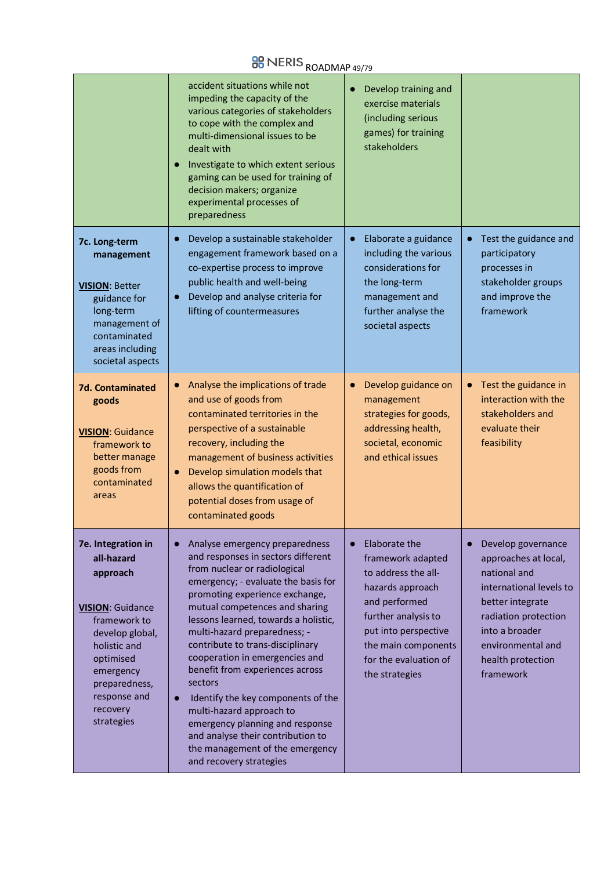|                                                                                                                                                                                                                 | accident situations while not<br>impeding the capacity of the<br>various categories of stakeholders<br>to cope with the complex and<br>multi-dimensional issues to be<br>dealt with<br>Investigate to which extent serious<br>gaming can be used for training of<br>decision makers; organize<br>experimental processes of<br>preparedness                                                                                                                                                                                                                                                                                                    | Develop training and<br>exercise materials<br>(including serious<br>games) for training<br>stakeholders                                                                                                         |                                                                                                                                                                                                                         |
|-----------------------------------------------------------------------------------------------------------------------------------------------------------------------------------------------------------------|-----------------------------------------------------------------------------------------------------------------------------------------------------------------------------------------------------------------------------------------------------------------------------------------------------------------------------------------------------------------------------------------------------------------------------------------------------------------------------------------------------------------------------------------------------------------------------------------------------------------------------------------------|-----------------------------------------------------------------------------------------------------------------------------------------------------------------------------------------------------------------|-------------------------------------------------------------------------------------------------------------------------------------------------------------------------------------------------------------------------|
| 7c. Long-term<br>management<br><b>VISION: Better</b><br>guidance for<br>long-term<br>management of<br>contaminated<br>areas including<br>societal aspects                                                       | Develop a sustainable stakeholder<br>engagement framework based on a<br>co-expertise process to improve<br>public health and well-being<br>Develop and analyse criteria for<br>lifting of countermeasures                                                                                                                                                                                                                                                                                                                                                                                                                                     | Elaborate a guidance<br>including the various<br>considerations for<br>the long-term<br>management and<br>further analyse the<br>societal aspects                                                               | Test the guidance and<br>$\bullet$<br>participatory<br>processes in<br>stakeholder groups<br>and improve the<br>framework                                                                                               |
| <b>7d. Contaminated</b><br>goods<br><b>VISION: Guidance</b><br>framework to<br>better manage<br>goods from<br>contaminated<br>areas                                                                             | Analyse the implications of trade<br>and use of goods from<br>contaminated territories in the<br>perspective of a sustainable<br>recovery, including the<br>management of business activities<br>Develop simulation models that<br>allows the quantification of<br>potential doses from usage of<br>contaminated goods                                                                                                                                                                                                                                                                                                                        | Develop guidance on<br>$\bullet$<br>management<br>strategies for goods,<br>addressing health,<br>societal, economic<br>and ethical issues                                                                       | Test the guidance in<br>$\bullet$<br>interaction with the<br>stakeholders and<br>evaluate their<br>feasibility                                                                                                          |
| 7e. Integration in<br>all-hazard<br>approach<br><b>VISION: Guidance</b><br>framework to<br>develop global,<br>holistic and<br>optimised<br>emergency<br>preparedness,<br>response and<br>recovery<br>strategies | Analyse emergency preparedness<br>$\bullet$<br>and responses in sectors different<br>from nuclear or radiological<br>emergency; - evaluate the basis for<br>promoting experience exchange,<br>mutual competences and sharing<br>lessons learned, towards a holistic,<br>multi-hazard preparedness; -<br>contribute to trans-disciplinary<br>cooperation in emergencies and<br>benefit from experiences across<br>sectors<br>Identify the key components of the<br>$\bullet$<br>multi-hazard approach to<br>emergency planning and response<br>and analyse their contribution to<br>the management of the emergency<br>and recovery strategies | Elaborate the<br>framework adapted<br>to address the all-<br>hazards approach<br>and performed<br>further analysis to<br>put into perspective<br>the main components<br>for the evaluation of<br>the strategies | Develop governance<br>$\bullet$<br>approaches at local,<br>national and<br>international levels to<br>better integrate<br>radiation protection<br>into a broader<br>environmental and<br>health protection<br>framework |

## **BB** NERIS ROADMAP 49/79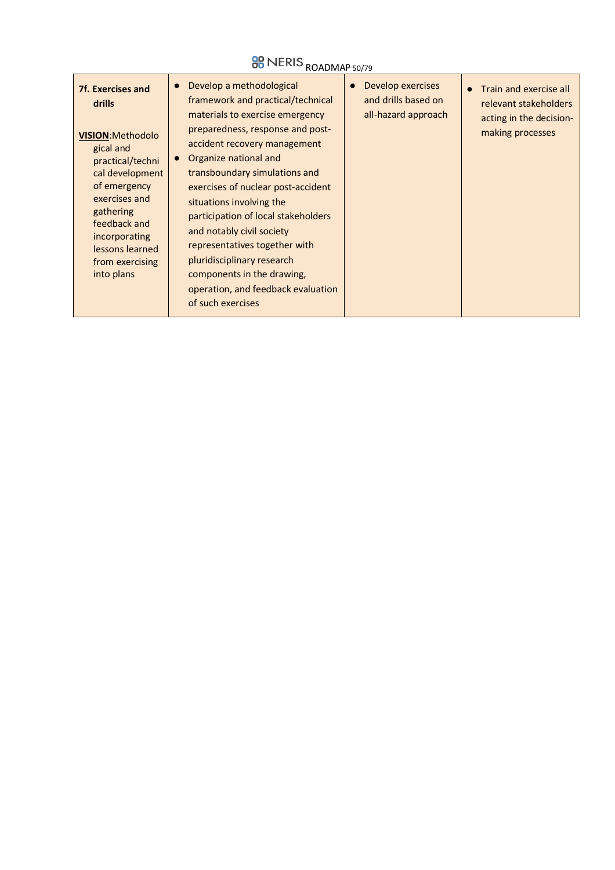# **BB** NERIS ROADMAP 50/79

| 7f. Exercises and<br>drills<br><b>VISION: Methodolo</b><br>gical and<br>practical/techni<br>cal development<br>of emergency<br>exercises and<br>gathering<br>feedback and<br>incorporating<br>lessons learned<br>from exercising<br>into plans | Develop a methodological<br>$\bullet$<br>framework and practical/technical<br>materials to exercise emergency<br>preparedness, response and post-<br>accident recovery management<br>Organize national and<br>transboundary simulations and<br>exercises of nuclear post-accident<br>situations involving the<br>participation of local stakeholders<br>and notably civil society<br>representatives together with<br>pluridisciplinary research<br>components in the drawing,<br>operation, and feedback evaluation<br>of such exercises | Develop exercises<br>and drills based on<br>all-hazard approach | Train and exercise all<br>$\bullet$<br>relevant stakeholders<br>acting in the decision-<br>making processes |
|------------------------------------------------------------------------------------------------------------------------------------------------------------------------------------------------------------------------------------------------|-------------------------------------------------------------------------------------------------------------------------------------------------------------------------------------------------------------------------------------------------------------------------------------------------------------------------------------------------------------------------------------------------------------------------------------------------------------------------------------------------------------------------------------------|-----------------------------------------------------------------|-------------------------------------------------------------------------------------------------------------|
|------------------------------------------------------------------------------------------------------------------------------------------------------------------------------------------------------------------------------------------------|-------------------------------------------------------------------------------------------------------------------------------------------------------------------------------------------------------------------------------------------------------------------------------------------------------------------------------------------------------------------------------------------------------------------------------------------------------------------------------------------------------------------------------------------|-----------------------------------------------------------------|-------------------------------------------------------------------------------------------------------------|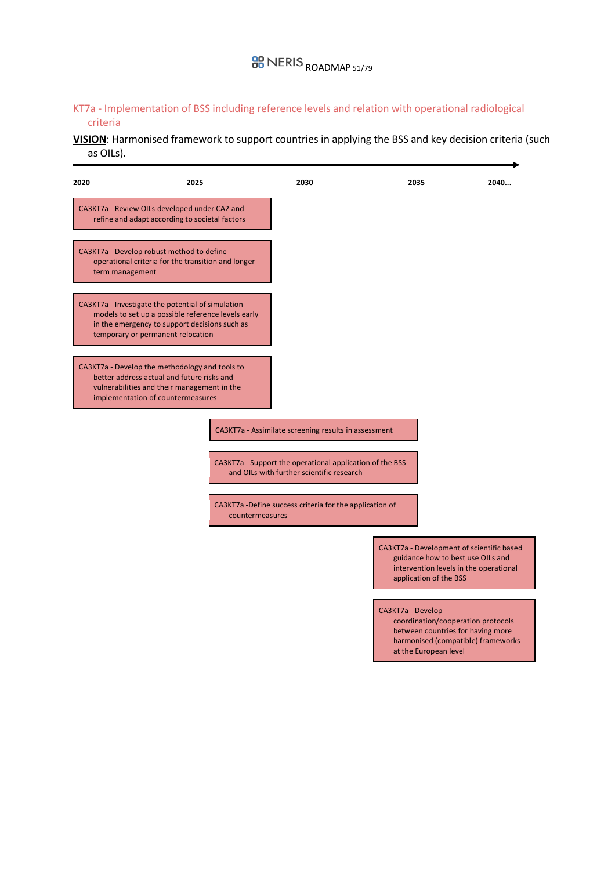#### KT7a - Implementation of BSS including reference levels and relation with operational radiological criteria

**VISION**: Harmonised framework to support countries in applying the BSS and key decision criteria (such as OILs).

| 2020 | 2025                                                                                                                                                                                          | 2030                                                                                                  | 2035                                                                                                                                                        | 2040 |
|------|-----------------------------------------------------------------------------------------------------------------------------------------------------------------------------------------------|-------------------------------------------------------------------------------------------------------|-------------------------------------------------------------------------------------------------------------------------------------------------------------|------|
|      | CA3KT7a - Review OILs developed under CA2 and<br>refine and adapt according to societal factors                                                                                               |                                                                                                       |                                                                                                                                                             |      |
|      | CA3KT7a - Develop robust method to define<br>operational criteria for the transition and longer-<br>term management                                                                           |                                                                                                       |                                                                                                                                                             |      |
|      | CA3KT7a - Investigate the potential of simulation<br>models to set up a possible reference levels early<br>in the emergency to support decisions such as<br>temporary or permanent relocation |                                                                                                       |                                                                                                                                                             |      |
|      | CA3KT7a - Develop the methodology and tools to<br>better address actual and future risks and<br>vulnerabilities and their management in the<br>implementation of countermeasures              |                                                                                                       |                                                                                                                                                             |      |
|      |                                                                                                                                                                                               | CA3KT7a - Assimilate screening results in assessment                                                  |                                                                                                                                                             |      |
|      |                                                                                                                                                                                               | CA3KT7a - Support the operational application of the BSS<br>and OILs with further scientific research |                                                                                                                                                             |      |
|      | countermeasures                                                                                                                                                                               | CA3KT7a -Define success criteria for the application of                                               |                                                                                                                                                             |      |
|      |                                                                                                                                                                                               |                                                                                                       | CA3KT7a - Development of scientific based<br>guidance how to best use OILs and<br>intervention levels in the operational<br>application of the BSS          |      |
|      |                                                                                                                                                                                               |                                                                                                       | CA3KT7a - Develop<br>coordination/cooperation protocols<br>between countries for having more<br>harmonised (compatible) frameworks<br>at the European level |      |
|      |                                                                                                                                                                                               |                                                                                                       |                                                                                                                                                             |      |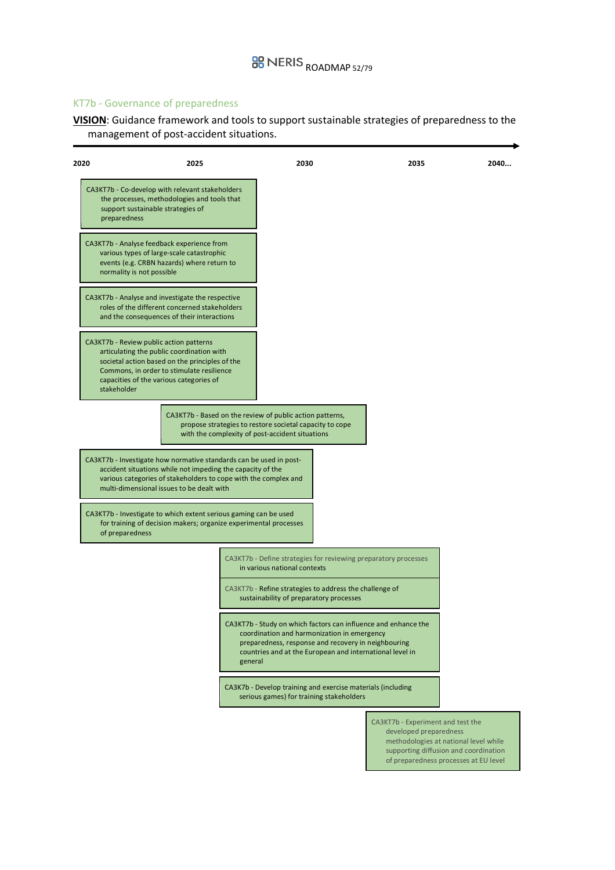### KT7b - Governance of preparedness

**VISION**: Guidance framework and tools to support sustainable strategies of preparedness to the management of post-accident situations.

| 2020 | 2025                                                                                                                                                                                                                                             |         | 2030                                                                                                                                                                                                                                                                        | 2035                                                        | 2040                                                                           |
|------|--------------------------------------------------------------------------------------------------------------------------------------------------------------------------------------------------------------------------------------------------|---------|-----------------------------------------------------------------------------------------------------------------------------------------------------------------------------------------------------------------------------------------------------------------------------|-------------------------------------------------------------|--------------------------------------------------------------------------------|
|      | CA3KT7b - Co-develop with relevant stakeholders<br>the processes, methodologies and tools that<br>support sustainable strategies of<br>preparedness                                                                                              |         |                                                                                                                                                                                                                                                                             |                                                             |                                                                                |
|      | CA3KT7b - Analyse feedback experience from<br>various types of large-scale catastrophic<br>events (e.g. CRBN hazards) where return to<br>normality is not possible                                                                               |         |                                                                                                                                                                                                                                                                             |                                                             |                                                                                |
|      | CA3KT7b - Analyse and investigate the respective<br>roles of the different concerned stakeholders<br>and the consequences of their interactions                                                                                                  |         |                                                                                                                                                                                                                                                                             |                                                             |                                                                                |
|      | CA3KT7b - Review public action patterns<br>articulating the public coordination with<br>societal action based on the principles of the<br>Commons, in order to stimulate resilience<br>capacities of the various categories of<br>stakeholder    |         |                                                                                                                                                                                                                                                                             |                                                             |                                                                                |
|      |                                                                                                                                                                                                                                                  |         | CA3KT7b - Based on the review of public action patterns,<br>propose strategies to restore societal capacity to cope<br>with the complexity of post-accident situations                                                                                                      |                                                             |                                                                                |
|      | CA3KT7b - Investigate how normative standards can be used in post-<br>accident situations while not impeding the capacity of the<br>various categories of stakeholders to cope with the complex and<br>multi-dimensional issues to be dealt with |         |                                                                                                                                                                                                                                                                             |                                                             |                                                                                |
|      | CA3KT7b - Investigate to which extent serious gaming can be used<br>for training of decision makers; organize experimental processes<br>of preparedness                                                                                          |         |                                                                                                                                                                                                                                                                             |                                                             |                                                                                |
|      |                                                                                                                                                                                                                                                  |         | CA3KT7b - Define strategies for reviewing preparatory processes<br>in various national contexts<br>CA3KT7b - Refine strategies to address the challenge of                                                                                                                  |                                                             |                                                                                |
|      |                                                                                                                                                                                                                                                  | general | sustainability of preparatory processes<br>CA3KT7b - Study on which factors can influence and enhance the<br>coordination and harmonization in emergency<br>preparedness, response and recovery in neighbouring<br>countries and at the European and international level in |                                                             |                                                                                |
|      |                                                                                                                                                                                                                                                  |         | CA3K7b - Develop training and exercise materials (including<br>serious games) for training stakeholders                                                                                                                                                                     |                                                             |                                                                                |
|      |                                                                                                                                                                                                                                                  |         |                                                                                                                                                                                                                                                                             | CA3KT7b - Experiment and test the<br>developed preparedness | methodologies at national level while<br>supporting diffusion and coordination |

of preparedness processes at EU level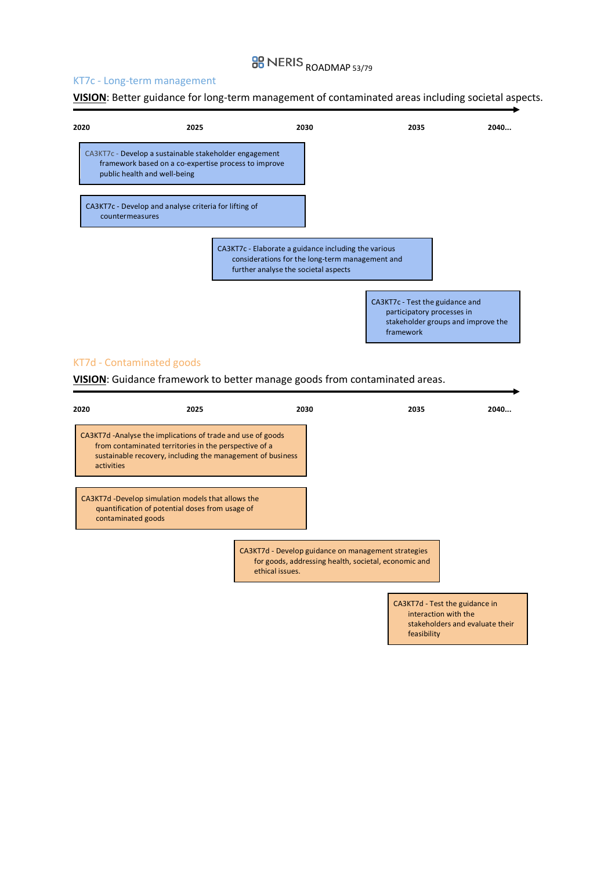# **BB** NERIS ROADMAP 53/79

#### KT7c - Long-term management

**VISION**: Better guidance for long-term management of contaminated areas including societal aspects.



#### KT7d - Contaminated goods

**VISION**: Guidance framework to better manage goods from contaminated areas.

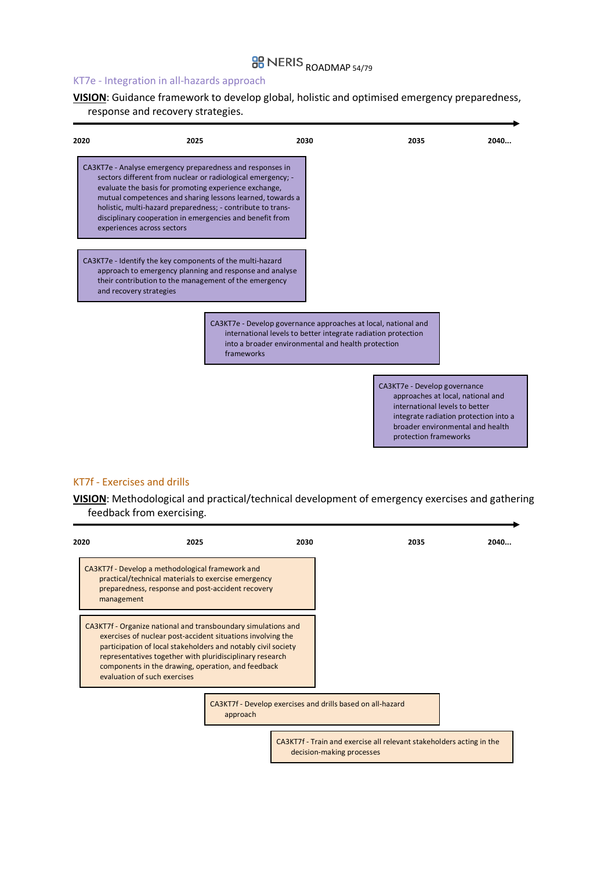# **BB** NERIS ROADMAP 54/79

#### KT7e - Integration in all-hazards approach

**VISION**: Guidance framework to develop global, holistic and optimised emergency preparedness, response and recovery strategies.



#### protection frameworks

#### KT7f - Exercises and drills

**VISION**: Methodological and practical/technical development of emergency exercises and gathering feedback from exercising.

| 2020 | 2025                                                                                                                                                                                                                                                                                                                                            |          | 2030 |                                                                                                   | 2035 | 2040 |
|------|-------------------------------------------------------------------------------------------------------------------------------------------------------------------------------------------------------------------------------------------------------------------------------------------------------------------------------------------------|----------|------|---------------------------------------------------------------------------------------------------|------|------|
|      | CA3KT7f - Develop a methodological framework and<br>practical/technical materials to exercise emergency<br>preparedness, response and post-accident recovery<br>management                                                                                                                                                                      |          |      |                                                                                                   |      |      |
|      | CA3KT7f - Organize national and transboundary simulations and<br>exercises of nuclear post-accident situations involving the<br>participation of local stakeholders and notably civil society<br>representatives together with pluridisciplinary research<br>components in the drawing, operation, and feedback<br>evaluation of such exercises |          |      |                                                                                                   |      |      |
|      |                                                                                                                                                                                                                                                                                                                                                 | approach |      | CA3KT7f - Develop exercises and drills based on all-hazard                                        |      |      |
|      |                                                                                                                                                                                                                                                                                                                                                 |          |      | CA3KT7f - Train and exercise all relevant stakeholders acting in the<br>decision-making processes |      |      |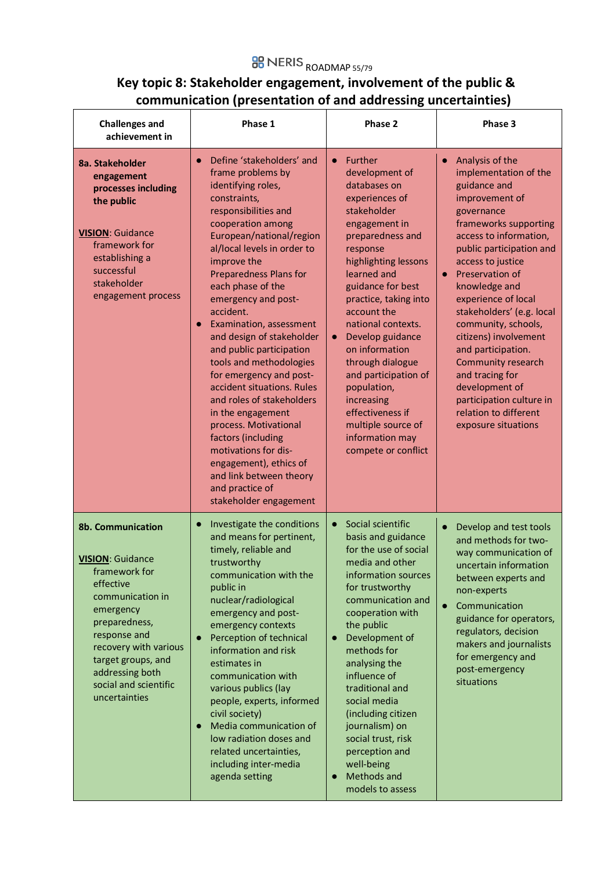# **BB** NERIS ROADMAP 55/79

### **Key topic 8: Stakeholder engagement, involvement of the public & communication (presentation of and addressing uncertainties)**

| <b>Challenges and</b><br>achievement in                                                                                                                                                                                                                         | Phase 1                                                                                                                                                                                                                                                                                                                                                                                                                                                                                                                                                                                                                                                                                                               | Phase 2                                                                                                                                                                                                                                                                                                                                                                                                                                                                                   | Phase 3                                                                                                                                                                                                                                                                                                                                                                                                                                                                                                                     |
|-----------------------------------------------------------------------------------------------------------------------------------------------------------------------------------------------------------------------------------------------------------------|-----------------------------------------------------------------------------------------------------------------------------------------------------------------------------------------------------------------------------------------------------------------------------------------------------------------------------------------------------------------------------------------------------------------------------------------------------------------------------------------------------------------------------------------------------------------------------------------------------------------------------------------------------------------------------------------------------------------------|-------------------------------------------------------------------------------------------------------------------------------------------------------------------------------------------------------------------------------------------------------------------------------------------------------------------------------------------------------------------------------------------------------------------------------------------------------------------------------------------|-----------------------------------------------------------------------------------------------------------------------------------------------------------------------------------------------------------------------------------------------------------------------------------------------------------------------------------------------------------------------------------------------------------------------------------------------------------------------------------------------------------------------------|
| 8a. Stakeholder<br>engagement<br>processes including<br>the public<br><b>VISION: Guidance</b><br>framework for<br>establishing a<br>successful<br>stakeholder<br>engagement process                                                                             | Define 'stakeholders' and<br>$\bullet$<br>frame problems by<br>identifying roles,<br>constraints,<br>responsibilities and<br>cooperation among<br>European/national/region<br>al/local levels in order to<br>improve the<br><b>Preparedness Plans for</b><br>each phase of the<br>emergency and post-<br>accident.<br>Examination, assessment<br>and design of stakeholder<br>and public participation<br>tools and methodologies<br>for emergency and post-<br>accident situations. Rules<br>and roles of stakeholders<br>in the engagement<br>process. Motivational<br>factors (including<br>motivations for dis-<br>engagement), ethics of<br>and link between theory<br>and practice of<br>stakeholder engagement | <b>Further</b><br>$\bullet$<br>development of<br>databases on<br>experiences of<br>stakeholder<br>engagement in<br>preparedness and<br>response<br>highlighting lessons<br>learned and<br>guidance for best<br>practice, taking into<br>account the<br>national contexts.<br>Develop guidance<br>$\bullet$<br>on information<br>through dialogue<br>and participation of<br>population,<br>increasing<br>effectiveness if<br>multiple source of<br>information may<br>compete or conflict | Analysis of the<br>$\bullet$<br>implementation of the<br>guidance and<br>improvement of<br>governance<br>frameworks supporting<br>access to information,<br>public participation and<br>access to justice<br>Preservation of<br>$\bullet$<br>knowledge and<br>experience of local<br>stakeholders' (e.g. local<br>community, schools,<br>citizens) involvement<br>and participation.<br>Community research<br>and tracing for<br>development of<br>participation culture in<br>relation to different<br>exposure situations |
| <b>8b. Communication</b><br><b>VISION: Guidance</b><br>framework for<br>effective<br>communication in<br>emergency<br>preparedness,<br>response and<br>recovery with various<br>target groups, and<br>addressing both<br>social and scientific<br>uncertainties | Investigate the conditions<br>and means for pertinent,<br>timely, reliable and<br>trustworthy<br>communication with the<br>public in<br>nuclear/radiological<br>emergency and post-<br>emergency contexts<br>Perception of technical<br>$\bullet$<br>information and risk<br>estimates in<br>communication with<br>various publics (lay<br>people, experts, informed<br>civil society)<br>Media communication of<br>low radiation doses and<br>related uncertainties,<br>including inter-media<br>agenda setting                                                                                                                                                                                                      | Social scientific<br>$\bullet$<br>basis and guidance<br>for the use of social<br>media and other<br>information sources<br>for trustworthy<br>communication and<br>cooperation with<br>the public<br>Development of<br>$\bullet$<br>methods for<br>analysing the<br>influence of<br>traditional and<br>social media<br>(including citizen<br>journalism) on<br>social trust, risk<br>perception and<br>well-being<br>Methods and<br>$\bullet$<br>models to assess                         | Develop and test tools<br>and methods for two-<br>way communication of<br>uncertain information<br>between experts and<br>non-experts<br>Communication<br>guidance for operators,<br>regulators, decision<br>makers and journalists<br>for emergency and<br>post-emergency<br>situations                                                                                                                                                                                                                                    |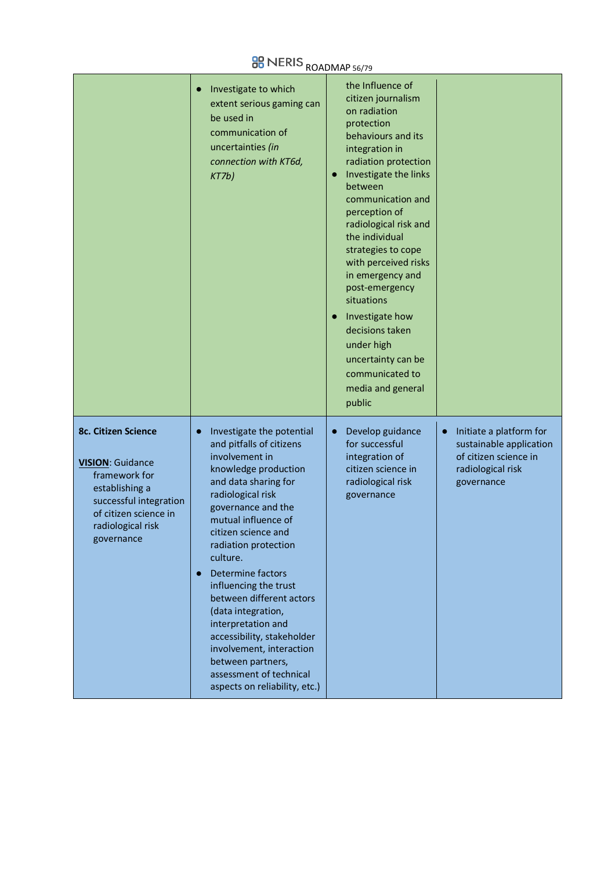# **BB** NERIS ROADMAP 56/79

|                                                                                                                                                                                | Investigate to which<br>$\bullet$<br>extent serious gaming can<br>be used in<br>communication of<br>uncertainties (in<br>connection with KT6d,<br>KTZb                                                                                                                                                                                                                                                                                                                                                                                    | the Influence of<br>citizen journalism<br>on radiation<br>protection<br>behaviours and its<br>integration in<br>radiation protection<br>Investigate the links<br>between<br>communication and<br>perception of<br>radiological risk and<br>the individual<br>strategies to cope<br>with perceived risks<br>in emergency and<br>post-emergency<br>situations<br>Investigate how<br>decisions taken<br>under high<br>uncertainty can be<br>communicated to<br>media and general<br>public |                                                                                                                             |
|--------------------------------------------------------------------------------------------------------------------------------------------------------------------------------|-------------------------------------------------------------------------------------------------------------------------------------------------------------------------------------------------------------------------------------------------------------------------------------------------------------------------------------------------------------------------------------------------------------------------------------------------------------------------------------------------------------------------------------------|-----------------------------------------------------------------------------------------------------------------------------------------------------------------------------------------------------------------------------------------------------------------------------------------------------------------------------------------------------------------------------------------------------------------------------------------------------------------------------------------|-----------------------------------------------------------------------------------------------------------------------------|
| <b>8c. Citizen Science</b><br><b>VISION: Guidance</b><br>framework for<br>establishing a<br>successful integration<br>of citizen science in<br>radiological risk<br>governance | Investigate the potential<br>$\bullet$<br>and pitfalls of citizens<br>involvement in<br>knowledge production<br>and data sharing for<br>radiological risk<br>governance and the<br>mutual influence of<br>citizen science and<br>radiation protection<br>culture.<br><b>Determine factors</b><br>influencing the trust<br>between different actors<br>(data integration,<br>interpretation and<br>accessibility, stakeholder<br>involvement, interaction<br>between partners,<br>assessment of technical<br>aspects on reliability, etc.) | Develop guidance<br>$\bullet$<br>for successful<br>integration of<br>citizen science in<br>radiological risk<br>governance                                                                                                                                                                                                                                                                                                                                                              | Initiate a platform for<br>$\bullet$<br>sustainable application<br>of citizen science in<br>radiological risk<br>governance |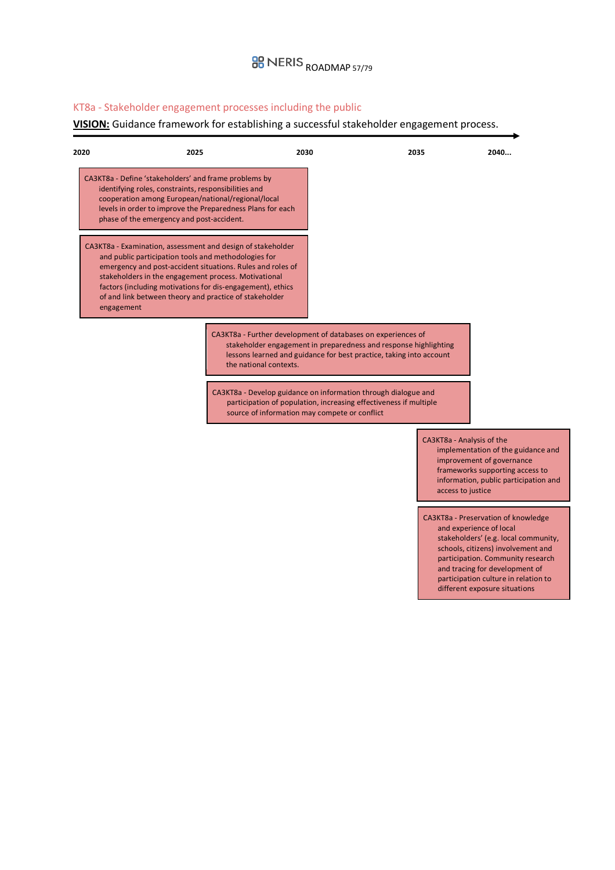# **BB** NERIS ROADMAP 57/79

### KT8a - Stakeholder engagement processes including the public

### **VISION:** Guidance framework for establishing a successful stakeholder engagement process.

| 2020 | 2025                                                                                                                                                                                                                                                                                                                                                                            |                        | 2030                                                                                                                                                                                                                                                                                                                                                                                            | 2035                                           | 2040                                                                                                                                                                                                                                                                                         |
|------|---------------------------------------------------------------------------------------------------------------------------------------------------------------------------------------------------------------------------------------------------------------------------------------------------------------------------------------------------------------------------------|------------------------|-------------------------------------------------------------------------------------------------------------------------------------------------------------------------------------------------------------------------------------------------------------------------------------------------------------------------------------------------------------------------------------------------|------------------------------------------------|----------------------------------------------------------------------------------------------------------------------------------------------------------------------------------------------------------------------------------------------------------------------------------------------|
|      | CA3KT8a - Define 'stakeholders' and frame problems by<br>identifying roles, constraints, responsibilities and<br>cooperation among European/national/regional/local<br>levels in order to improve the Preparedness Plans for each<br>phase of the emergency and post-accident.                                                                                                  |                        |                                                                                                                                                                                                                                                                                                                                                                                                 |                                                |                                                                                                                                                                                                                                                                                              |
|      | CA3KT8a - Examination, assessment and design of stakeholder<br>and public participation tools and methodologies for<br>emergency and post-accident situations. Rules and roles of<br>stakeholders in the engagement process. Motivational<br>factors (including motivations for dis-engagement), ethics<br>of and link between theory and practice of stakeholder<br>engagement |                        |                                                                                                                                                                                                                                                                                                                                                                                                 |                                                |                                                                                                                                                                                                                                                                                              |
|      |                                                                                                                                                                                                                                                                                                                                                                                 | the national contexts. | CA3KT8a - Further development of databases on experiences of<br>stakeholder engagement in preparedness and response highlighting<br>lessons learned and guidance for best practice, taking into account<br>CA3KT8a - Develop guidance on information through dialogue and<br>participation of population, increasing effectiveness if multiple<br>source of information may compete or conflict |                                                |                                                                                                                                                                                                                                                                                              |
|      |                                                                                                                                                                                                                                                                                                                                                                                 |                        |                                                                                                                                                                                                                                                                                                                                                                                                 | CA3KT8a - Analysis of the<br>access to justice | implementation of the guidance and<br>improvement of governance<br>frameworks supporting access to<br>information, public participation and                                                                                                                                                  |
|      |                                                                                                                                                                                                                                                                                                                                                                                 |                        |                                                                                                                                                                                                                                                                                                                                                                                                 |                                                | CA3KT8a - Preservation of knowledge<br>and experience of local<br>stakeholders' (e.g. local community,<br>schools, citizens) involvement and<br>participation. Community research<br>and tracing for development of<br>participation culture in relation to<br>different exposure situations |
|      |                                                                                                                                                                                                                                                                                                                                                                                 |                        |                                                                                                                                                                                                                                                                                                                                                                                                 |                                                |                                                                                                                                                                                                                                                                                              |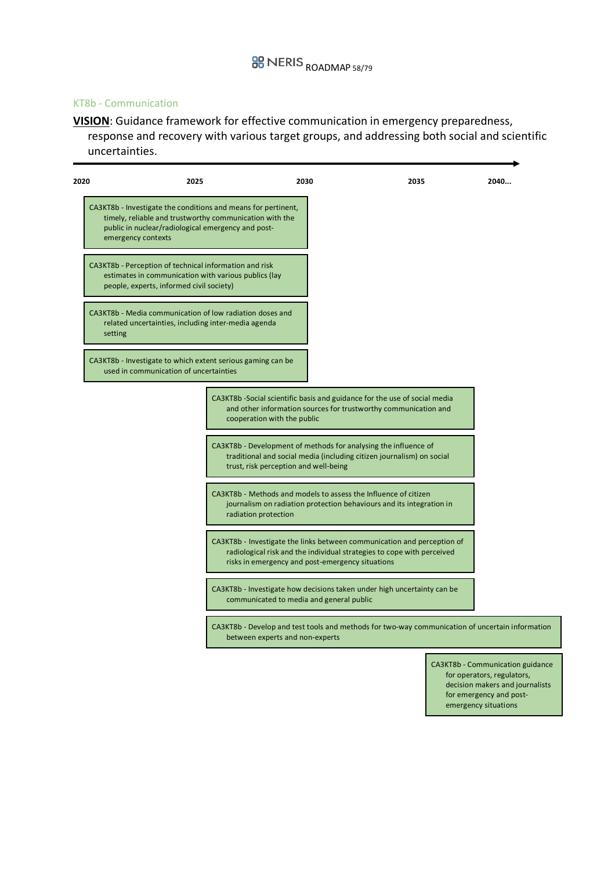#### KT8b - Communication

**VISION**: Guidance framework for effective communication in emergency preparedness, response and recovery with various target groups, and addressing both social and scientific uncertainties.

| 2020 | 2025                                                                                                                                                                                                 | 2030                                     | 2035                                                                                                                                                                                                  | 2040 |
|------|------------------------------------------------------------------------------------------------------------------------------------------------------------------------------------------------------|------------------------------------------|-------------------------------------------------------------------------------------------------------------------------------------------------------------------------------------------------------|------|
|      | CA3KT8b - Investigate the conditions and means for pertinent,<br>timely, reliable and trustworthy communication with the<br>public in nuclear/radiological emergency and post-<br>emergency contexts |                                          |                                                                                                                                                                                                       |      |
|      | CA3KT8b - Perception of technical information and risk<br>estimates in communication with various publics (lay<br>people, experts, informed civil society)                                           |                                          |                                                                                                                                                                                                       |      |
|      | CA3KT8b - Media communication of low radiation doses and<br>related uncertainties, including inter-media agenda<br>setting                                                                           |                                          |                                                                                                                                                                                                       |      |
|      | CA3KT8b - Investigate to which extent serious gaming can be<br>used in communication of uncertainties                                                                                                |                                          |                                                                                                                                                                                                       |      |
|      |                                                                                                                                                                                                      | cooperation with the public              | CA3KT8b -Social scientific basis and guidance for the use of social media<br>and other information sources for trustworthy communication and                                                          |      |
|      |                                                                                                                                                                                                      | trust, risk perception and well-being    | CA3KT8b - Development of methods for analysing the influence of<br>traditional and social media (including citizen journalism) on social                                                              |      |
|      |                                                                                                                                                                                                      | radiation protection                     | CA3KT8b - Methods and models to assess the Influence of citizen<br>journalism on radiation protection behaviours and its integration in                                                               |      |
|      |                                                                                                                                                                                                      |                                          | CA3KT8b - Investigate the links between communication and perception of<br>radiological risk and the individual strategies to cope with perceived<br>risks in emergency and post-emergency situations |      |
|      |                                                                                                                                                                                                      | communicated to media and general public | CA3KT8b - Investigate how decisions taken under high uncertainty can be                                                                                                                               |      |
|      |                                                                                                                                                                                                      | between experts and non-experts          | CA3KT8b - Develop and test tools and methods for two-way communication of uncertain information                                                                                                       |      |
|      |                                                                                                                                                                                                      |                                          |                                                                                                                                                                                                       |      |

CA3KT8b - Communication guidance for operators, regulators, decision makers and journalists for emergency and postemergency situations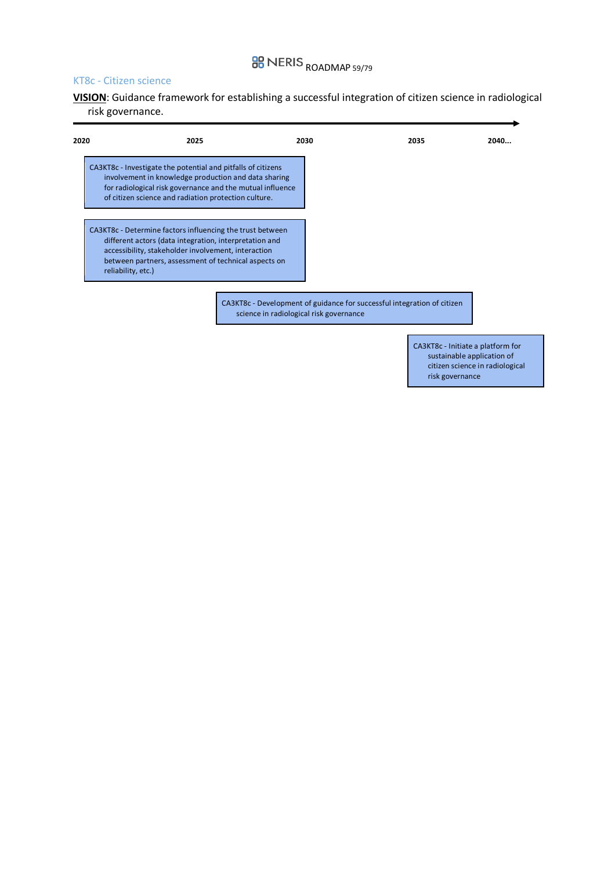# **BB** NERIS ROADMAP 59/79

#### KT8c - Citizen science

**VISION**: Guidance framework for establishing a successful integration of citizen science in radiological risk governance.



CA3KT8c - Initiate a platform for sustainable application of citizen science in radiological risk governance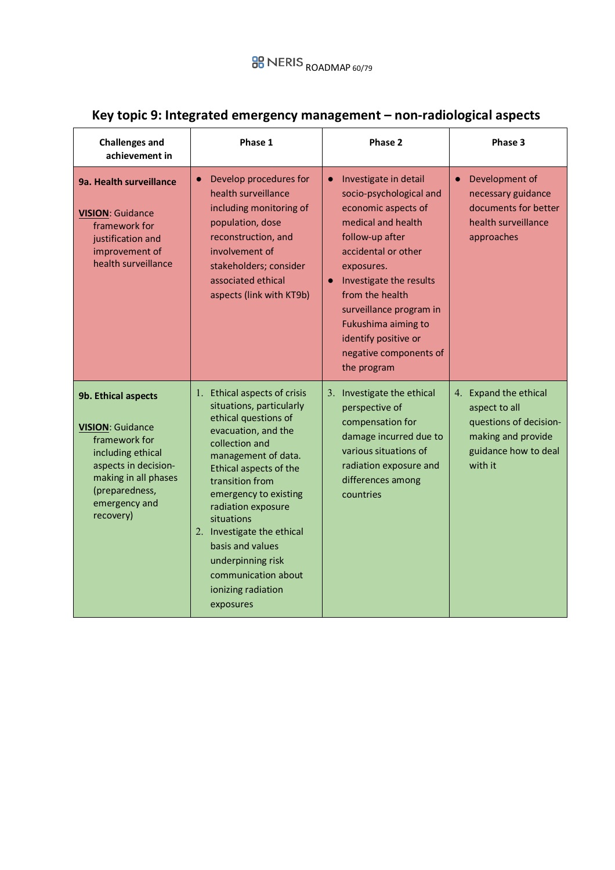| <b>Challenges and</b><br>achievement in                                                                                                                                              | Phase 1                                                                                                                                                                                                                                                                                                                                                                                     | Phase 2                                                                                                                                                                                                                                                                                                                                          | Phase 3                                                                                                                   |
|--------------------------------------------------------------------------------------------------------------------------------------------------------------------------------------|---------------------------------------------------------------------------------------------------------------------------------------------------------------------------------------------------------------------------------------------------------------------------------------------------------------------------------------------------------------------------------------------|--------------------------------------------------------------------------------------------------------------------------------------------------------------------------------------------------------------------------------------------------------------------------------------------------------------------------------------------------|---------------------------------------------------------------------------------------------------------------------------|
| 9a. Health surveillance<br><b>VISION: Guidance</b><br>framework for<br>justification and<br>improvement of<br>health surveillance                                                    | Develop procedures for<br>$\bullet$<br>health surveillance<br>including monitoring of<br>population, dose<br>reconstruction, and<br>involvement of<br>stakeholders; consider<br>associated ethical<br>aspects (link with KT9b)                                                                                                                                                              | Investigate in detail<br>$\bullet$<br>socio-psychological and<br>economic aspects of<br>medical and health<br>follow-up after<br>accidental or other<br>exposures.<br>Investigate the results<br>$\bullet$<br>from the health<br>surveillance program in<br>Fukushima aiming to<br>identify positive or<br>negative components of<br>the program | Development of<br>$\bullet$<br>necessary guidance<br>documents for better<br>health surveillance<br>approaches            |
| 9b. Ethical aspects<br><b>VISION: Guidance</b><br>framework for<br>including ethical<br>aspects in decision-<br>making in all phases<br>(preparedness,<br>emergency and<br>recovery) | 1. Ethical aspects of crisis<br>situations, particularly<br>ethical questions of<br>evacuation, and the<br>collection and<br>management of data.<br>Ethical aspects of the<br>transition from<br>emergency to existing<br>radiation exposure<br>situations<br>2. Investigate the ethical<br>basis and values<br>underpinning risk<br>communication about<br>ionizing radiation<br>exposures | 3. Investigate the ethical<br>perspective of<br>compensation for<br>damage incurred due to<br>various situations of<br>radiation exposure and<br>differences among<br>countries                                                                                                                                                                  | 4. Expand the ethical<br>aspect to all<br>questions of decision-<br>making and provide<br>guidance how to deal<br>with it |

## **Key topic 9: Integrated emergency management – non-radiological aspects**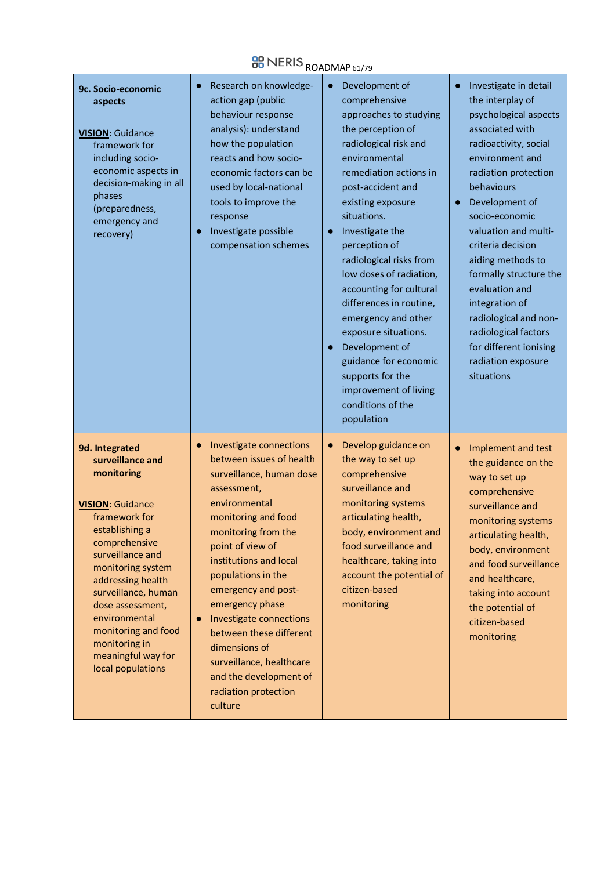# **BB** NERIS <sub>ROADMAP 61/79</sub>

| 9c. Socio-economic<br>aspects<br><b>VISION: Guidance</b><br>framework for<br>including socio-<br>economic aspects in<br>decision-making in all<br>phases<br>(preparedness,<br>emergency and<br>recovery)                                                                                                                                     | Research on knowledge-<br>action gap (public<br>behaviour response<br>analysis): understand<br>how the population<br>reacts and how socio-<br>economic factors can be<br>used by local-national<br>tools to improve the<br>response<br>Investigate possible<br>compensation schemes                                                                                                                                                         | Development of<br>comprehensive<br>approaches to studying<br>the perception of<br>radiological risk and<br>environmental<br>remediation actions in<br>post-accident and<br>existing exposure<br>situations.<br>Investigate the<br>perception of<br>radiological risks from<br>low doses of radiation,<br>accounting for cultural<br>differences in routine,<br>emergency and other<br>exposure situations.<br>Development of<br>$\bullet$<br>guidance for economic<br>supports for the<br>improvement of living<br>conditions of the<br>population | Investigate in detail<br>the interplay of<br>psychological aspects<br>associated with<br>radioactivity, social<br>environment and<br>radiation protection<br>behaviours<br>Development of<br>socio-economic<br>valuation and multi-<br>criteria decision<br>aiding methods to<br>formally structure the<br>evaluation and<br>integration of<br>radiological and non-<br>radiological factors<br>for different ionising<br>radiation exposure<br>situations |
|----------------------------------------------------------------------------------------------------------------------------------------------------------------------------------------------------------------------------------------------------------------------------------------------------------------------------------------------|---------------------------------------------------------------------------------------------------------------------------------------------------------------------------------------------------------------------------------------------------------------------------------------------------------------------------------------------------------------------------------------------------------------------------------------------|----------------------------------------------------------------------------------------------------------------------------------------------------------------------------------------------------------------------------------------------------------------------------------------------------------------------------------------------------------------------------------------------------------------------------------------------------------------------------------------------------------------------------------------------------|------------------------------------------------------------------------------------------------------------------------------------------------------------------------------------------------------------------------------------------------------------------------------------------------------------------------------------------------------------------------------------------------------------------------------------------------------------|
| 9d. Integrated<br>surveillance and<br>monitoring<br><b>VISION: Guidance</b><br>framework for<br>establishing a<br>comprehensive<br>surveillance and<br>monitoring system<br>addressing health<br>surveillance, human<br>dose assessment,<br>environmental<br>monitoring and food<br>monitoring in<br>meaningful way for<br>local populations | Investigate connections<br>between issues of health<br>surveillance, human dose<br>assessment,<br>environmental<br>monitoring and food<br>monitoring from the<br>point of view of<br>institutions and local<br>populations in the<br>emergency and post-<br>emergency phase<br>Investigate connections<br>between these different<br>dimensions of<br>surveillance, healthcare<br>and the development of<br>radiation protection<br>culture | Develop guidance on<br>the way to set up<br>comprehensive<br>surveillance and<br>monitoring systems<br>articulating health,<br>body, environment and<br>food surveillance and<br>healthcare, taking into<br>account the potential of<br>citizen-based<br>monitoring                                                                                                                                                                                                                                                                                | Implement and test<br>$\bullet$<br>the guidance on the<br>way to set up<br>comprehensive<br>surveillance and<br>monitoring systems<br>articulating health,<br>body, environment<br>and food surveillance<br>and healthcare,<br>taking into account<br>the potential of<br>citizen-based<br>monitoring                                                                                                                                                      |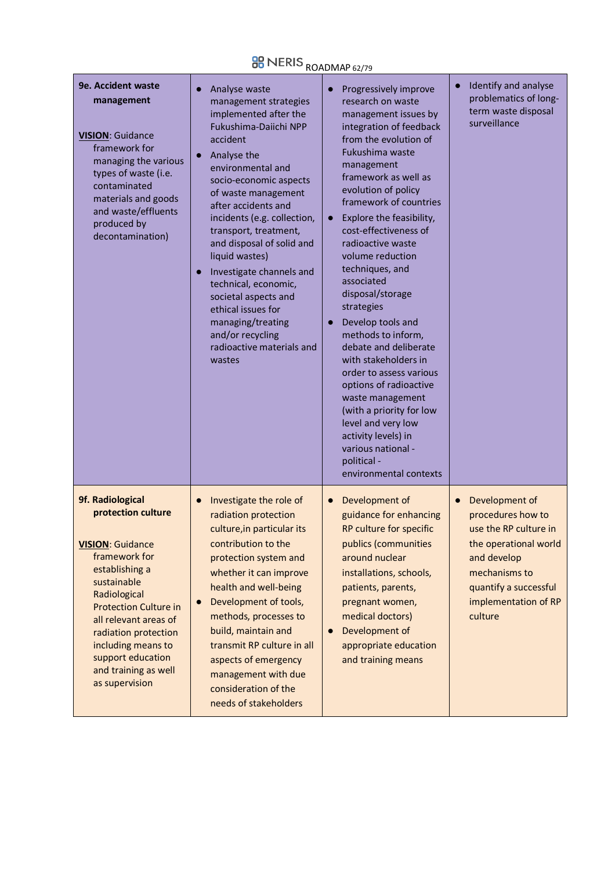# **BB** NERIS ROADMAP 62/79

| 9e. Accident waste<br>management<br><b>VISION: Guidance</b><br>framework for<br>managing the various<br>types of waste (i.e.<br>contaminated<br>materials and goods<br>and waste/effluents<br>produced by<br>decontamination)                                                                             | Analyse waste<br>management strategies<br>implemented after the<br>Fukushima-Daiichi NPP<br>accident<br>Analyse the<br>$\bullet$<br>environmental and<br>socio-economic aspects<br>of waste management<br>after accidents and<br>incidents (e.g. collection,<br>transport, treatment,<br>and disposal of solid and<br>liquid wastes)<br>Investigate channels and<br>technical, economic,<br>societal aspects and<br>ethical issues for<br>managing/treating<br>and/or recycling<br>radioactive materials and<br>wastes | Progressively improve<br>research on waste<br>management issues by<br>integration of feedback<br>from the evolution of<br>Fukushima waste<br>management<br>framework as well as<br>evolution of policy<br>framework of countries<br>Explore the feasibility,<br>cost-effectiveness of<br>radioactive waste<br>volume reduction<br>techniques, and<br>associated<br>disposal/storage<br>strategies<br>Develop tools and<br>methods to inform,<br>debate and deliberate<br>with stakeholders in<br>order to assess various<br>options of radioactive<br>waste management<br>(with a priority for low<br>level and very low<br>activity levels) in<br>various national -<br>political -<br>environmental contexts | Identify and analyse<br>$\bullet$<br>problematics of long-<br>term waste disposal<br>surveillance                                                                                              |
|-----------------------------------------------------------------------------------------------------------------------------------------------------------------------------------------------------------------------------------------------------------------------------------------------------------|------------------------------------------------------------------------------------------------------------------------------------------------------------------------------------------------------------------------------------------------------------------------------------------------------------------------------------------------------------------------------------------------------------------------------------------------------------------------------------------------------------------------|----------------------------------------------------------------------------------------------------------------------------------------------------------------------------------------------------------------------------------------------------------------------------------------------------------------------------------------------------------------------------------------------------------------------------------------------------------------------------------------------------------------------------------------------------------------------------------------------------------------------------------------------------------------------------------------------------------------|------------------------------------------------------------------------------------------------------------------------------------------------------------------------------------------------|
| 9f. Radiological<br>protection culture<br><b>VISION: Guidance</b><br>framework for<br>establishing a<br>sustainable<br>Radiological<br><b>Protection Culture in</b><br>all relevant areas of<br>radiation protection<br>including means to<br>support education<br>and training as well<br>as supervision | Investigate the role of<br>radiation protection<br>culture, in particular its<br>contribution to the<br>protection system and<br>whether it can improve<br>health and well-being<br>Development of tools,<br>methods, processes to<br>build, maintain and<br>transmit RP culture in all<br>aspects of emergency<br>management with due<br>consideration of the<br>needs of stakeholders                                                                                                                                | Development of<br>guidance for enhancing<br>RP culture for specific<br>publics (communities<br>around nuclear<br>installations, schools,<br>patients, parents,<br>pregnant women,<br>medical doctors)<br>Development of<br>appropriate education<br>and training means                                                                                                                                                                                                                                                                                                                                                                                                                                         | Development of<br>$\bullet$<br>procedures how to<br>use the RP culture in<br>the operational world<br>and develop<br>mechanisms to<br>quantify a successful<br>implementation of RP<br>culture |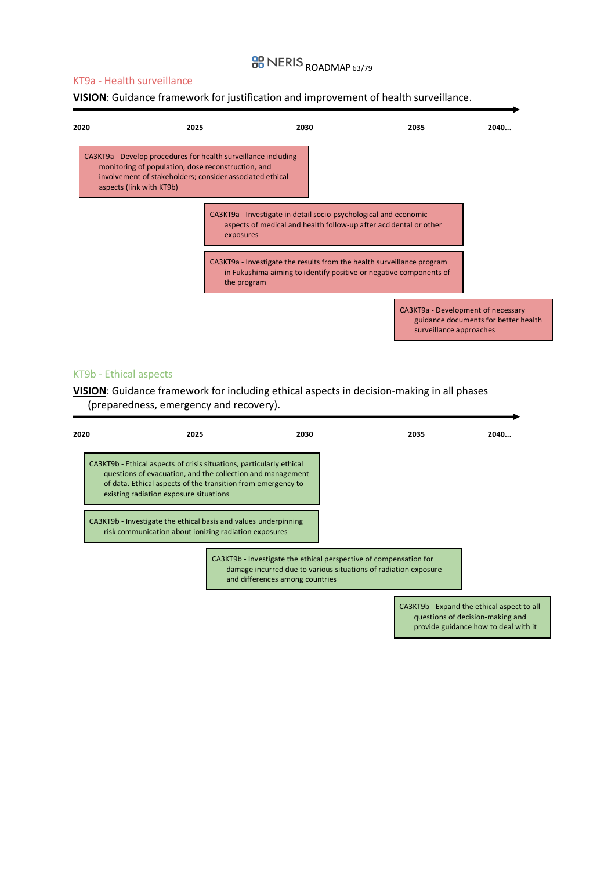# **BB** NERIS ROADMAP 63/79

#### KT9a - Health surveillance

#### **VISION**: Guidance framework for justification and improvement of health surveillance.

| 2020 | 2025                                                                                                                                                                                                         | 2030                                                                                  |                                                                    | 2035                                                          | 2040                                 |
|------|--------------------------------------------------------------------------------------------------------------------------------------------------------------------------------------------------------------|---------------------------------------------------------------------------------------|--------------------------------------------------------------------|---------------------------------------------------------------|--------------------------------------|
|      | CA3KT9a - Develop procedures for health surveillance including<br>monitoring of population, dose reconstruction, and<br>involvement of stakeholders; consider associated ethical<br>aspects (link with KT9b) |                                                                                       |                                                                    |                                                               |                                      |
|      |                                                                                                                                                                                                              | CA3KT9a - Investigate in detail socio-psychological and economic<br>exposures         | aspects of medical and health follow-up after accidental or other  |                                                               |                                      |
|      |                                                                                                                                                                                                              | CA3KT9a - Investigate the results from the health surveillance program<br>the program | in Fukushima aiming to identify positive or negative components of |                                                               |                                      |
|      |                                                                                                                                                                                                              |                                                                                       |                                                                    | CA3KT9a - Development of necessary<br>surveillance approaches | guidance documents for better health |

#### KT9b - Ethical aspects

**VISION**: Guidance framework for including ethical aspects in decision-making in all phases (preparedness, emergency and recovery).

| 2020                                                                                                                                                                                                                                                                                                                                                                                                                                                                                                                                                | 2025 | 2030 | 2035 | 2040                                                                           |
|-----------------------------------------------------------------------------------------------------------------------------------------------------------------------------------------------------------------------------------------------------------------------------------------------------------------------------------------------------------------------------------------------------------------------------------------------------------------------------------------------------------------------------------------------------|------|------|------|--------------------------------------------------------------------------------|
| CA3KT9b - Ethical aspects of crisis situations, particularly ethical<br>questions of evacuation, and the collection and management<br>of data. Ethical aspects of the transition from emergency to<br>existing radiation exposure situations<br>CA3KT9b - Investigate the ethical basis and values underpinning<br>risk communication about ionizing radiation exposures<br>CA3KT9b - Investigate the ethical perspective of compensation for<br>damage incurred due to various situations of radiation exposure<br>and differences among countries |      |      |      |                                                                                |
|                                                                                                                                                                                                                                                                                                                                                                                                                                                                                                                                                     |      |      |      |                                                                                |
|                                                                                                                                                                                                                                                                                                                                                                                                                                                                                                                                                     |      |      |      | CA3KT9b - Expand the ethical aspect to all<br>questions of decision-making and |

provide guidance how to deal with it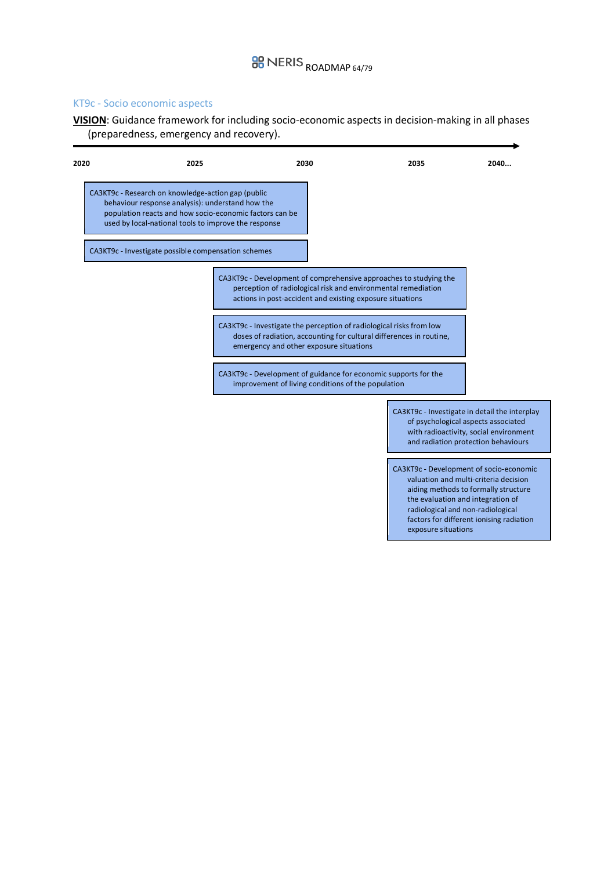# **BB** NERIS ROADMAP 64/79

#### KT9c - Socio economic aspects

**VISION**: Guidance framework for including socio-economic aspects in decision-making in all phases (preparedness, emergency and recovery).

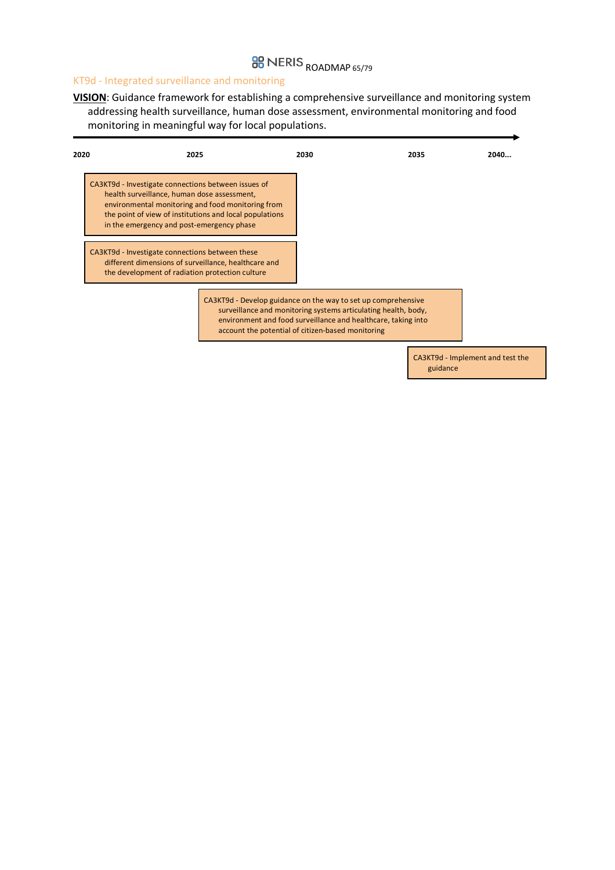## **BB** NERIS ROADMAP 65/79

#### KT9d - Integrated surveillance and monitoring

**VISION**: Guidance framework for establishing a comprehensive surveillance and monitoring system addressing health surveillance, human dose assessment, environmental monitoring and food monitoring in meaningful way for local populations.



guidance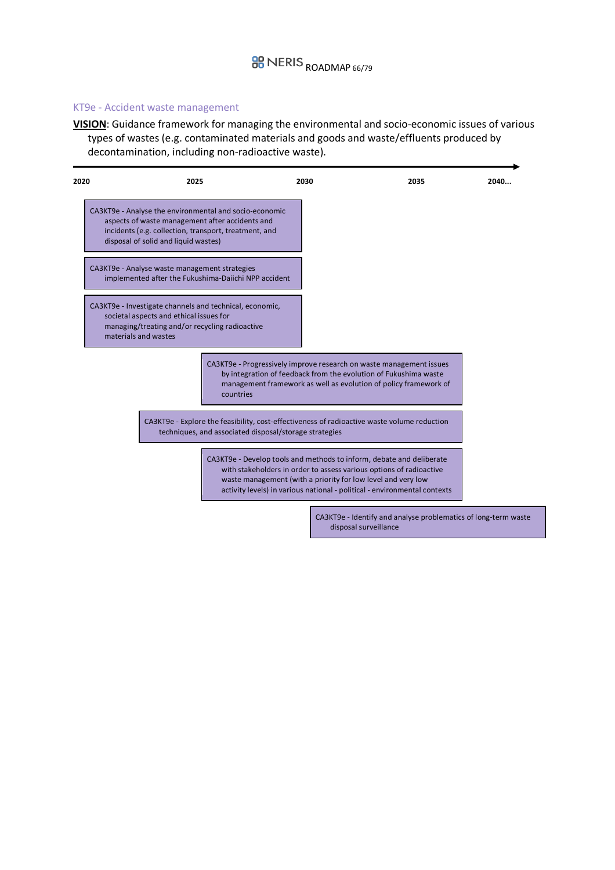#### KT9e - Accident waste management

**VISION**: Guidance framework for managing the environmental and socio-economic issues of various types of wastes (e.g. contaminated materials and goods and waste/effluents produced by decontamination, including non-radioactive waste).

| 2020 | 2025                                                                                                                                                                         |                                                                                                                                                                    | 2030 | 2035                                                                                                                                                                                                                                                                                     | 2040 |
|------|------------------------------------------------------------------------------------------------------------------------------------------------------------------------------|--------------------------------------------------------------------------------------------------------------------------------------------------------------------|------|------------------------------------------------------------------------------------------------------------------------------------------------------------------------------------------------------------------------------------------------------------------------------------------|------|
|      | disposal of solid and liquid wastes)                                                                                                                                         | CA3KT9e - Analyse the environmental and socio-economic<br>aspects of waste management after accidents and<br>incidents (e.g. collection, transport, treatment, and |      |                                                                                                                                                                                                                                                                                          |      |
|      | CA3KT9e - Analyse waste management strategies                                                                                                                                | implemented after the Fukushima-Daiichi NPP accident                                                                                                               |      |                                                                                                                                                                                                                                                                                          |      |
|      | CA3KT9e - Investigate channels and technical, economic,<br>societal aspects and ethical issues for<br>managing/treating and/or recycling radioactive<br>materials and wastes |                                                                                                                                                                    |      |                                                                                                                                                                                                                                                                                          |      |
|      |                                                                                                                                                                              | countries                                                                                                                                                          |      | CA3KT9e - Progressively improve research on waste management issues<br>by integration of feedback from the evolution of Fukushima waste<br>management framework as well as evolution of policy framework of                                                                              |      |
|      |                                                                                                                                                                              | techniques, and associated disposal/storage strategies                                                                                                             |      | CA3KT9e - Explore the feasibility, cost-effectiveness of radioactive waste volume reduction                                                                                                                                                                                              |      |
|      |                                                                                                                                                                              |                                                                                                                                                                    |      | CA3KT9e - Develop tools and methods to inform, debate and deliberate<br>with stakeholders in order to assess various options of radioactive<br>waste management (with a priority for low level and very low<br>activity levels) in various national - political - environmental contexts |      |
|      |                                                                                                                                                                              |                                                                                                                                                                    |      | CA3KT9e - Identify and analyse problematics of long-term waste<br>disposal surveillance                                                                                                                                                                                                  |      |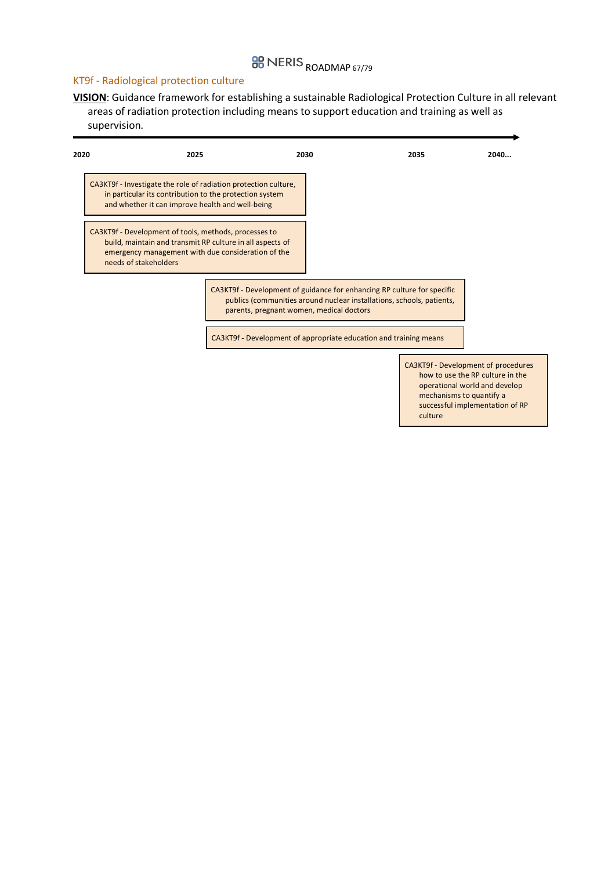## **BB** NERIS ROADMAP 67/79

### KT9f - Radiological protection culture

**VISION**: Guidance framework for establishing a sustainable Radiological Protection Culture in all relevant areas of radiation protection including means to support education and training as well as supervision.

| 2020 | 2025                                                                                                                                                                                              |                                          | 2030                                                                                                                                             | 2035                     | 2040                                                                                                     |
|------|---------------------------------------------------------------------------------------------------------------------------------------------------------------------------------------------------|------------------------------------------|--------------------------------------------------------------------------------------------------------------------------------------------------|--------------------------|----------------------------------------------------------------------------------------------------------|
|      | CA3KT9f - Investigate the role of radiation protection culture,<br>in particular its contribution to the protection system<br>and whether it can improve health and well-being                    |                                          |                                                                                                                                                  |                          |                                                                                                          |
|      | CA3KT9f - Development of tools, methods, processes to<br>build, maintain and transmit RP culture in all aspects of<br>emergency management with due consideration of the<br>needs of stakeholders |                                          |                                                                                                                                                  |                          |                                                                                                          |
|      |                                                                                                                                                                                                   | parents, pregnant women, medical doctors | CA3KT9f - Development of guidance for enhancing RP culture for specific<br>publics (communities around nuclear installations, schools, patients, |                          |                                                                                                          |
|      |                                                                                                                                                                                                   |                                          | CA3KT9f - Development of appropriate education and training means                                                                                |                          |                                                                                                          |
|      |                                                                                                                                                                                                   |                                          |                                                                                                                                                  | mechanisms to quantify a | CA3KT9f - Development of procedures<br>how to use the RP culture in the<br>operational world and develop |

successful implementation of RP

culture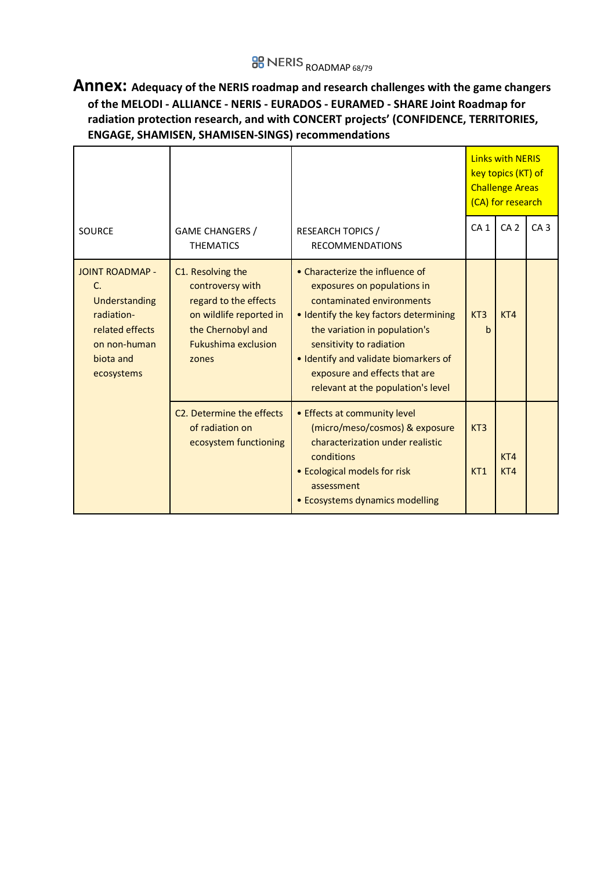## **BB** NERIS ROADMAP 68/79

### **Annex: Adequacy of the NERIS roadmap and research challenges with the game changers of the MELODI - ALLIANCE - NERIS - EURADOS - EURAMED - SHARE Joint Roadmap for radiation protection research, and with CONCERT projects' (CONFIDENCE, TERRITORIES, ENGAGE, SHAMISEN, SHAMISEN-SINGS) recommendations**

|                                                                                                                           |                                                                                                                                                       |                                                                                                                                                                                                                                                                                                                    |                        | <b>Links with NERIS</b><br>key topics (KT) of<br><b>Challenge Areas</b><br>(CA) for research |                 |  |
|---------------------------------------------------------------------------------------------------------------------------|-------------------------------------------------------------------------------------------------------------------------------------------------------|--------------------------------------------------------------------------------------------------------------------------------------------------------------------------------------------------------------------------------------------------------------------------------------------------------------------|------------------------|----------------------------------------------------------------------------------------------|-----------------|--|
| <b>SOURCE</b>                                                                                                             | <b>GAME CHANGERS /</b><br><b>THEMATICS</b>                                                                                                            | <b>RESEARCH TOPICS /</b><br><b>RECOMMENDATIONS</b>                                                                                                                                                                                                                                                                 | CA <sub>1</sub>        | CA <sub>2</sub>                                                                              | CA <sub>3</sub> |  |
| <b>JOINT ROADMAP -</b><br>C.<br>Understanding<br>radiation-<br>related effects<br>on non-human<br>biota and<br>ecosystems | C1. Resolving the<br>controversy with<br>regard to the effects<br>on wildlife reported in<br>the Chernobyl and<br><b>Fukushima exclusion</b><br>zones | • Characterize the influence of<br>exposures on populations in<br>contaminated environments<br>• Identify the key factors determining<br>the variation in population's<br>sensitivity to radiation<br>• Identify and validate biomarkers of<br>exposure and effects that are<br>relevant at the population's level | KT <sub>3</sub><br>b   | KT4                                                                                          |                 |  |
|                                                                                                                           | C <sub>2</sub> . Determine the effects<br>of radiation on<br>ecosystem functioning                                                                    | • Effects at community level<br>(micro/meso/cosmos) & exposure<br>characterization under realistic<br>conditions<br>• Ecological models for risk<br>assessment<br>• Ecosystems dynamics modelling                                                                                                                  | KT <sub>3</sub><br>KT1 | KT4<br>KT4                                                                                   |                 |  |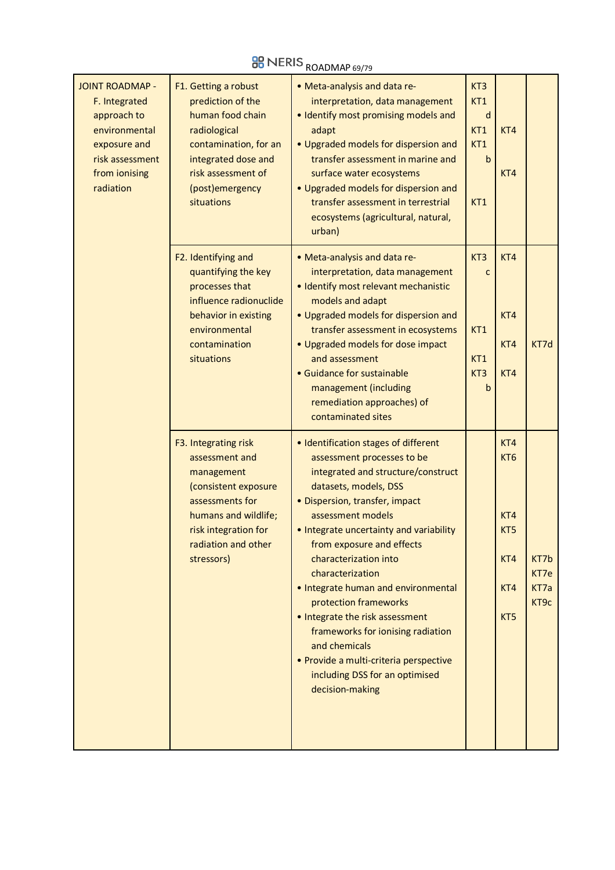# **BB** NERIS ROADMAP 69/79

| <b>JOINT ROADMAP -</b><br>F. Integrated<br>approach to<br>environmental<br>exposure and<br>risk assessment<br>from ionising<br>radiation | F1. Getting a robust<br>prediction of the<br>human food chain<br>radiological<br>contamination, for an<br>integrated dose and<br>risk assessment of<br>(post)emergency<br>situations | • Meta-analysis and data re-<br>interpretation, data management<br>• Identify most promising models and<br>adapt<br>• Upgraded models for dispersion and<br>transfer assessment in marine and<br>surface water ecosystems<br>• Upgraded models for dispersion and<br>transfer assessment in terrestrial<br>ecosystems (agricultural, natural,<br>urban)                                                                                                                                                                                                               | KT <sub>3</sub><br>KT1<br>d<br>KT1<br>KT1<br>b<br>KT1      | KT4<br>KT4                                                |                              |
|------------------------------------------------------------------------------------------------------------------------------------------|--------------------------------------------------------------------------------------------------------------------------------------------------------------------------------------|-----------------------------------------------------------------------------------------------------------------------------------------------------------------------------------------------------------------------------------------------------------------------------------------------------------------------------------------------------------------------------------------------------------------------------------------------------------------------------------------------------------------------------------------------------------------------|------------------------------------------------------------|-----------------------------------------------------------|------------------------------|
|                                                                                                                                          | F2. Identifying and<br>quantifying the key<br>processes that<br>influence radionuclide<br>behavior in existing<br>environmental<br>contamination<br>situations                       | • Meta-analysis and data re-<br>interpretation, data management<br>· Identify most relevant mechanistic<br>models and adapt<br>• Upgraded models for dispersion and<br>transfer assessment in ecosystems<br>• Upgraded models for dose impact<br>and assessment<br>• Guidance for sustainable<br>management (including<br>remediation approaches) of<br>contaminated sites                                                                                                                                                                                            | KT <sub>3</sub><br>C<br>KT1<br>KT1<br>KT <sub>3</sub><br>b | KT4<br>KT4<br>KT4<br>KT4                                  | KT7d                         |
|                                                                                                                                          | F3. Integrating risk<br>assessment and<br>management<br>(consistent exposure<br>assessments for<br>humans and wildlife;<br>risk integration for<br>radiation and other<br>stressors) | • Identification stages of different<br>assessment processes to be<br>integrated and structure/construct<br>datasets, models, DSS<br>· Dispersion, transfer, impact<br>assessment models<br>• Integrate uncertainty and variability<br>from exposure and effects<br>characterization into<br>characterization<br>• Integrate human and environmental<br>protection frameworks<br>• Integrate the risk assessment<br>frameworks for ionising radiation<br>and chemicals<br>· Provide a multi-criteria perspective<br>including DSS for an optimised<br>decision-making |                                                            | KT4<br>KT <sub>6</sub><br>KT4<br>KT5<br>KT4<br>KT4<br>KT5 | KT7b<br>KT7e<br>KT7a<br>KT9c |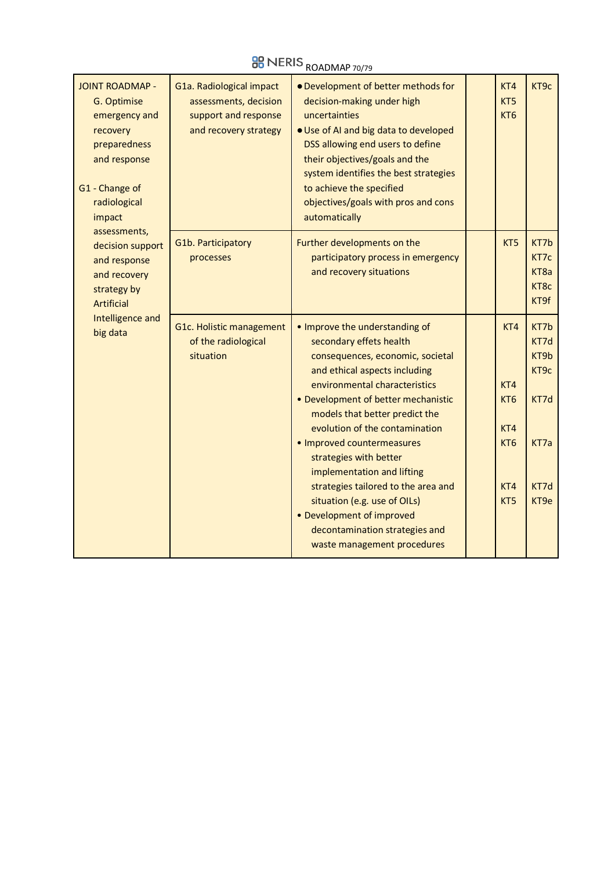# **BB** NERIS ROADMAP 70/79

| <b>JOINT ROADMAP -</b><br>G. Optimise<br>emergency and<br>recovery<br>preparedness<br>and response<br>G1 - Change of<br>radiological<br>impact<br>assessments, | G1a. Radiological impact<br>assessments, decision<br>support and response<br>and recovery strategy | • Development of better methods for<br>decision-making under high<br>uncertainties<br>• Use of AI and big data to developed<br>DSS allowing end users to define<br>their objectives/goals and the<br>system identifies the best strategies<br>to achieve the specified<br>objectives/goals with pros and cons<br>automatically | KT4<br>KT5<br>KT <sub>6</sub>        | KT9c                                 |
|----------------------------------------------------------------------------------------------------------------------------------------------------------------|----------------------------------------------------------------------------------------------------|--------------------------------------------------------------------------------------------------------------------------------------------------------------------------------------------------------------------------------------------------------------------------------------------------------------------------------|--------------------------------------|--------------------------------------|
| decision support<br>and response<br>and recovery<br>strategy by<br><b>Artificial</b>                                                                           | G1b. Participatory<br>processes                                                                    | Further developments on the<br>participatory process in emergency<br>and recovery situations                                                                                                                                                                                                                                   | KT5                                  | KT7b<br>KT7c<br>KT8a<br>KT8c<br>KT9f |
| Intelligence and<br>big data                                                                                                                                   | G1c. Holistic management<br>of the radiological<br>situation                                       | • Improve the understanding of<br>secondary effets health<br>consequences, economic, societal<br>and ethical aspects including<br>environmental characteristics<br>• Development of better mechanistic<br>models that better predict the<br>evolution of the contamination                                                     | KT4<br>KT4<br>KT <sub>6</sub><br>KT4 | KT7b<br>KT7d<br>KT9b<br>KT9c<br>KT7d |
|                                                                                                                                                                |                                                                                                    | • Improved countermeasures<br>strategies with better<br>implementation and lifting                                                                                                                                                                                                                                             | KT <sub>6</sub>                      | KT7a                                 |
|                                                                                                                                                                |                                                                                                    | strategies tailored to the area and<br>situation (e.g. use of OILs)<br>• Development of improved<br>decontamination strategies and<br>waste management procedures                                                                                                                                                              | KT4<br>KT5                           | KT7d<br>KT <sub>9e</sub>             |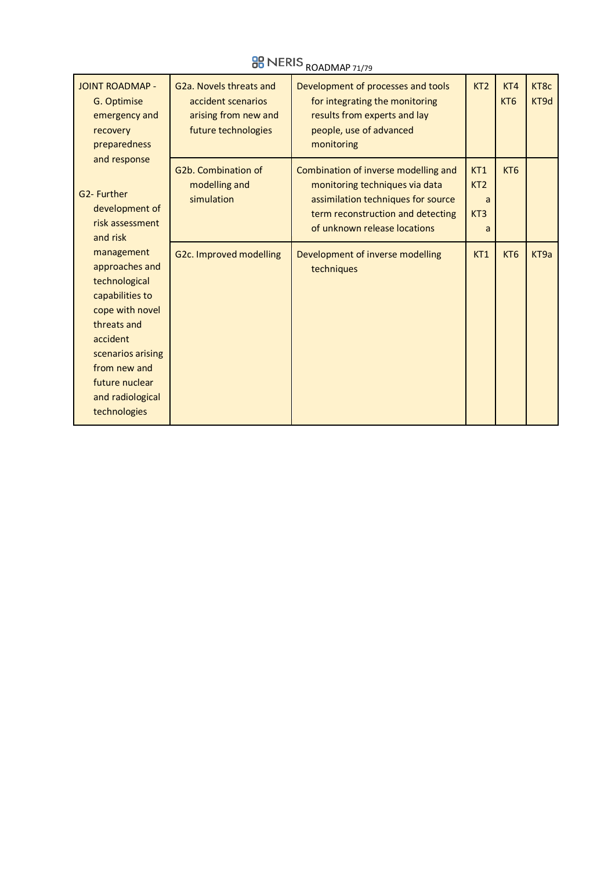# **BB** NERIS ROADMAP 71/79

| <b>JOINT ROADMAP -</b><br>G. Optimise<br>emergency and<br>recovery<br>preparedness                                                                                                                        | G2a. Novels threats and<br>accident scenarios<br>arising from new and<br>future technologies | Development of processes and tools<br>for integrating the monitoring<br>results from experts and lay<br>people, use of advanced<br>monitoring                                     | KT2                                                 | KT4<br>KT <sub>6</sub> | KT <sub>8c</sub><br>KT9d |
|-----------------------------------------------------------------------------------------------------------------------------------------------------------------------------------------------------------|----------------------------------------------------------------------------------------------|-----------------------------------------------------------------------------------------------------------------------------------------------------------------------------------|-----------------------------------------------------|------------------------|--------------------------|
| and response<br>G <sub>2</sub> - Further<br>development of<br>risk assessment<br>and risk                                                                                                                 | G2b. Combination of<br>modelling and<br>simulation                                           | Combination of inverse modelling and<br>monitoring techniques via data<br>assimilation techniques for source<br>term reconstruction and detecting<br>of unknown release locations | KT <sub>1</sub><br>KT2<br>a<br>KT <sub>3</sub><br>a | KT <sub>6</sub>        |                          |
| management<br>approaches and<br>technological<br>capabilities to<br>cope with novel<br>threats and<br>accident<br>scenarios arising<br>from new and<br>future nuclear<br>and radiological<br>technologies | G2c. Improved modelling                                                                      | Development of inverse modelling<br>techniques                                                                                                                                    | KT1                                                 | KT <sub>6</sub>        | KT <sub>9a</sub>         |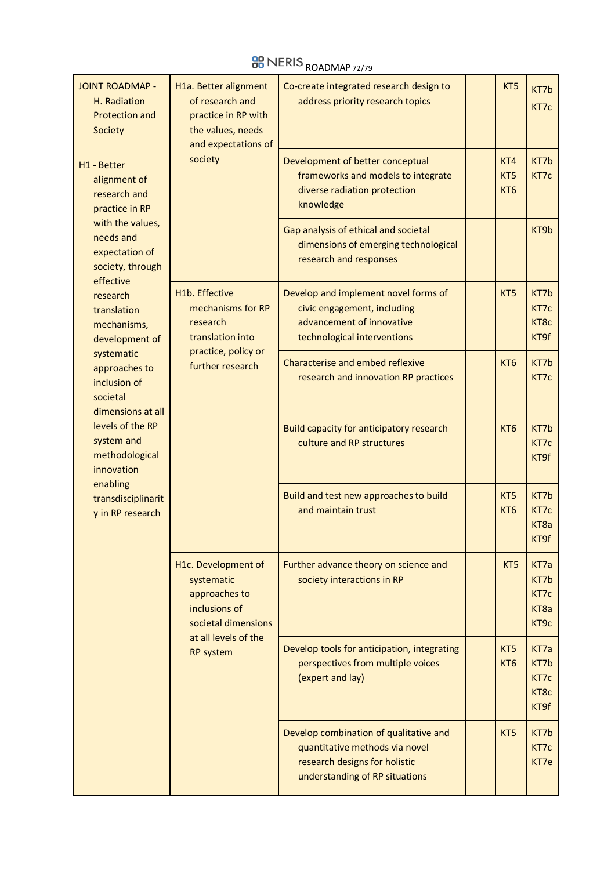|  | $\frac{16}{16}$ NERIS ROADMAP 72/7 |
|--|------------------------------------|
|--|------------------------------------|

| <b>JOINT ROADMAP -</b><br>H. Radiation<br><b>Protection and</b><br>Society                                           | H1a. Better alignment<br>of research and<br>practice in RP with<br>the values, needs<br>and expectations of        | Co-create integrated research design to<br>address priority research topics                                                                 | KT5                                       | KT7b<br>KT7c                             |
|----------------------------------------------------------------------------------------------------------------------|--------------------------------------------------------------------------------------------------------------------|---------------------------------------------------------------------------------------------------------------------------------------------|-------------------------------------------|------------------------------------------|
| H1 - Better<br>alignment of<br>research and<br>practice in RP                                                        | society                                                                                                            | Development of better conceptual<br>frameworks and models to integrate<br>diverse radiation protection<br>knowledge                         | KT4<br>KT <sub>5</sub><br>KT <sub>6</sub> | KT7b<br>KT7c                             |
| with the values,<br>needs and<br>expectation of<br>society, through<br>effective                                     |                                                                                                                    | Gap analysis of ethical and societal<br>dimensions of emerging technological<br>research and responses                                      |                                           | KT9b                                     |
| research<br>translation<br>mechanisms,<br>development of                                                             | H1b. Effective<br>mechanisms for RP<br>research<br>translation into                                                | Develop and implement novel forms of<br>civic engagement, including<br>advancement of innovative<br>technological interventions             | KT5                                       | KT7b<br>KT7c<br>KT <sub>8c</sub><br>KT9f |
| systematic<br>approaches to<br>inclusion of<br>societal<br>dimensions at all                                         | practice, policy or<br>further research                                                                            | Characterise and embed reflexive<br>research and innovation RP practices                                                                    | KT <sub>6</sub>                           | KT7b<br>KT7c                             |
| levels of the RP<br>system and<br>methodological<br>innovation<br>enabling<br>transdisciplinarit<br>y in RP research |                                                                                                                    | <b>Build capacity for anticipatory research</b><br>culture and RP structures                                                                | KT <sub>6</sub>                           | KT7b<br>KT7c<br>KT9f                     |
|                                                                                                                      |                                                                                                                    | Build and test new approaches to build<br>and maintain trust                                                                                | KT <sub>5</sub><br>KT <sub>6</sub>        | KT7b<br>KT7c<br>KT8a<br>KT9f             |
|                                                                                                                      | H1c. Development of<br>systematic<br>approaches to<br>inclusions of<br>societal dimensions<br>at all levels of the | Further advance theory on science and<br>society interactions in RP                                                                         | KT5                                       | KT7a<br>KT7b<br>KT7c<br>KT8a<br>KT9c     |
|                                                                                                                      | <b>RP</b> system                                                                                                   | Develop tools for anticipation, integrating<br>perspectives from multiple voices<br>(expert and lay)                                        | KT <sub>5</sub><br>KT <sub>6</sub>        | KT7a<br>KT7b<br>KT7c<br>KT8c<br>KT9f     |
|                                                                                                                      |                                                                                                                    | Develop combination of qualitative and<br>quantitative methods via novel<br>research designs for holistic<br>understanding of RP situations | KT5                                       | KT7b<br>KT7c<br>KT7e                     |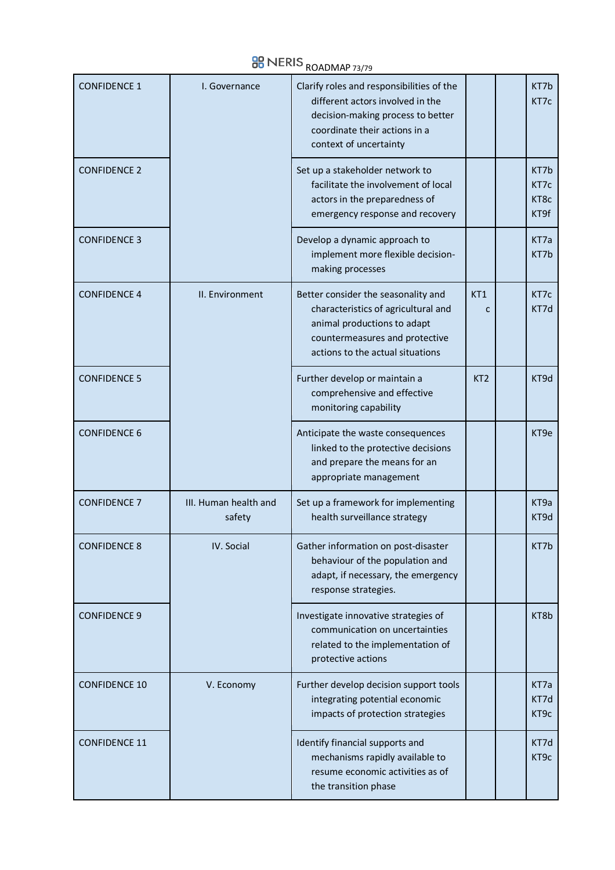## **BB** NERIS ROADMAP 73/79

| <b>CONFIDENCE 1</b>  | I. Governance                   | Clarify roles and responsibilities of the<br>different actors involved in the<br>decision-making process to better<br>coordinate their actions in a<br>context of uncertainty   |                 | KT7b<br>KT7c                     |
|----------------------|---------------------------------|---------------------------------------------------------------------------------------------------------------------------------------------------------------------------------|-----------------|----------------------------------|
| <b>CONFIDENCE 2</b>  |                                 | Set up a stakeholder network to<br>facilitate the involvement of local<br>actors in the preparedness of<br>emergency response and recovery                                      |                 | KT7b<br>KT7c<br>KT8c<br>KT9f     |
| <b>CONFIDENCE 3</b>  |                                 | Develop a dynamic approach to<br>implement more flexible decision-<br>making processes                                                                                          |                 | KT7a<br>KT7b                     |
| <b>CONFIDENCE 4</b>  | II. Environment                 | Better consider the seasonality and<br>characteristics of agricultural and<br>animal productions to adapt<br>countermeasures and protective<br>actions to the actual situations | KT1<br>c        | KT7c<br>KT7d                     |
| <b>CONFIDENCE 5</b>  |                                 | Further develop or maintain a<br>comprehensive and effective<br>monitoring capability                                                                                           | KT <sub>2</sub> | KT9d                             |
| <b>CONFIDENCE 6</b>  |                                 | Anticipate the waste consequences<br>linked to the protective decisions<br>and prepare the means for an<br>appropriate management                                               |                 | KT <sub>9e</sub>                 |
| <b>CONFIDENCE 7</b>  | III. Human health and<br>safety | Set up a framework for implementing<br>health surveillance strategy                                                                                                             |                 | KT <sub>9a</sub><br>KT9d         |
| <b>CONFIDENCE 8</b>  | IV. Social                      | Gather information on post-disaster<br>behaviour of the population and<br>adapt, if necessary, the emergency<br>response strategies.                                            |                 | KT7b                             |
| <b>CONFIDENCE 9</b>  |                                 | Investigate innovative strategies of<br>communication on uncertainties<br>related to the implementation of<br>protective actions                                                |                 | KT8b                             |
| <b>CONFIDENCE 10</b> | V. Economy                      | Further develop decision support tools<br>integrating potential economic<br>impacts of protection strategies                                                                    |                 | KT7a<br>KT7d<br>KT <sub>9c</sub> |
| <b>CONFIDENCE 11</b> |                                 | Identify financial supports and<br>mechanisms rapidly available to<br>resume economic activities as of<br>the transition phase                                                  |                 | KT7d<br>KT9c                     |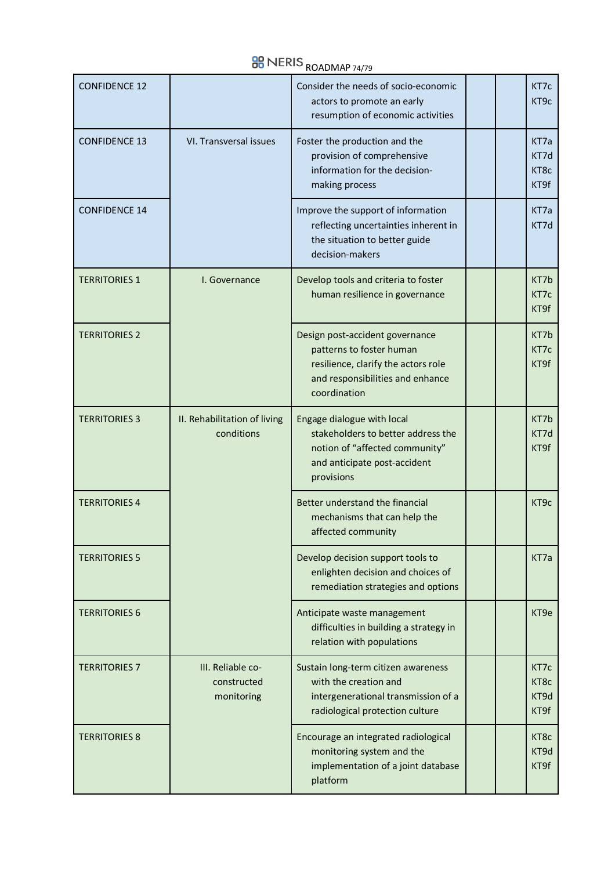| <b>CONFIDENCE 12</b> |                                                | Consider the needs of socio-economic<br>actors to promote an early<br>resumption of economic activities                                                |  | KT7c<br>KT <sub>9c</sub>                             |
|----------------------|------------------------------------------------|--------------------------------------------------------------------------------------------------------------------------------------------------------|--|------------------------------------------------------|
| <b>CONFIDENCE 13</b> | VI. Transversal issues                         | Foster the production and the<br>provision of comprehensive<br>information for the decision-<br>making process                                         |  | KT7a<br>KT7d<br>KT8c<br>KT9f                         |
| <b>CONFIDENCE 14</b> |                                                | Improve the support of information<br>reflecting uncertainties inherent in<br>the situation to better guide<br>decision-makers                         |  | KT7a<br>KT7d                                         |
| <b>TERRITORIES 1</b> | I. Governance                                  | Develop tools and criteria to foster<br>human resilience in governance                                                                                 |  | KT7b<br>KT7c<br>KT <sub>9f</sub>                     |
| <b>TERRITORIES 2</b> |                                                | Design post-accident governance<br>patterns to foster human<br>resilience, clarify the actors role<br>and responsibilities and enhance<br>coordination |  | KT7b<br>KT7c<br>KT9f                                 |
| <b>TERRITORIES 3</b> | II. Rehabilitation of living<br>conditions     | Engage dialogue with local<br>stakeholders to better address the<br>notion of "affected community"<br>and anticipate post-accident<br>provisions       |  | KT7b<br>KT7d<br>KT <sub>9f</sub>                     |
| <b>TERRITORIES 4</b> |                                                | Better understand the financial<br>mechanisms that can help the<br>affected community                                                                  |  | KT <sub>9c</sub>                                     |
| <b>TERRITORIES 5</b> |                                                | Develop decision support tools to<br>enlighten decision and choices of<br>remediation strategies and options                                           |  | KT7a                                                 |
| <b>TERRITORIES 6</b> |                                                | Anticipate waste management<br>difficulties in building a strategy in<br>relation with populations                                                     |  | KT9e                                                 |
| <b>TERRITORIES 7</b> | III. Reliable co-<br>constructed<br>monitoring | Sustain long-term citizen awareness<br>with the creation and<br>intergenerational transmission of a<br>radiological protection culture                 |  | KT7c<br>KT <sub>8c</sub><br>KT9d<br>KT <sub>9f</sub> |
| <b>TERRITORIES 8</b> |                                                | Encourage an integrated radiological<br>monitoring system and the<br>implementation of a joint database<br>platform                                    |  | KT <sub>8c</sub><br>KT9d<br>KT <sub>9f</sub>         |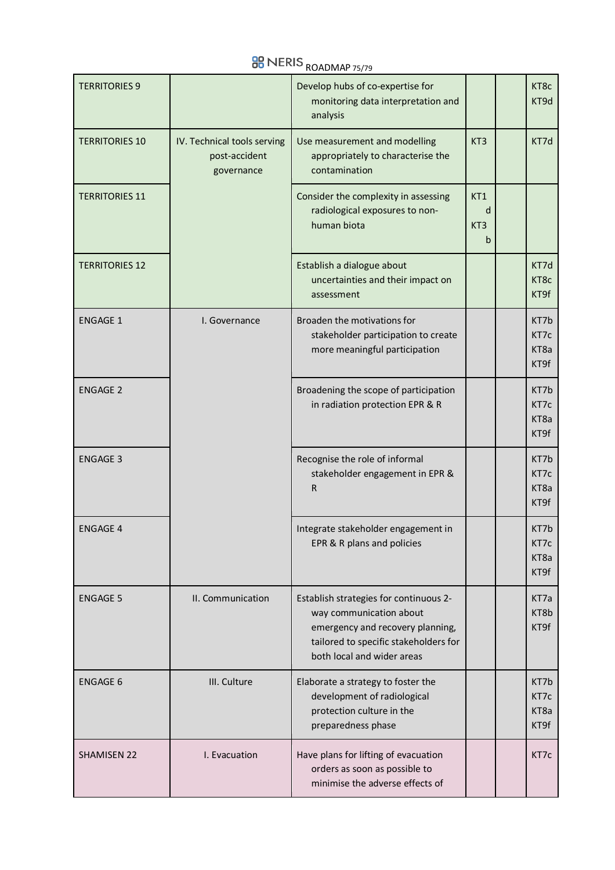## **BB** NERIS ROADMAP 75/79

| <b>TERRITORIES 9</b>  |                                                            | Develop hubs of co-expertise for<br>monitoring data interpretation and<br>analysis                                                                                           |                                  | KT <sub>8c</sub><br>KT9d                             |
|-----------------------|------------------------------------------------------------|------------------------------------------------------------------------------------------------------------------------------------------------------------------------------|----------------------------------|------------------------------------------------------|
| <b>TERRITORIES 10</b> | IV. Technical tools serving<br>post-accident<br>governance | Use measurement and modelling<br>appropriately to characterise the<br>contamination                                                                                          | KT <sub>3</sub>                  | KT7d                                                 |
| <b>TERRITORIES 11</b> |                                                            | Consider the complexity in assessing<br>radiological exposures to non-<br>human biota                                                                                        | KT1<br>d<br>KT <sub>3</sub><br>b |                                                      |
| <b>TERRITORIES 12</b> |                                                            | Establish a dialogue about<br>uncertainties and their impact on<br>assessment                                                                                                |                                  | KT7d<br>KT <sub>8c</sub><br>KT9f                     |
| <b>ENGAGE 1</b>       | I. Governance                                              | Broaden the motivations for<br>stakeholder participation to create<br>more meaningful participation                                                                          |                                  | KT7b<br>KT7c<br>KT8a<br>KT9f                         |
| <b>ENGAGE 2</b>       |                                                            | Broadening the scope of participation<br>in radiation protection EPR & R                                                                                                     |                                  | KT7b<br>KT7c<br>KT <sub>8a</sub><br>KT9f             |
| <b>ENGAGE 3</b>       |                                                            | Recognise the role of informal<br>stakeholder engagement in EPR &<br>R                                                                                                       |                                  | KT7b<br>KT7c<br>KT <sub>8a</sub><br>KT <sub>9f</sub> |
| <b>ENGAGE 4</b>       |                                                            | Integrate stakeholder engagement in<br>EPR & R plans and policies                                                                                                            |                                  | KT7b<br>KT7c<br>KT <sub>8a</sub><br>KT <sub>9f</sub> |
| <b>ENGAGE 5</b>       | II. Communication                                          | Establish strategies for continuous 2-<br>way communication about<br>emergency and recovery planning,<br>tailored to specific stakeholders for<br>both local and wider areas |                                  | KT7a<br>KT8b<br>KT9f                                 |
| <b>ENGAGE 6</b>       | III. Culture                                               | Elaborate a strategy to foster the<br>development of radiological<br>protection culture in the<br>preparedness phase                                                         |                                  | KT7b<br>KT7c<br>KT <sub>8a</sub><br>KT <sub>9f</sub> |
| <b>SHAMISEN 22</b>    | I. Evacuation                                              | Have plans for lifting of evacuation<br>orders as soon as possible to<br>minimise the adverse effects of                                                                     |                                  | KT7c                                                 |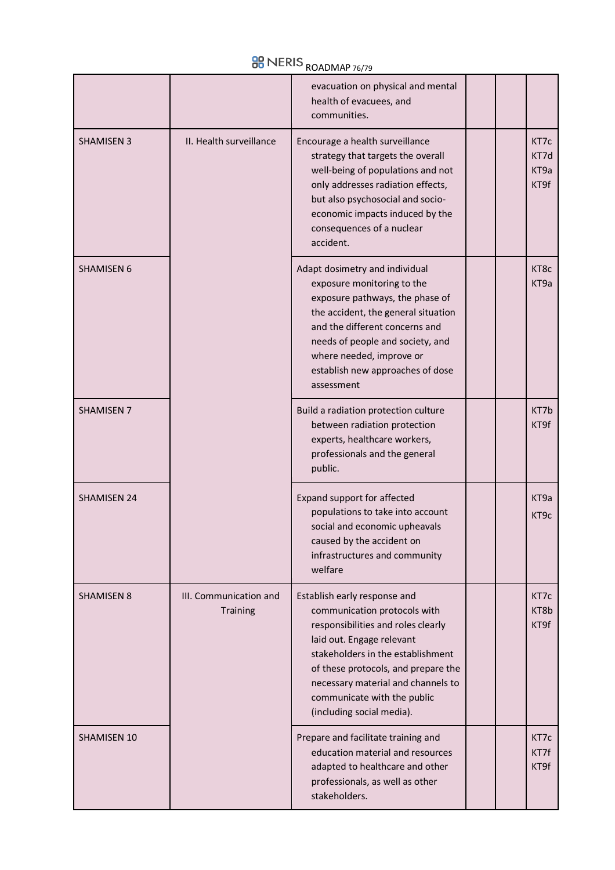|                    |                                    | evacuation on physical and mental<br>health of evacuees, and<br>communities.                                                                                                                                                                                                                                  |  |                                          |
|--------------------|------------------------------------|---------------------------------------------------------------------------------------------------------------------------------------------------------------------------------------------------------------------------------------------------------------------------------------------------------------|--|------------------------------------------|
| <b>SHAMISEN 3</b>  | II. Health surveillance            | Encourage a health surveillance<br>strategy that targets the overall<br>well-being of populations and not<br>only addresses radiation effects,<br>but also psychosocial and socio-<br>economic impacts induced by the<br>consequences of a nuclear<br>accident.                                               |  | KT7c<br>KT7d<br>KT9a<br>KT <sub>9f</sub> |
| <b>SHAMISEN 6</b>  |                                    | Adapt dosimetry and individual<br>exposure monitoring to the<br>exposure pathways, the phase of<br>the accident, the general situation<br>and the different concerns and<br>needs of people and society, and<br>where needed, improve or<br>establish new approaches of dose<br>assessment                    |  | KT8c<br>KT <sub>9a</sub>                 |
| <b>SHAMISEN 7</b>  |                                    | Build a radiation protection culture<br>between radiation protection<br>experts, healthcare workers,<br>professionals and the general<br>public.                                                                                                                                                              |  | KT7b<br>KT9f                             |
| <b>SHAMISEN 24</b> |                                    | Expand support for affected<br>populations to take into account<br>social and economic upheavals<br>caused by the accident on<br>infrastructures and community<br>welfare                                                                                                                                     |  | KT <sub>9a</sub><br>KT <sub>9c</sub>     |
| <b>SHAMISEN 8</b>  | III. Communication and<br>Training | Establish early response and<br>communication protocols with<br>responsibilities and roles clearly<br>laid out. Engage relevant<br>stakeholders in the establishment<br>of these protocols, and prepare the<br>necessary material and channels to<br>communicate with the public<br>(including social media). |  | KT7c<br>KT8b<br>KT9f                     |
| <b>SHAMISEN 10</b> |                                    | Prepare and facilitate training and<br>education material and resources<br>adapted to healthcare and other<br>professionals, as well as other<br>stakeholders.                                                                                                                                                |  | KT7c<br>KT7f<br>KT <sub>9f</sub>         |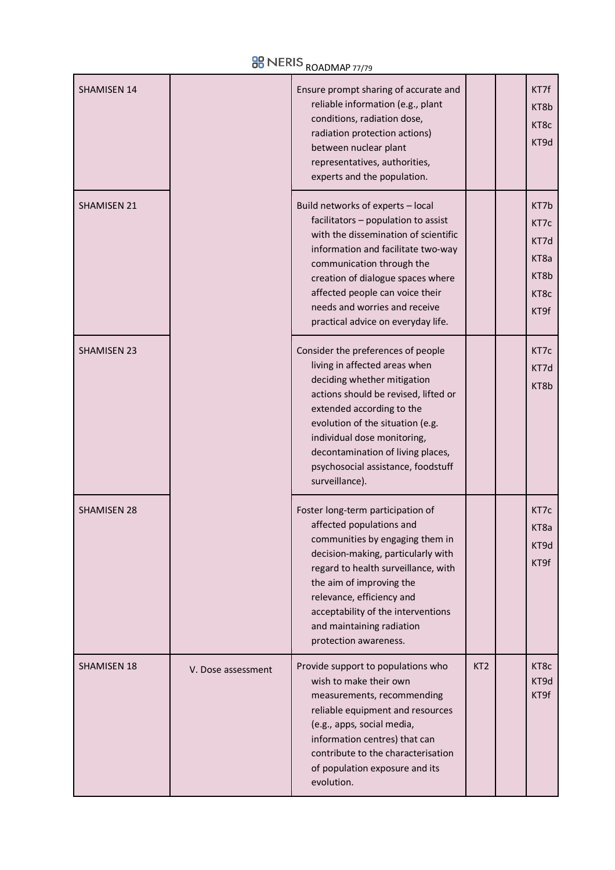## **BB** NERIS ROADMAP 77/79

| <b>SHAMISEN 14</b> |                    | Ensure prompt sharing of accurate and<br>reliable information (e.g., plant<br>conditions, radiation dose,<br>radiation protection actions)<br>between nuclear plant<br>representatives, authorities,<br>experts and the population.                                                                                                     |                 | KT7f<br>KT8b<br>KT <sub>8c</sub><br>KT9d                                     |
|--------------------|--------------------|-----------------------------------------------------------------------------------------------------------------------------------------------------------------------------------------------------------------------------------------------------------------------------------------------------------------------------------------|-----------------|------------------------------------------------------------------------------|
| <b>SHAMISEN 21</b> |                    | Build networks of experts - local<br>facilitators - population to assist<br>with the dissemination of scientific<br>information and facilitate two-way<br>communication through the<br>creation of dialogue spaces where<br>affected people can voice their<br>needs and worries and receive<br>practical advice on everyday life.      |                 | KT7b<br>KT7c<br>KT7d<br>KT8a<br>KT8b<br>KT <sub>8c</sub><br>KT <sub>9f</sub> |
| <b>SHAMISEN 23</b> |                    | Consider the preferences of people<br>living in affected areas when<br>deciding whether mitigation<br>actions should be revised, lifted or<br>extended according to the<br>evolution of the situation (e.g.<br>individual dose monitoring,<br>decontamination of living places,<br>psychosocial assistance, foodstuff<br>surveillance). |                 | KT7c<br>KT7d<br>KT8b                                                         |
| <b>SHAMISEN 28</b> |                    | Foster long-term participation of<br>affected populations and<br>communities by engaging them in<br>decision-making, particularly with<br>regard to health surveillance, with<br>the aim of improving the<br>relevance, efficiency and<br>acceptability of the interventions<br>and maintaining radiation<br>protection awareness.      |                 | KT7c<br>KT <sub>8a</sub><br>KT9d<br>KT9f                                     |
| <b>SHAMISEN 18</b> | V. Dose assessment | Provide support to populations who<br>wish to make their own<br>measurements, recommending<br>reliable equipment and resources<br>(e.g., apps, social media,<br>information centres) that can<br>contribute to the characterisation<br>of population exposure and its<br>evolution.                                                     | KT <sub>2</sub> | KT <sub>8c</sub><br>KT9d<br>KT9f                                             |